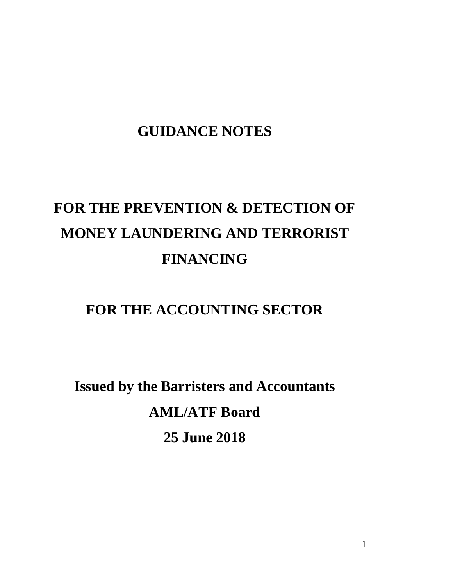## **GUIDANCE NOTES**

# **FOR THE PREVENTION & DETECTION OF MONEY LAUNDERING AND TERRORIST FINANCING**

### **FOR THE ACCOUNTING SECTOR**

**Issued by the Barristers and Accountants AML/ATF Board 25 June 2018**

1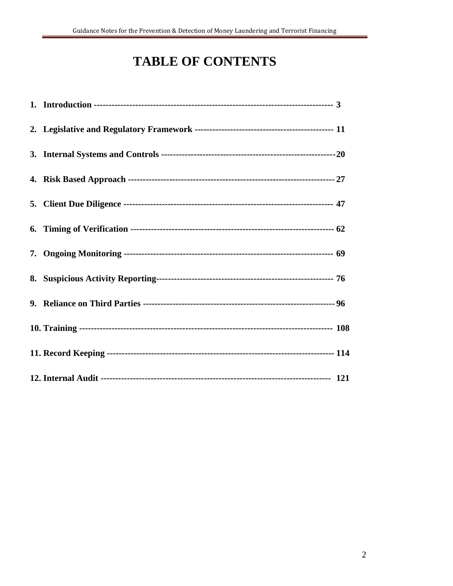### **TABLE OF CONTENTS**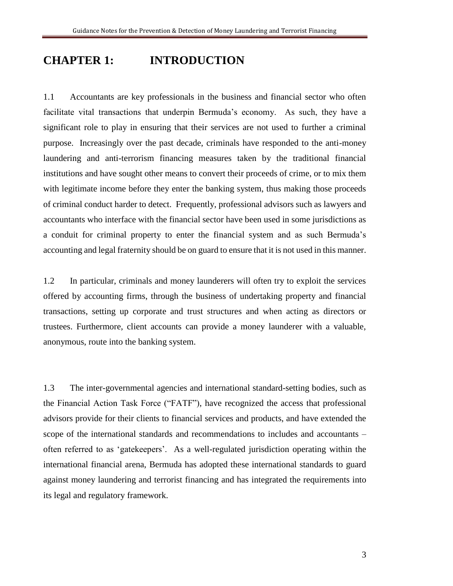### **CHAPTER 1: INTRODUCTION**

1.1 Accountants are key professionals in the business and financial sector who often facilitate vital transactions that underpin Bermuda's economy. As such, they have a significant role to play in ensuring that their services are not used to further a criminal purpose. Increasingly over the past decade, criminals have responded to the anti-money laundering and anti-terrorism financing measures taken by the traditional financial institutions and have sought other means to convert their proceeds of crime, or to mix them with legitimate income before they enter the banking system, thus making those proceeds of criminal conduct harder to detect. Frequently, professional advisors such as lawyers and accountants who interface with the financial sector have been used in some jurisdictions as a conduit for criminal property to enter the financial system and as such Bermuda's accounting and legal fraternity should be on guard to ensure that it is not used in this manner.

1.2 In particular, criminals and money launderers will often try to exploit the services offered by accounting firms, through the business of undertaking property and financial transactions, setting up corporate and trust structures and when acting as directors or trustees. Furthermore, client accounts can provide a money launderer with a valuable, anonymous, route into the banking system.

1.3 The inter-governmental agencies and international standard-setting bodies, such as the Financial Action Task Force ("FATF"), have recognized the access that professional advisors provide for their clients to financial services and products, and have extended the scope of the international standards and recommendations to includes and accountants – often referred to as 'gatekeepers'. As a well-regulated jurisdiction operating within the international financial arena, Bermuda has adopted these international standards to guard against money laundering and terrorist financing and has integrated the requirements into its legal and regulatory framework.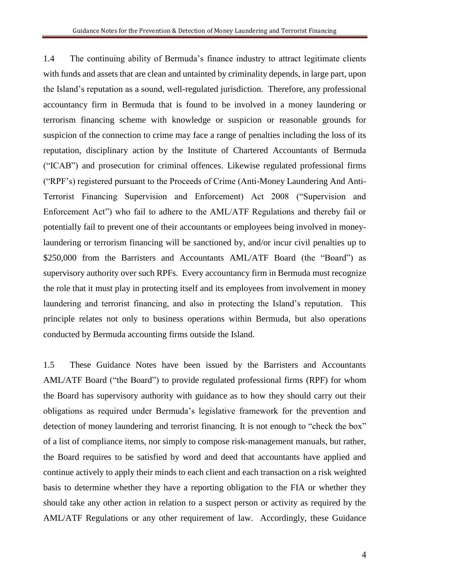1.4 The continuing ability of Bermuda's finance industry to attract legitimate clients with funds and assets that are clean and untainted by criminality depends, in large part, upon the Island's reputation as a sound, well-regulated jurisdiction. Therefore, any professional accountancy firm in Bermuda that is found to be involved in a money laundering or terrorism financing scheme with knowledge or suspicion or reasonable grounds for suspicion of the connection to crime may face a range of penalties including the loss of its reputation, disciplinary action by the Institute of Chartered Accountants of Bermuda ("ICAB") and prosecution for criminal offences. Likewise regulated professional firms ("RPF's) registered pursuant to the Proceeds of Crime (Anti-Money Laundering And Anti-Terrorist Financing Supervision and Enforcement) Act 2008 ("Supervision and Enforcement Act") who fail to adhere to the AML/ATF Regulations and thereby fail or potentially fail to prevent one of their accountants or employees being involved in moneylaundering or terrorism financing will be sanctioned by, and/or incur civil penalties up to \$250,000 from the Barristers and Accountants AML/ATF Board (the "Board") as supervisory authority over such RPFs. Every accountancy firm in Bermuda must recognize the role that it must play in protecting itself and its employees from involvement in money laundering and terrorist financing, and also in protecting the Island's reputation. This principle relates not only to business operations within Bermuda, but also operations conducted by Bermuda accounting firms outside the Island.

1.5 These Guidance Notes have been issued by the Barristers and Accountants AML/ATF Board ("the Board") to provide regulated professional firms (RPF) for whom the Board has supervisory authority with guidance as to how they should carry out their obligations as required under Bermuda's legislative framework for the prevention and detection of money laundering and terrorist financing. It is not enough to "check the box" of a list of compliance items, nor simply to compose risk-management manuals, but rather, the Board requires to be satisfied by word and deed that accountants have applied and continue actively to apply their minds to each client and each transaction on a risk weighted basis to determine whether they have a reporting obligation to the FIA or whether they should take any other action in relation to a suspect person or activity as required by the AML/ATF Regulations or any other requirement of law. Accordingly, these Guidance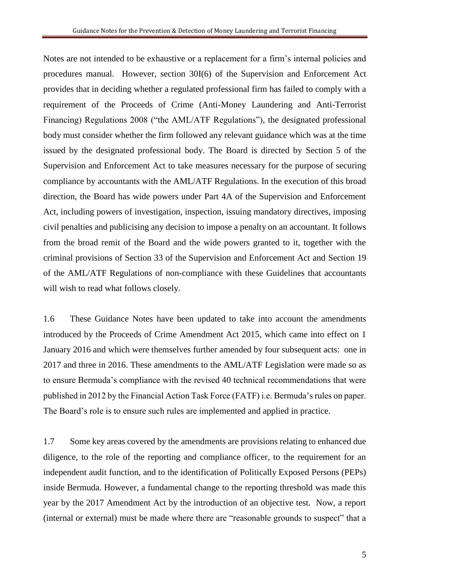Notes are not intended to be exhaustive or a replacement for a firm's internal policies and procedures manual. However, section 30I(6) of the Supervision and Enforcement Act provides that in deciding whether a regulated professional firm has failed to comply with a requirement of the Proceeds of Crime (Anti-Money Laundering and Anti-Terrorist Financing) Regulations 2008 ("the AML/ATF Regulations"), the designated professional body must consider whether the firm followed any relevant guidance which was at the time issued by the designated professional body. The Board is directed by Section 5 of the Supervision and Enforcement Act to take measures necessary for the purpose of securing compliance by accountants with the AML/ATF Regulations. In the execution of this broad direction, the Board has wide powers under Part 4A of the Supervision and Enforcement Act, including powers of investigation, inspection, issuing mandatory directives, imposing civil penalties and publicising any decision to impose a penalty on an accountant. It follows from the broad remit of the Board and the wide powers granted to it, together with the criminal provisions of Section 33 of the Supervision and Enforcement Act and Section 19 of the AML/ATF Regulations of non-compliance with these Guidelines that accountants will wish to read what follows closely.

1.6 These Guidance Notes have been updated to take into account the amendments introduced by the Proceeds of Crime Amendment Act 2015, which came into effect on 1 January 2016 and which were themselves further amended by four subsequent acts: one in 2017 and three in 2016. These amendments to the AML/ATF Legislation were made so as to ensure Bermuda's compliance with the revised 40 technical recommendations that were published in 2012 by the Financial Action Task Force (FATF) i.e. Bermuda's rules on paper. The Board's role is to ensure such rules are implemented and applied in practice.

1.7 Some key areas covered by the amendments are provisions relating to enhanced due diligence, to the role of the reporting and compliance officer, to the requirement for an independent audit function, and to the identification of Politically Exposed Persons (PEPs) inside Bermuda. However, a fundamental change to the reporting threshold was made this year by the 2017 Amendment Act by the introduction of an objective test. Now, a report (internal or external) must be made where there are "reasonable grounds to suspect" that a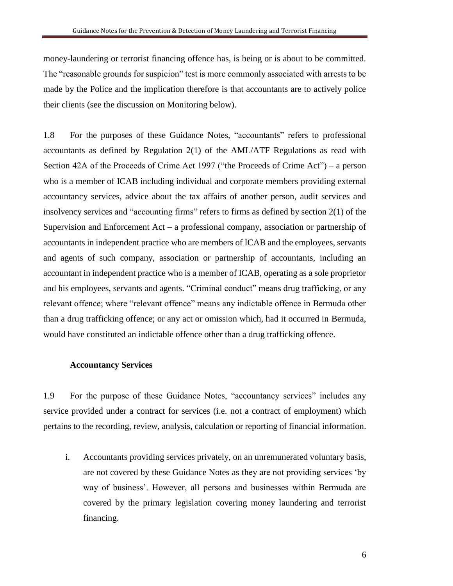money-laundering or terrorist financing offence has, is being or is about to be committed. The "reasonable grounds for suspicion" test is more commonly associated with arrests to be made by the Police and the implication therefore is that accountants are to actively police their clients (see the discussion on Monitoring below).

1.8 For the purposes of these Guidance Notes, "accountants" refers to professional accountants as defined by Regulation 2(1) of the AML/ATF Regulations as read with Section 42A of the Proceeds of Crime Act 1997 ("the Proceeds of Crime Act") – a person who is a member of ICAB including individual and corporate members providing external accountancy services, advice about the tax affairs of another person, audit services and insolvency services and "accounting firms" refers to firms as defined by section 2(1) of the Supervision and Enforcement Act – a professional company, association or partnership of accountants in independent practice who are members of ICAB and the employees, servants and agents of such company, association or partnership of accountants, including an accountant in independent practice who is a member of ICAB, operating as a sole proprietor and his employees, servants and agents. "Criminal conduct" means drug trafficking, or any relevant offence; where "relevant offence" means any indictable offence in Bermuda other than a drug trafficking offence; or any act or omission which, had it occurred in Bermuda, would have constituted an indictable offence other than a drug trafficking offence.

#### **Accountancy Services**

1.9 For the purpose of these Guidance Notes, "accountancy services" includes any service provided under a contract for services (i.e. not a contract of employment) which pertains to the recording, review, analysis, calculation or reporting of financial information.

i. Accountants providing services privately, on an unremunerated voluntary basis, are not covered by these Guidance Notes as they are not providing services 'by way of business'. However, all persons and businesses within Bermuda are covered by the primary legislation covering money laundering and terrorist financing.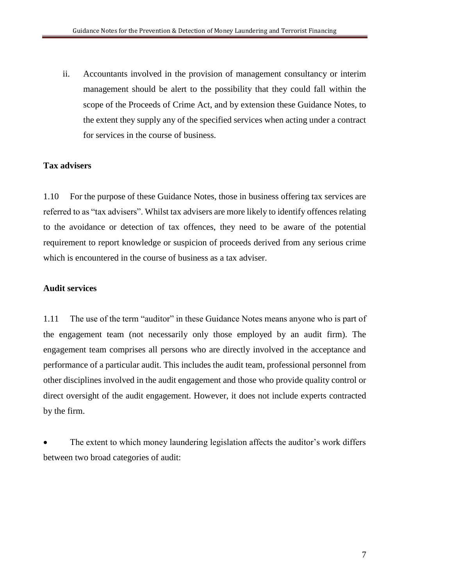ii. Accountants involved in the provision of management consultancy or interim management should be alert to the possibility that they could fall within the scope of the Proceeds of Crime Act, and by extension these Guidance Notes, to the extent they supply any of the specified services when acting under a contract for services in the course of business.

#### **Tax advisers**

1.10 For the purpose of these Guidance Notes, those in business offering tax services are referred to as "tax advisers". Whilst tax advisers are more likely to identify offences relating to the avoidance or detection of tax offences, they need to be aware of the potential requirement to report knowledge or suspicion of proceeds derived from any serious crime which is encountered in the course of business as a tax adviser.

#### **Audit services**

1.11 The use of the term "auditor" in these Guidance Notes means anyone who is part of the engagement team (not necessarily only those employed by an audit firm). The engagement team comprises all persons who are directly involved in the acceptance and performance of a particular audit. This includes the audit team, professional personnel from other disciplines involved in the audit engagement and those who provide quality control or direct oversight of the audit engagement. However, it does not include experts contracted by the firm.

The extent to which money laundering legislation affects the auditor's work differs between two broad categories of audit: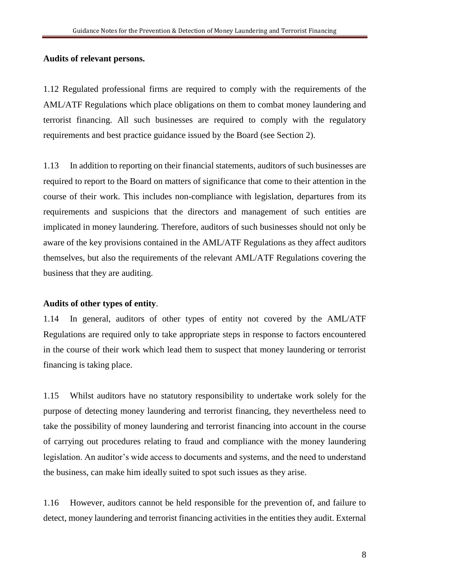#### **Audits of relevant persons.**

1.12 Regulated professional firms are required to comply with the requirements of the AML/ATF Regulations which place obligations on them to combat money laundering and terrorist financing. All such businesses are required to comply with the regulatory requirements and best practice guidance issued by the Board (see Section 2).

1.13 In addition to reporting on their financial statements, auditors of such businesses are required to report to the Board on matters of significance that come to their attention in the course of their work. This includes non-compliance with legislation, departures from its requirements and suspicions that the directors and management of such entities are implicated in money laundering. Therefore, auditors of such businesses should not only be aware of the key provisions contained in the AML/ATF Regulations as they affect auditors themselves, but also the requirements of the relevant AML/ATF Regulations covering the business that they are auditing.

#### **Audits of other types of entity**.

1.14 In general, auditors of other types of entity not covered by the AML/ATF Regulations are required only to take appropriate steps in response to factors encountered in the course of their work which lead them to suspect that money laundering or terrorist financing is taking place.

1.15 Whilst auditors have no statutory responsibility to undertake work solely for the purpose of detecting money laundering and terrorist financing, they nevertheless need to take the possibility of money laundering and terrorist financing into account in the course of carrying out procedures relating to fraud and compliance with the money laundering legislation. An auditor's wide access to documents and systems, and the need to understand the business, can make him ideally suited to spot such issues as they arise.

1.16 However, auditors cannot be held responsible for the prevention of, and failure to detect, money laundering and terrorist financing activities in the entities they audit. External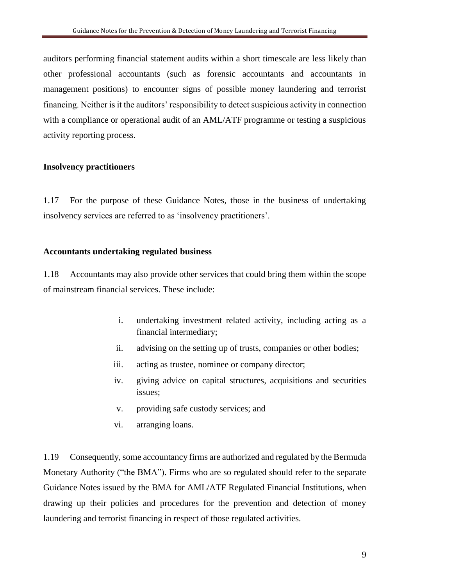auditors performing financial statement audits within a short timescale are less likely than other professional accountants (such as forensic accountants and accountants in management positions) to encounter signs of possible money laundering and terrorist financing. Neither is it the auditors' responsibility to detect suspicious activity in connection with a compliance or operational audit of an AML/ATF programme or testing a suspicious activity reporting process.

#### **Insolvency practitioners**

1.17 For the purpose of these Guidance Notes, those in the business of undertaking insolvency services are referred to as 'insolvency practitioners'.

#### **Accountants undertaking regulated business**

1.18 Accountants may also provide other services that could bring them within the scope of mainstream financial services. These include:

- i. undertaking investment related activity, including acting as a financial intermediary;
- ii. advising on the setting up of trusts, companies or other bodies;
- iii. acting as trustee, nominee or company director;
- iv. giving advice on capital structures, acquisitions and securities issues;
- v. providing safe custody services; and
- vi. arranging loans.

1.19 Consequently, some accountancy firms are authorized and regulated by the Bermuda Monetary Authority ("the BMA"). Firms who are so regulated should refer to the separate Guidance Notes issued by the BMA for AML/ATF Regulated Financial Institutions, when drawing up their policies and procedures for the prevention and detection of money laundering and terrorist financing in respect of those regulated activities.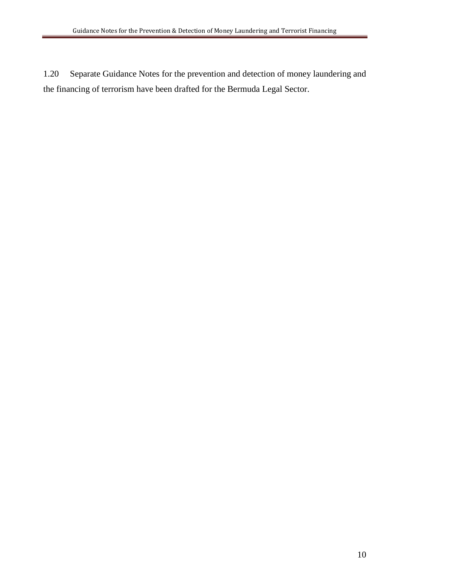1.20 Separate Guidance Notes for the prevention and detection of money laundering and the financing of terrorism have been drafted for the Bermuda Legal Sector.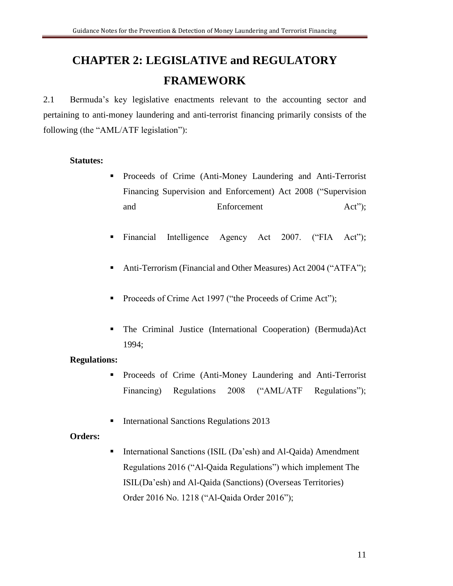# **CHAPTER 2: LEGISLATIVE and REGULATORY FRAMEWORK**

2.1 Bermuda's key legislative enactments relevant to the accounting sector and pertaining to anti-money laundering and anti-terrorist financing primarily consists of the following (the "AML/ATF legislation"):

#### **Statutes:**

- Proceeds of Crime (Anti-Money Laundering and Anti-Terrorist Financing Supervision and Enforcement) Act 2008 ("Supervision and Enforcement Act");
- Financial Intelligence Agency Act 2007. ("FIA Act");
- Anti-Terrorism (Financial and Other Measures) Act 2004 ("ATFA");
- Proceeds of Crime Act 1997 ("the Proceeds of Crime Act");
- The Criminal Justice (International Cooperation) (Bermuda)Act 1994;

#### **Regulations:**

- **•** Proceeds of Crime (Anti-Money Laundering and Anti-Terrorist Financing) Regulations 2008 ("AML/ATF Regulations");
- **International Sanctions Regulations 2013**

#### **Orders:**

■ International Sanctions (ISIL (Da'esh) and Al-Qaida) Amendment Regulations 2016 ("Al-Qaida Regulations") which implement The ISIL(Da'esh) and Al-Qaida (Sanctions) (Overseas Territories) Order 2016 No. 1218 ("Al-Qaida Order 2016");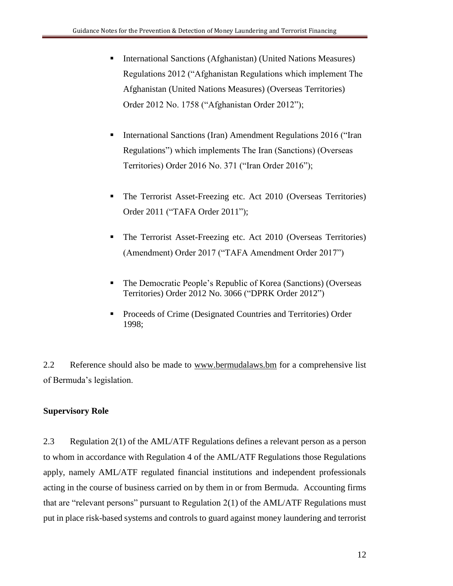- International Sanctions (Afghanistan) (United Nations Measures) Regulations 2012 ("Afghanistan Regulations which implement The Afghanistan (United Nations Measures) (Overseas Territories) Order 2012 No. 1758 ("Afghanistan Order 2012");
- **EXECUTE:** International Sanctions (Iran) Amendment Regulations 2016 ("Iran Regulations") which implements The Iran (Sanctions) (Overseas Territories) Order 2016 No. 371 ("Iran Order 2016");
- **The Terrorist Asset-Freezing etc. Act 2010 (Overseas Territories)** Order 2011 ("TAFA Order 2011");
- **The Terrorist Asset-Freezing etc. Act 2010 (Overseas Territories)** (Amendment) Order 2017 ("TAFA Amendment Order 2017")
- The Democratic People's Republic of Korea (Sanctions) (Overseas Territories) Order 2012 No. 3066 ("DPRK Order 2012")
- Proceeds of Crime (Designated Countries and Territories) Order 1998;

2.2 Reference should also be made to [www.bermudalaws.bm](http://www.bermudalaws.bm/) for a comprehensive list of Bermuda's legislation.

#### **Supervisory Role**

2.3 Regulation 2(1) of the AML/ATF Regulations defines a relevant person as a person to whom in accordance with Regulation 4 of the AML/ATF Regulations those Regulations apply, namely AML/ATF regulated financial institutions and independent professionals acting in the course of business carried on by them in or from Bermuda. Accounting firms that are "relevant persons" pursuant to Regulation 2(1) of the AML/ATF Regulations must put in place risk-based systems and controls to guard against money laundering and terrorist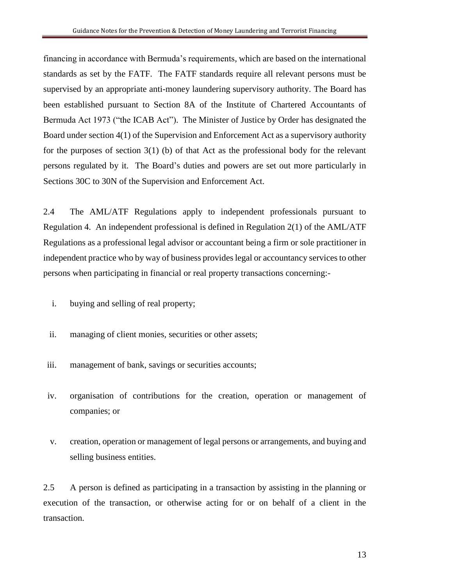financing in accordance with Bermuda's requirements, which are based on the international standards as set by the FATF. The FATF standards require all relevant persons must be supervised by an appropriate anti-money laundering supervisory authority. The Board has been established pursuant to Section 8A of the Institute of Chartered Accountants of Bermuda Act 1973 ("the ICAB Act"). The Minister of Justice by Order has designated the Board under section 4(1) of the Supervision and Enforcement Act as a supervisory authority for the purposes of section 3(1) (b) of that Act as the professional body for the relevant persons regulated by it. The Board's duties and powers are set out more particularly in Sections 30C to 30N of the Supervision and Enforcement Act.

2.4 The AML/ATF Regulations apply to independent professionals pursuant to Regulation 4. An independent professional is defined in Regulation 2(1) of the AML/ATF Regulations as a professional legal advisor or accountant being a firm or sole practitioner in independent practice who by way of business provides legal or accountancy services to other persons when participating in financial or real property transactions concerning:-

- i. buying and selling of real property;
- ii. managing of client monies, securities or other assets;
- iii. management of bank, savings or securities accounts;
- iv. organisation of contributions for the creation, operation or management of companies; or
- v. creation, operation or management of legal persons or arrangements, and buying and selling business entities.

2.5 A person is defined as participating in a transaction by assisting in the planning or execution of the transaction, or otherwise acting for or on behalf of a client in the transaction.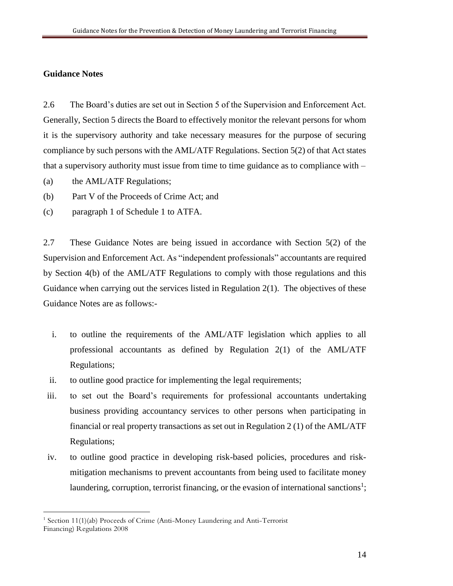#### **Guidance Notes**

 $\overline{a}$ 

2.6 The Board's duties are set out in Section 5 of the Supervision and Enforcement Act. Generally, Section 5 directs the Board to effectively monitor the relevant persons for whom it is the supervisory authority and take necessary measures for the purpose of securing compliance by such persons with the AML/ATF Regulations. Section 5(2) of that Act states that a supervisory authority must issue from time to time guidance as to compliance with –

- (a) the AML/ATF Regulations;
- (b) Part V of the Proceeds of Crime Act; and
- (c) paragraph 1 of Schedule 1 to ATFA.

2.7 These Guidance Notes are being issued in accordance with Section 5(2) of the Supervision and Enforcement Act. As "independent professionals" accountants are required by Section 4(b) of the AML/ATF Regulations to comply with those regulations and this Guidance when carrying out the services listed in Regulation 2(1). The objectives of these Guidance Notes are as follows:-

- i. to outline the requirements of the AML/ATF legislation which applies to all professional accountants as defined by Regulation 2(1) of the AML/ATF Regulations;
- ii. to outline good practice for implementing the legal requirements;
- iii. to set out the Board's requirements for professional accountants undertaking business providing accountancy services to other persons when participating in financial or real property transactions as set out in Regulation 2 (1) of the AML/ATF Regulations;
- iv. to outline good practice in developing risk-based policies, procedures and riskmitigation mechanisms to prevent accountants from being used to facilitate money laundering, corruption, terrorist financing, or the evasion of international sanctions<sup>1</sup>;

 $1$ <sup>1</sup> Section 11(1)(ab) Proceeds of Crime (Anti-Money Laundering and Anti-Terrorist Financing) Regulations 2008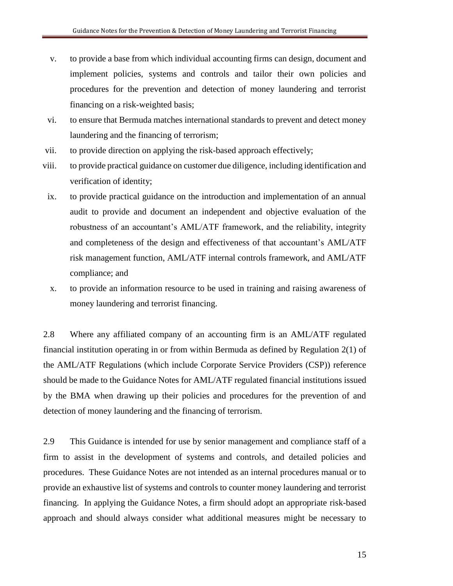- v. to provide a base from which individual accounting firms can design, document and implement policies, systems and controls and tailor their own policies and procedures for the prevention and detection of money laundering and terrorist financing on a risk-weighted basis;
- vi. to ensure that Bermuda matches international standards to prevent and detect money laundering and the financing of terrorism;
- vii. to provide direction on applying the risk-based approach effectively;
- viii. to provide practical guidance on customer due diligence, including identification and verification of identity;
- ix. to provide practical guidance on the introduction and implementation of an annual audit to provide and document an independent and objective evaluation of the robustness of an accountant's AML/ATF framework, and the reliability, integrity and completeness of the design and effectiveness of that accountant's AML/ATF risk management function, AML/ATF internal controls framework, and AML/ATF compliance; and
- x. to provide an information resource to be used in training and raising awareness of money laundering and terrorist financing.

2.8 Where any affiliated company of an accounting firm is an AML/ATF regulated financial institution operating in or from within Bermuda as defined by Regulation 2(1) of the AML/ATF Regulations (which include Corporate Service Providers (CSP)) reference should be made to the Guidance Notes for AML/ATF regulated financial institutions issued by the BMA when drawing up their policies and procedures for the prevention of and detection of money laundering and the financing of terrorism.

2.9 This Guidance is intended for use by senior management and compliance staff of a firm to assist in the development of systems and controls, and detailed policies and procedures. These Guidance Notes are not intended as an internal procedures manual or to provide an exhaustive list of systems and controls to counter money laundering and terrorist financing. In applying the Guidance Notes, a firm should adopt an appropriate risk-based approach and should always consider what additional measures might be necessary to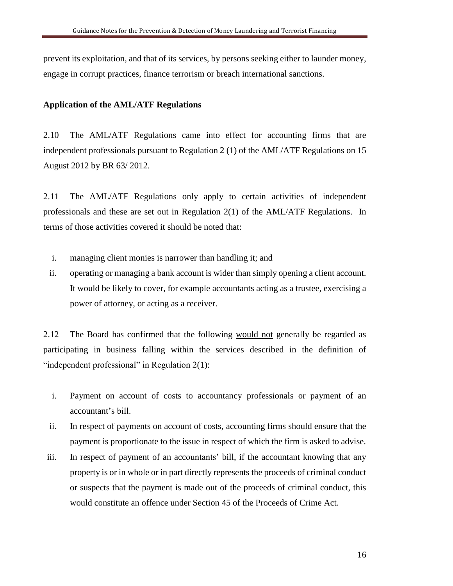prevent its exploitation, and that of its services, by persons seeking either to launder money, engage in corrupt practices, finance terrorism or breach international sanctions.

#### **Application of the AML/ATF Regulations**

2.10 The AML/ATF Regulations came into effect for accounting firms that are independent professionals pursuant to Regulation 2 (1) of the AML/ATF Regulations on 15 August 2012 by BR 63/ 2012.

2.11 The AML/ATF Regulations only apply to certain activities of independent professionals and these are set out in Regulation 2(1) of the AML/ATF Regulations. In terms of those activities covered it should be noted that:

- i. managing client monies is narrower than handling it; and
- ii. operating or managing a bank account is wider than simply opening a client account. It would be likely to cover, for example accountants acting as a trustee, exercising a power of attorney, or acting as a receiver.

2.12 The Board has confirmed that the following would not generally be regarded as participating in business falling within the services described in the definition of "independent professional" in Regulation 2(1):

- i. Payment on account of costs to accountancy professionals or payment of an accountant's bill.
- ii. In respect of payments on account of costs, accounting firms should ensure that the payment is proportionate to the issue in respect of which the firm is asked to advise.
- iii. In respect of payment of an accountants' bill, if the accountant knowing that any property is or in whole or in part directly represents the proceeds of criminal conduct or suspects that the payment is made out of the proceeds of criminal conduct, this would constitute an offence under Section 45 of the Proceeds of Crime Act.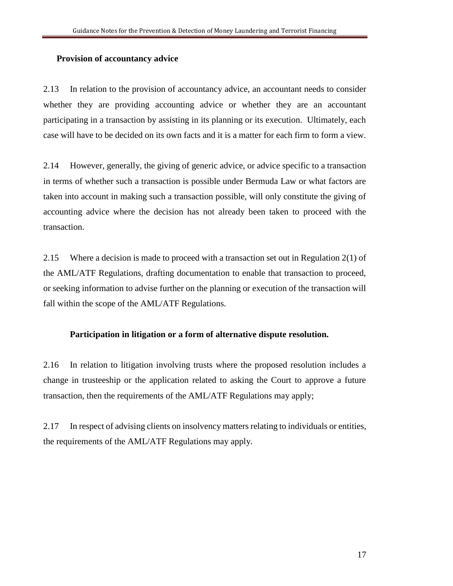#### **Provision of accountancy advice**

2.13 In relation to the provision of accountancy advice, an accountant needs to consider whether they are providing accounting advice or whether they are an accountant participating in a transaction by assisting in its planning or its execution. Ultimately, each case will have to be decided on its own facts and it is a matter for each firm to form a view.

2.14 However, generally, the giving of generic advice, or advice specific to a transaction in terms of whether such a transaction is possible under Bermuda Law or what factors are taken into account in making such a transaction possible, will only constitute the giving of accounting advice where the decision has not already been taken to proceed with the transaction.

2.15 Where a decision is made to proceed with a transaction set out in Regulation 2(1) of the AML/ATF Regulations, drafting documentation to enable that transaction to proceed, or seeking information to advise further on the planning or execution of the transaction will fall within the scope of the AML/ATF Regulations.

#### **Participation in litigation or a form of alternative dispute resolution.**

2.16 In relation to litigation involving trusts where the proposed resolution includes a change in trusteeship or the application related to asking the Court to approve a future transaction, then the requirements of the AML/ATF Regulations may apply;

2.17 In respect of advising clients on insolvency matters relating to individuals or entities, the requirements of the AML/ATF Regulations may apply.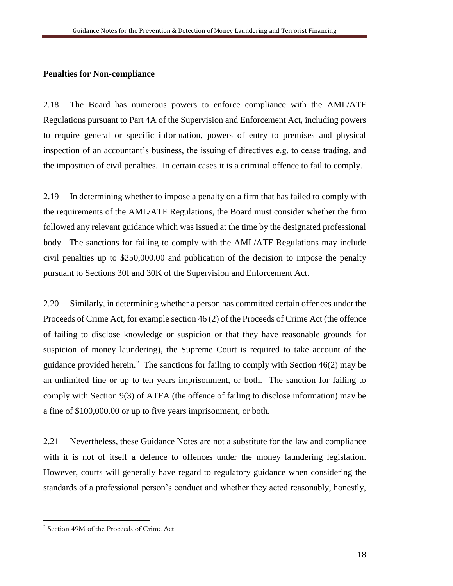#### **Penalties for Non-compliance**

2.18 The Board has numerous powers to enforce compliance with the AML/ATF Regulations pursuant to Part 4A of the Supervision and Enforcement Act, including powers to require general or specific information, powers of entry to premises and physical inspection of an accountant's business, the issuing of directives e.g. to cease trading, and the imposition of civil penalties. In certain cases it is a criminal offence to fail to comply.

2.19 In determining whether to impose a penalty on a firm that has failed to comply with the requirements of the AML/ATF Regulations, the Board must consider whether the firm followed any relevant guidance which was issued at the time by the designated professional body. The sanctions for failing to comply with the AML/ATF Regulations may include civil penalties up to \$250,000.00 and publication of the decision to impose the penalty pursuant to Sections 30I and 30K of the Supervision and Enforcement Act.

2.20 Similarly, in determining whether a person has committed certain offences under the Proceeds of Crime Act, for example section 46 (2) of the Proceeds of Crime Act (the offence of failing to disclose knowledge or suspicion or that they have reasonable grounds for suspicion of money laundering), the Supreme Court is required to take account of the guidance provided herein.<sup>2</sup> The sanctions for failing to comply with Section  $46(2)$  may be an unlimited fine or up to ten years imprisonment, or both. The sanction for failing to comply with Section 9(3) of ATFA (the offence of failing to disclose information) may be a fine of \$100,000.00 or up to five years imprisonment, or both.

2.21 Nevertheless, these Guidance Notes are not a substitute for the law and compliance with it is not of itself a defence to offences under the money laundering legislation. However, courts will generally have regard to regulatory guidance when considering the standards of a professional person's conduct and whether they acted reasonably, honestly,

 $\overline{a}$ 

<sup>2</sup> Section 49M of the Proceeds of Crime Act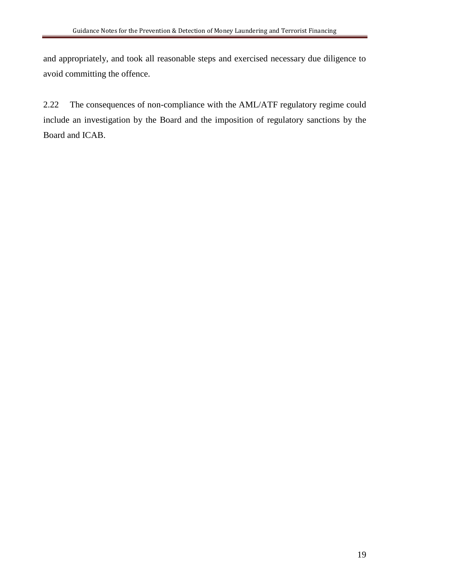and appropriately, and took all reasonable steps and exercised necessary due diligence to avoid committing the offence.

2.22 The consequences of non-compliance with the AML/ATF regulatory regime could include an investigation by the Board and the imposition of regulatory sanctions by the Board and ICAB.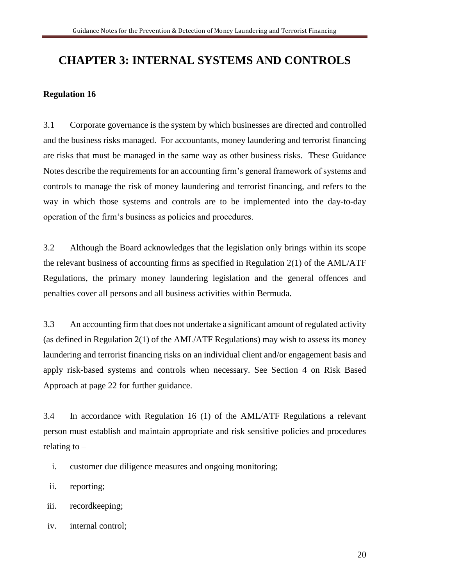### **CHAPTER 3: INTERNAL SYSTEMS AND CONTROLS**

#### **Regulation 16**

3.1 Corporate governance is the system by which businesses are directed and controlled and the business risks managed. For accountants, money laundering and terrorist financing are risks that must be managed in the same way as other business risks. These Guidance Notes describe the requirements for an accounting firm's general framework of systems and controls to manage the risk of money laundering and terrorist financing, and refers to the way in which those systems and controls are to be implemented into the day-to-day operation of the firm's business as policies and procedures.

3.2 Although the Board acknowledges that the legislation only brings within its scope the relevant business of accounting firms as specified in Regulation 2(1) of the AML/ATF Regulations, the primary money laundering legislation and the general offences and penalties cover all persons and all business activities within Bermuda.

3.3 An accounting firm that does not undertake a significant amount of regulated activity (as defined in Regulation 2(1) of the AML/ATF Regulations) may wish to assess its money laundering and terrorist financing risks on an individual client and/or engagement basis and apply risk-based systems and controls when necessary. See Section 4 on Risk Based Approach at page 22 for further guidance.

3.4 In accordance with Regulation 16 (1) of the AML/ATF Regulations a relevant person must establish and maintain appropriate and risk sensitive policies and procedures relating to  $-$ 

- i. customer due diligence measures and ongoing monitoring;
- ii. reporting;
- iii. recordkeeping;
- iv. internal control;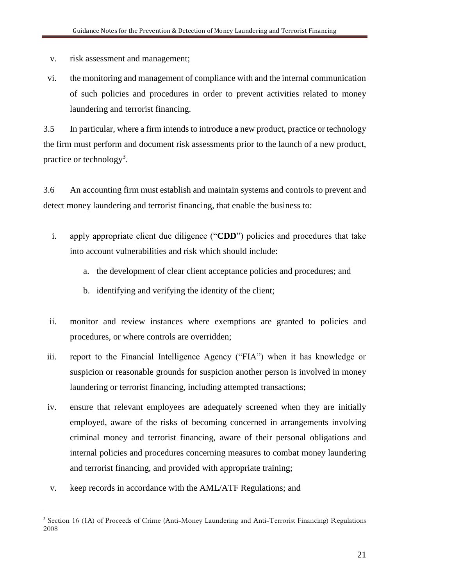- v. risk assessment and management;
- vi. the monitoring and management of compliance with and the internal communication of such policies and procedures in order to prevent activities related to money laundering and terrorist financing.

3.5 In particular, where a firm intends to introduce a new product, practice or technology the firm must perform and document risk assessments prior to the launch of a new product, practice or technology<sup>3</sup>.

3.6 An accounting firm must establish and maintain systems and controls to prevent and detect money laundering and terrorist financing, that enable the business to:

- i. apply appropriate client due diligence ("**CDD**") policies and procedures that take into account vulnerabilities and risk which should include:
	- a. the development of clear client acceptance policies and procedures; and
	- b. identifying and verifying the identity of the client;
- ii. monitor and review instances where exemptions are granted to policies and procedures, or where controls are overridden;
- iii. report to the Financial Intelligence Agency ("FIA") when it has knowledge or suspicion or reasonable grounds for suspicion another person is involved in money laundering or terrorist financing, including attempted transactions;
- iv. ensure that relevant employees are adequately screened when they are initially employed, aware of the risks of becoming concerned in arrangements involving criminal money and terrorist financing, aware of their personal obligations and internal policies and procedures concerning measures to combat money laundering and terrorist financing, and provided with appropriate training;
- v. keep records in accordance with the AML/ATF Regulations; and

 $\overline{a}$ 

<sup>&</sup>lt;sup>3</sup> Section 16 (1A) of Proceeds of Crime (Anti-Money Laundering and Anti-Terrorist Financing) Regulations 2008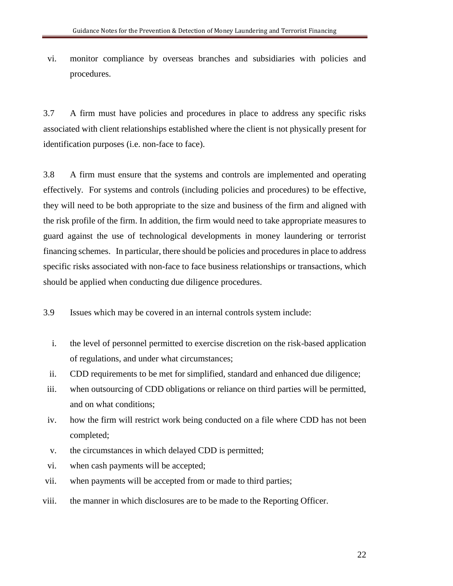vi. monitor compliance by overseas branches and subsidiaries with policies and procedures.

3.7 A firm must have policies and procedures in place to address any specific risks associated with client relationships established where the client is not physically present for identification purposes (i.e. non-face to face).

3.8 A firm must ensure that the systems and controls are implemented and operating effectively. For systems and controls (including policies and procedures) to be effective, they will need to be both appropriate to the size and business of the firm and aligned with the risk profile of the firm. In addition, the firm would need to take appropriate measures to guard against the use of technological developments in money laundering or terrorist financing schemes. In particular, there should be policies and procedures in place to address specific risks associated with non-face to face business relationships or transactions, which should be applied when conducting due diligence procedures.

3.9 Issues which may be covered in an internal controls system include:

- i. the level of personnel permitted to exercise discretion on the risk-based application of regulations, and under what circumstances;
- ii. CDD requirements to be met for simplified, standard and enhanced due diligence;
- iii. when outsourcing of CDD obligations or reliance on third parties will be permitted, and on what conditions;
- iv. how the firm will restrict work being conducted on a file where CDD has not been completed;
- v. the circumstances in which delayed CDD is permitted;
- vi. when cash payments will be accepted;
- vii. when payments will be accepted from or made to third parties;
- viii. the manner in which disclosures are to be made to the Reporting Officer.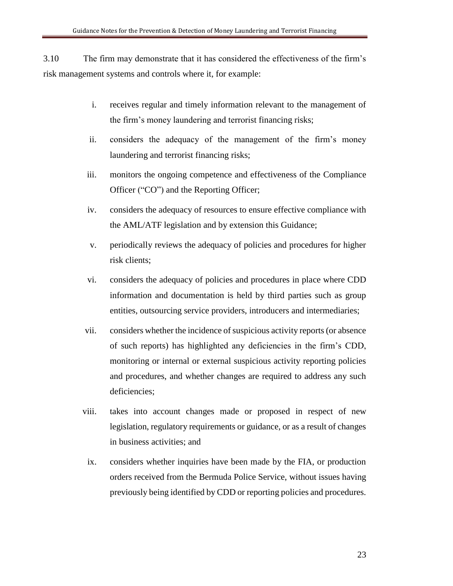3.10 The firm may demonstrate that it has considered the effectiveness of the firm's risk management systems and controls where it, for example:

- i. receives regular and timely information relevant to the management of the firm's money laundering and terrorist financing risks;
- ii. considers the adequacy of the management of the firm's money laundering and terrorist financing risks;
- iii. monitors the ongoing competence and effectiveness of the Compliance Officer ("CO") and the Reporting Officer;
- iv. considers the adequacy of resources to ensure effective compliance with the AML/ATF legislation and by extension this Guidance;
- v. periodically reviews the adequacy of policies and procedures for higher risk clients;
- vi. considers the adequacy of policies and procedures in place where CDD information and documentation is held by third parties such as group entities, outsourcing service providers, introducers and intermediaries;
- vii. considers whether the incidence of suspicious activity reports (or absence of such reports) has highlighted any deficiencies in the firm's CDD, monitoring or internal or external suspicious activity reporting policies and procedures, and whether changes are required to address any such deficiencies;
- viii. takes into account changes made or proposed in respect of new legislation, regulatory requirements or guidance, or as a result of changes in business activities; and
- ix. considers whether inquiries have been made by the FIA, or production orders received from the Bermuda Police Service, without issues having previously being identified by CDD or reporting policies and procedures.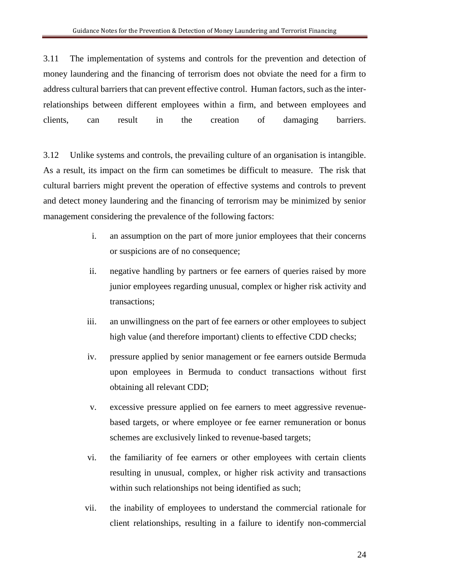3.11 The implementation of systems and controls for the prevention and detection of money laundering and the financing of terrorism does not obviate the need for a firm to address cultural barriers that can prevent effective control. Human factors, such as the interrelationships between different employees within a firm, and between employees and clients, can result in the creation of damaging barriers.

3.12 Unlike systems and controls, the prevailing culture of an organisation is intangible. As a result, its impact on the firm can sometimes be difficult to measure. The risk that cultural barriers might prevent the operation of effective systems and controls to prevent and detect money laundering and the financing of terrorism may be minimized by senior management considering the prevalence of the following factors:

- i. an assumption on the part of more junior employees that their concerns or suspicions are of no consequence;
- ii. negative handling by partners or fee earners of queries raised by more junior employees regarding unusual, complex or higher risk activity and transactions;
- iii. an unwillingness on the part of fee earners or other employees to subject high value (and therefore important) clients to effective CDD checks;
- iv. pressure applied by senior management or fee earners outside Bermuda upon employees in Bermuda to conduct transactions without first obtaining all relevant CDD;
- v. excessive pressure applied on fee earners to meet aggressive revenuebased targets, or where employee or fee earner remuneration or bonus schemes are exclusively linked to revenue-based targets;
- vi. the familiarity of fee earners or other employees with certain clients resulting in unusual, complex, or higher risk activity and transactions within such relationships not being identified as such;
- vii. the inability of employees to understand the commercial rationale for client relationships, resulting in a failure to identify non-commercial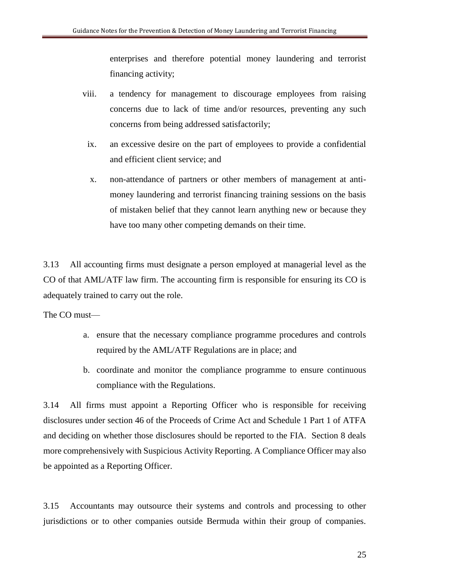enterprises and therefore potential money laundering and terrorist financing activity;

- viii. a tendency for management to discourage employees from raising concerns due to lack of time and/or resources, preventing any such concerns from being addressed satisfactorily;
	- ix. an excessive desire on the part of employees to provide a confidential and efficient client service; and
	- x. non-attendance of partners or other members of management at antimoney laundering and terrorist financing training sessions on the basis of mistaken belief that they cannot learn anything new or because they have too many other competing demands on their time.

3.13 All accounting firms must designate a person employed at managerial level as the CO of that AML/ATF law firm. The accounting firm is responsible for ensuring its CO is adequately trained to carry out the role.

The CO must—

- a. ensure that the necessary compliance programme procedures and controls required by the AML/ATF Regulations are in place; and
- b. coordinate and monitor the compliance programme to ensure continuous compliance with the Regulations.

3.14 All firms must appoint a Reporting Officer who is responsible for receiving disclosures under section 46 of the Proceeds of Crime Act and Schedule 1 Part 1 of ATFA and deciding on whether those disclosures should be reported to the FIA. Section 8 deals more comprehensively with Suspicious Activity Reporting. A Compliance Officer may also be appointed as a Reporting Officer.

3.15 Accountants may outsource their systems and controls and processing to other jurisdictions or to other companies outside Bermuda within their group of companies.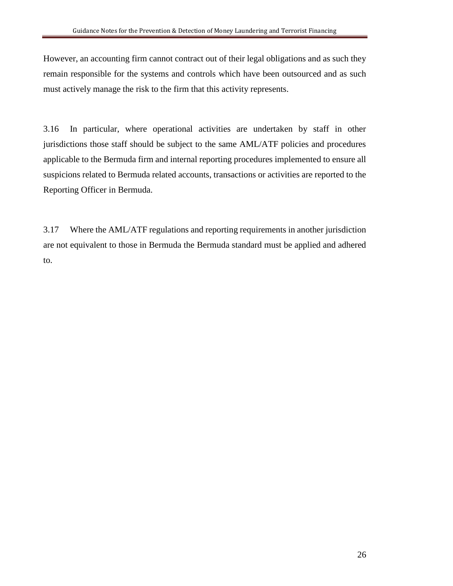However, an accounting firm cannot contract out of their legal obligations and as such they remain responsible for the systems and controls which have been outsourced and as such must actively manage the risk to the firm that this activity represents.

3.16 In particular, where operational activities are undertaken by staff in other jurisdictions those staff should be subject to the same AML/ATF policies and procedures applicable to the Bermuda firm and internal reporting procedures implemented to ensure all suspicions related to Bermuda related accounts, transactions or activities are reported to the Reporting Officer in Bermuda.

3.17 Where the AML/ATF regulations and reporting requirements in another jurisdiction are not equivalent to those in Bermuda the Bermuda standard must be applied and adhered to.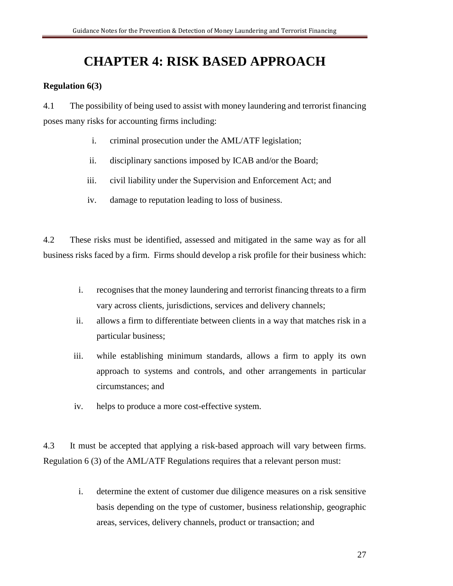### **CHAPTER 4: RISK BASED APPROACH**

#### **Regulation 6(3)**

4.1 The possibility of being used to assist with money laundering and terrorist financing poses many risks for accounting firms including:

- i. criminal prosecution under the AML/ATF legislation;
- ii. disciplinary sanctions imposed by ICAB and/or the Board;
- iii. civil liability under the Supervision and Enforcement Act; and
- iv. damage to reputation leading to loss of business.

4.2 These risks must be identified, assessed and mitigated in the same way as for all business risks faced by a firm. Firms should develop a risk profile for their business which:

- i. recognises that the money laundering and terrorist financing threats to a firm vary across clients, jurisdictions, services and delivery channels;
- ii. allows a firm to differentiate between clients in a way that matches risk in a particular business;
- iii. while establishing minimum standards, allows a firm to apply its own approach to systems and controls, and other arrangements in particular circumstances; and
- iv. helps to produce a more cost-effective system.

4.3 It must be accepted that applying a risk-based approach will vary between firms. Regulation 6 (3) of the AML/ATF Regulations requires that a relevant person must:

> i. determine the extent of customer due diligence measures on a risk sensitive basis depending on the type of customer, business relationship, geographic areas, services, delivery channels, product or transaction; and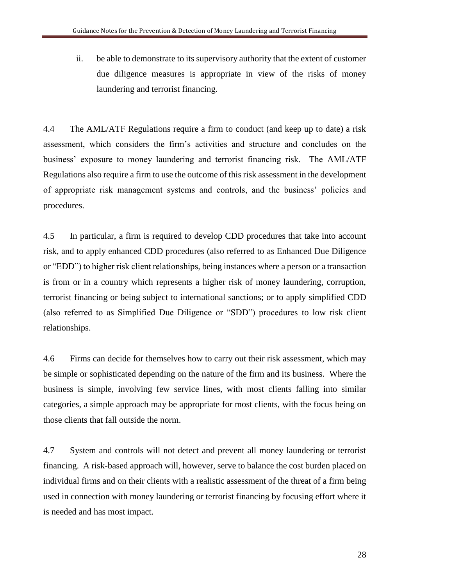ii. be able to demonstrate to its supervisory authority that the extent of customer due diligence measures is appropriate in view of the risks of money laundering and terrorist financing.

4.4 The AML/ATF Regulations require a firm to conduct (and keep up to date) a risk assessment, which considers the firm's activities and structure and concludes on the business' exposure to money laundering and terrorist financing risk. The AML/ATF Regulations also require a firm to use the outcome of this risk assessment in the development of appropriate risk management systems and controls, and the business' policies and procedures.

4.5 In particular, a firm is required to develop CDD procedures that take into account risk, and to apply enhanced CDD procedures (also referred to as Enhanced Due Diligence or "EDD") to higher risk client relationships, being instances where a person or a transaction is from or in a country which represents a higher risk of money laundering, corruption, terrorist financing or being subject to international sanctions; or to apply simplified CDD (also referred to as Simplified Due Diligence or "SDD") procedures to low risk client relationships.

4.6 Firms can decide for themselves how to carry out their risk assessment, which may be simple or sophisticated depending on the nature of the firm and its business. Where the business is simple, involving few service lines, with most clients falling into similar categories, a simple approach may be appropriate for most clients, with the focus being on those clients that fall outside the norm.

4.7 System and controls will not detect and prevent all money laundering or terrorist financing. A risk-based approach will, however, serve to balance the cost burden placed on individual firms and on their clients with a realistic assessment of the threat of a firm being used in connection with money laundering or terrorist financing by focusing effort where it is needed and has most impact.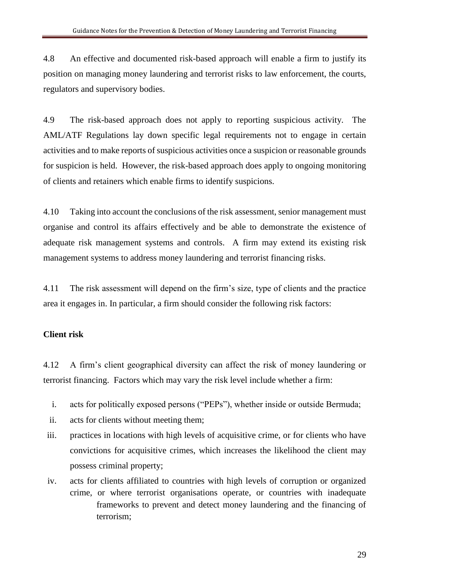4.8 An effective and documented risk-based approach will enable a firm to justify its position on managing money laundering and terrorist risks to law enforcement, the courts, regulators and supervisory bodies.

4.9 The risk-based approach does not apply to reporting suspicious activity. The AML/ATF Regulations lay down specific legal requirements not to engage in certain activities and to make reports of suspicious activities once a suspicion or reasonable grounds for suspicion is held. However, the risk-based approach does apply to ongoing monitoring of clients and retainers which enable firms to identify suspicions.

4.10 Taking into account the conclusions of the risk assessment, senior management must organise and control its affairs effectively and be able to demonstrate the existence of adequate risk management systems and controls. A firm may extend its existing risk management systems to address money laundering and terrorist financing risks.

4.11 The risk assessment will depend on the firm's size, type of clients and the practice area it engages in. In particular, a firm should consider the following risk factors:

#### **Client risk**

4.12 A firm's client geographical diversity can affect the risk of money laundering or terrorist financing. Factors which may vary the risk level include whether a firm:

- i. acts for politically exposed persons ("PEPs"), whether inside or outside Bermuda;
- ii. acts for clients without meeting them;
- iii. practices in locations with high levels of acquisitive crime, or for clients who have convictions for acquisitive crimes, which increases the likelihood the client may possess criminal property;
- iv. acts for clients affiliated to countries with high levels of corruption or organized crime, or where terrorist organisations operate, or countries with inadequate frameworks to prevent and detect money laundering and the financing of terrorism;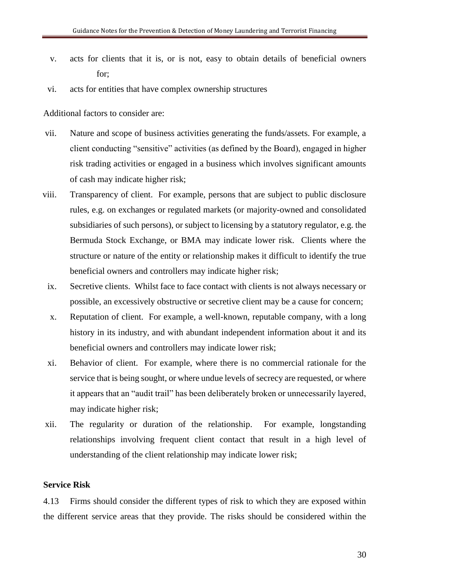- v. acts for clients that it is, or is not, easy to obtain details of beneficial owners for;
- vi. acts for entities that have complex ownership structures

Additional factors to consider are:

- vii. Nature and scope of business activities generating the funds/assets. For example, a client conducting "sensitive" activities (as defined by the Board), engaged in higher risk trading activities or engaged in a business which involves significant amounts of cash may indicate higher risk;
- viii. Transparency of client. For example, persons that are subject to public disclosure rules, e.g. on exchanges or regulated markets (or majority-owned and consolidated subsidiaries of such persons), or subject to licensing by a statutory regulator, e.g. the Bermuda Stock Exchange, or BMA may indicate lower risk. Clients where the structure or nature of the entity or relationship makes it difficult to identify the true beneficial owners and controllers may indicate higher risk;
- ix. Secretive clients. Whilst face to face contact with clients is not always necessary or possible, an excessively obstructive or secretive client may be a cause for concern;
- x. Reputation of client. For example, a well-known, reputable company, with a long history in its industry, and with abundant independent information about it and its beneficial owners and controllers may indicate lower risk;
- xi. Behavior of client. For example, where there is no commercial rationale for the service that is being sought, or where undue levels of secrecy are requested, or where it appears that an "audit trail" has been deliberately broken or unnecessarily layered, may indicate higher risk;
- xii. The regularity or duration of the relationship. For example, longstanding relationships involving frequent client contact that result in a high level of understanding of the client relationship may indicate lower risk;

#### **Service Risk**

4.13 Firms should consider the different types of risk to which they are exposed within the different service areas that they provide. The risks should be considered within the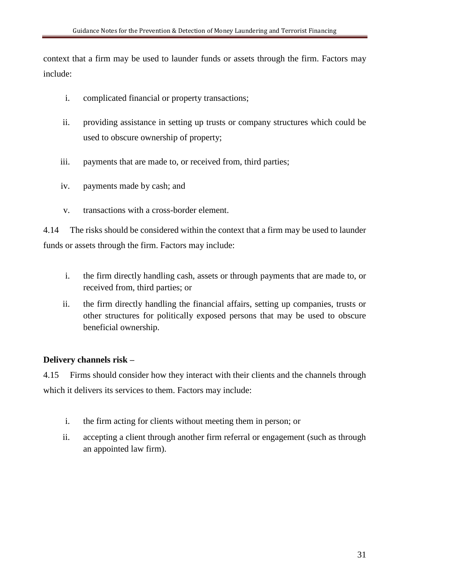context that a firm may be used to launder funds or assets through the firm. Factors may include:

- i. complicated financial or property transactions;
- ii. providing assistance in setting up trusts or company structures which could be used to obscure ownership of property;
- iii. payments that are made to, or received from, third parties;
- iv. payments made by cash; and
- v. transactions with a cross-border element.

4.14 The risks should be considered within the context that a firm may be used to launder funds or assets through the firm. Factors may include:

- i. the firm directly handling cash, assets or through payments that are made to, or received from, third parties; or
- ii. the firm directly handling the financial affairs, setting up companies, trusts or other structures for politically exposed persons that may be used to obscure beneficial ownership.

#### **Delivery channels risk –**

4.15 Firms should consider how they interact with their clients and the channels through which it delivers its services to them. Factors may include:

- i. the firm acting for clients without meeting them in person; or
- ii. accepting a client through another firm referral or engagement (such as through an appointed law firm).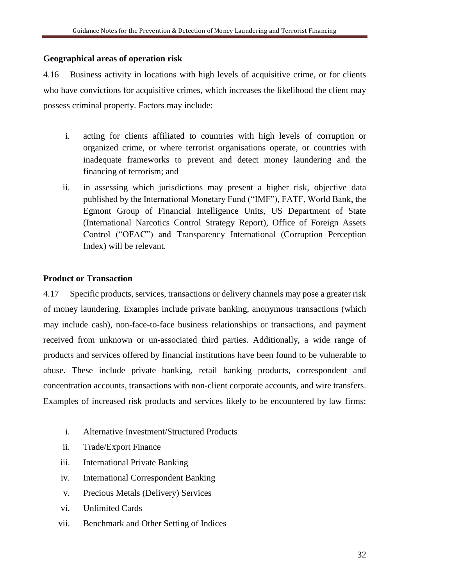#### **Geographical areas of operation risk**

4.16 Business activity in locations with high levels of acquisitive crime, or for clients who have convictions for acquisitive crimes, which increases the likelihood the client may possess criminal property. Factors may include:

- i. acting for clients affiliated to countries with high levels of corruption or organized crime, or where terrorist organisations operate, or countries with inadequate frameworks to prevent and detect money laundering and the financing of terrorism; and
- ii. in assessing which jurisdictions may present a higher risk, objective data published by the International Monetary Fund ("IMF"), FATF, World Bank, the Egmont Group of Financial Intelligence Units, US Department of State (International Narcotics Control Strategy Report), Office of Foreign Assets Control ("OFAC") and Transparency International (Corruption Perception Index) will be relevant.

#### **Product or Transaction**

4.17 Specific products, services, transactions or delivery channels may pose a greater risk of money laundering. Examples include private banking, anonymous transactions (which may include cash), non-face-to-face business relationships or transactions, and payment received from unknown or un-associated third parties. Additionally, a wide range of products and services offered by financial institutions have been found to be vulnerable to abuse. These include private banking, retail banking products, correspondent and concentration accounts, transactions with non-client corporate accounts, and wire transfers. Examples of increased risk products and services likely to be encountered by law firms:

- i. Alternative Investment/Structured Products
- ii. Trade/Export Finance
- iii. International Private Banking
- iv. International Correspondent Banking
- v. Precious Metals (Delivery) Services
- vi. Unlimited Cards
- vii. Benchmark and Other Setting of Indices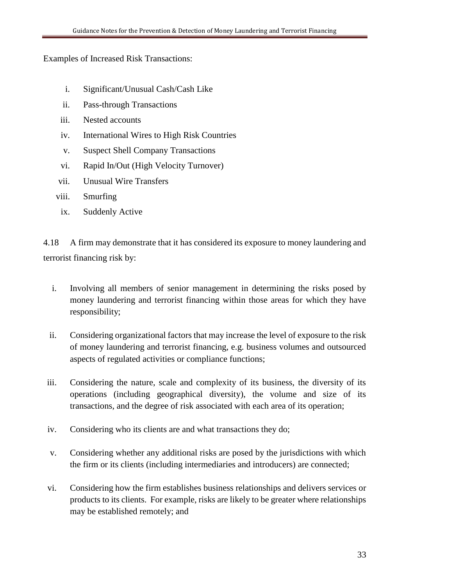#### Examples of Increased Risk Transactions:

- i. Significant/Unusual Cash/Cash Like
- ii. Pass-through Transactions
- iii. Nested accounts
- iv. International Wires to High Risk Countries
- v. Suspect Shell Company Transactions
- vi. Rapid In/Out (High Velocity Turnover)
- vii. Unusual Wire Transfers
- viii. Smurfing
- ix. Suddenly Active

4.18 A firm may demonstrate that it has considered its exposure to money laundering and terrorist financing risk by:

- i. Involving all members of senior management in determining the risks posed by money laundering and terrorist financing within those areas for which they have responsibility;
- ii. Considering organizational factors that may increase the level of exposure to the risk of money laundering and terrorist financing, e.g. business volumes and outsourced aspects of regulated activities or compliance functions;
- iii. Considering the nature, scale and complexity of its business, the diversity of its operations (including geographical diversity), the volume and size of its transactions, and the degree of risk associated with each area of its operation;
- iv. Considering who its clients are and what transactions they do;
- v. Considering whether any additional risks are posed by the jurisdictions with which the firm or its clients (including intermediaries and introducers) are connected;
- vi. Considering how the firm establishes business relationships and delivers services or products to its clients. For example, risks are likely to be greater where relationships may be established remotely; and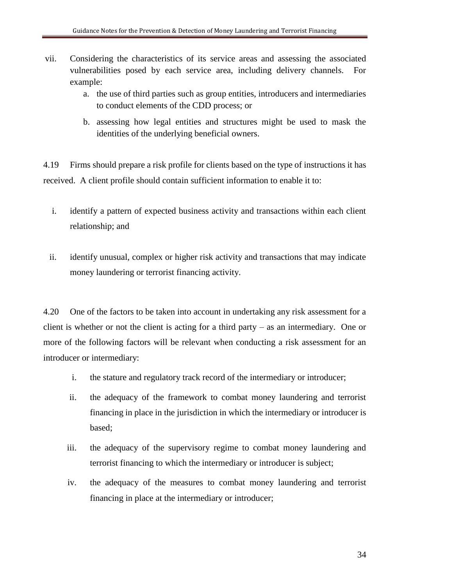- vii. Considering the characteristics of its service areas and assessing the associated vulnerabilities posed by each service area, including delivery channels. For example:
	- a. the use of third parties such as group entities, introducers and intermediaries to conduct elements of the CDD process; or
	- b. assessing how legal entities and structures might be used to mask the identities of the underlying beneficial owners.

4.19 Firms should prepare a risk profile for clients based on the type of instructions it has received. A client profile should contain sufficient information to enable it to:

- i. identify a pattern of expected business activity and transactions within each client relationship; and
- ii. identify unusual, complex or higher risk activity and transactions that may indicate money laundering or terrorist financing activity.

4.20 One of the factors to be taken into account in undertaking any risk assessment for a client is whether or not the client is acting for a third party – as an intermediary. One or more of the following factors will be relevant when conducting a risk assessment for an introducer or intermediary:

- i. the stature and regulatory track record of the intermediary or introducer;
- ii. the adequacy of the framework to combat money laundering and terrorist financing in place in the jurisdiction in which the intermediary or introducer is based;
- iii. the adequacy of the supervisory regime to combat money laundering and terrorist financing to which the intermediary or introducer is subject;
- iv. the adequacy of the measures to combat money laundering and terrorist financing in place at the intermediary or introducer;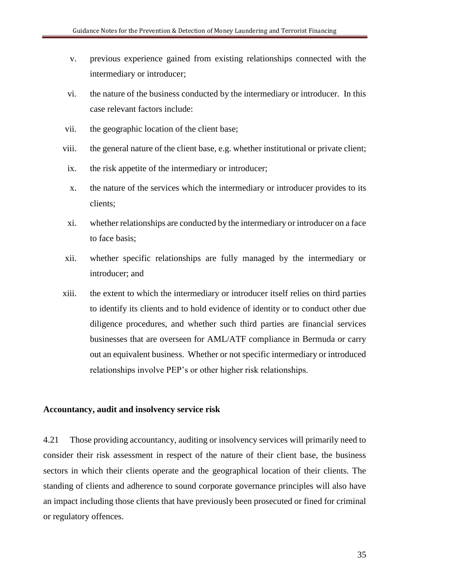- v. previous experience gained from existing relationships connected with the intermediary or introducer;
- vi. the nature of the business conducted by the intermediary or introducer. In this case relevant factors include:
- vii. the geographic location of the client base;
- viii. the general nature of the client base, e.g. whether institutional or private client;
- ix. the risk appetite of the intermediary or introducer;
- x. the nature of the services which the intermediary or introducer provides to its clients;
- xi. whether relationships are conducted by the intermediary or introducer on a face to face basis;
- xii. whether specific relationships are fully managed by the intermediary or introducer; and
- xiii. the extent to which the intermediary or introducer itself relies on third parties to identify its clients and to hold evidence of identity or to conduct other due diligence procedures, and whether such third parties are financial services businesses that are overseen for AML/ATF compliance in Bermuda or carry out an equivalent business. Whether or not specific intermediary or introduced relationships involve PEP's or other higher risk relationships.

#### **Accountancy, audit and insolvency service risk**

4.21 Those providing accountancy, auditing or insolvency services will primarily need to consider their risk assessment in respect of the nature of their client base, the business sectors in which their clients operate and the geographical location of their clients. The standing of clients and adherence to sound corporate governance principles will also have an impact including those clients that have previously been prosecuted or fined for criminal or regulatory offences.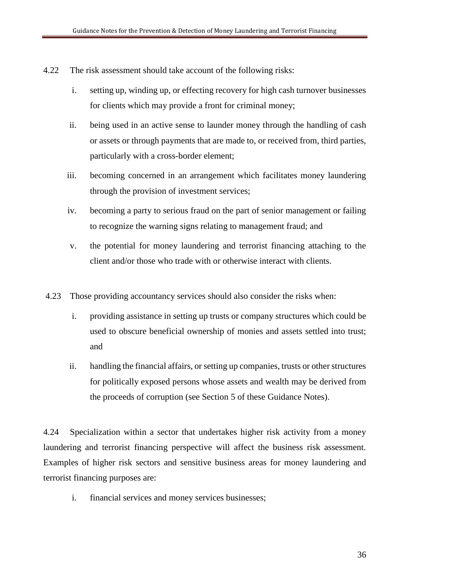- 4.22 The risk assessment should take account of the following risks:
	- i. setting up, winding up, or effecting recovery for high cash turnover businesses for clients which may provide a front for criminal money;
	- ii. being used in an active sense to launder money through the handling of cash or assets or through payments that are made to, or received from, third parties, particularly with a cross-border element;
	- iii. becoming concerned in an arrangement which facilitates money laundering through the provision of investment services;
	- iv. becoming a party to serious fraud on the part of senior management or failing to recognize the warning signs relating to management fraud; and
	- v. the potential for money laundering and terrorist financing attaching to the client and/or those who trade with or otherwise interact with clients.
- 4.23 Those providing accountancy services should also consider the risks when:
	- i. providing assistance in setting up trusts or company structures which could be used to obscure beneficial ownership of monies and assets settled into trust; and
	- ii. handling the financial affairs, or setting up companies, trusts or other structures for politically exposed persons whose assets and wealth may be derived from the proceeds of corruption (see Section 5 of these Guidance Notes).

4.24 Specialization within a sector that undertakes higher risk activity from a money laundering and terrorist financing perspective will affect the business risk assessment. Examples of higher risk sectors and sensitive business areas for money laundering and terrorist financing purposes are:

i. financial services and money services businesses;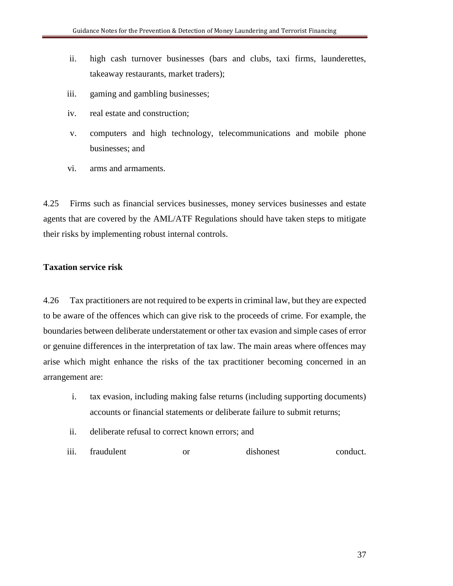- ii. high cash turnover businesses (bars and clubs, taxi firms, launderettes, takeaway restaurants, market traders);
- iii. gaming and gambling businesses;
- iv. real estate and construction;
- v. computers and high technology, telecommunications and mobile phone businesses; and
- vi. arms and armaments.

4.25 Firms such as financial services businesses, money services businesses and estate agents that are covered by the AML/ATF Regulations should have taken steps to mitigate their risks by implementing robust internal controls.

# **Taxation service risk**

4.26 Tax practitioners are not required to be experts in criminal law, but they are expected to be aware of the offences which can give risk to the proceeds of crime. For example, the boundaries between deliberate understatement or other tax evasion and simple cases of error or genuine differences in the interpretation of tax law. The main areas where offences may arise which might enhance the risks of the tax practitioner becoming concerned in an arrangement are:

- i. tax evasion, including making false returns (including supporting documents) accounts or financial statements or deliberate failure to submit returns;
- ii. deliberate refusal to correct known errors; and
- iii. fraudulent or dishonest conduct.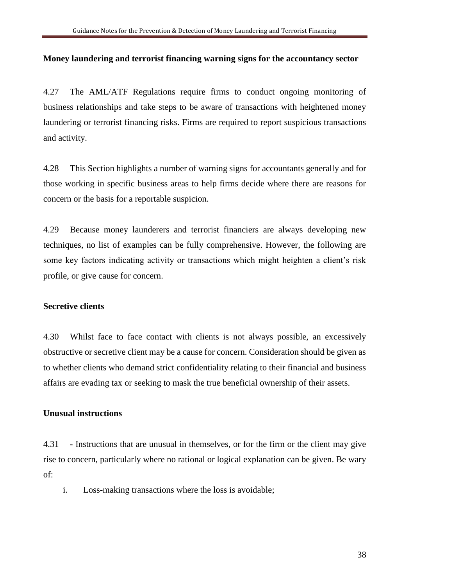#### **Money laundering and terrorist financing warning signs for the accountancy sector**

4.27 The AML/ATF Regulations require firms to conduct ongoing monitoring of business relationships and take steps to be aware of transactions with heightened money laundering or terrorist financing risks. Firms are required to report suspicious transactions and activity.

4.28 This Section highlights a number of warning signs for accountants generally and for those working in specific business areas to help firms decide where there are reasons for concern or the basis for a reportable suspicion.

4.29 Because money launderers and terrorist financiers are always developing new techniques, no list of examples can be fully comprehensive. However, the following are some key factors indicating activity or transactions which might heighten a client's risk profile, or give cause for concern.

#### **Secretive clients**

4.30 Whilst face to face contact with clients is not always possible, an excessively obstructive or secretive client may be a cause for concern. Consideration should be given as to whether clients who demand strict confidentiality relating to their financial and business affairs are evading tax or seeking to mask the true beneficial ownership of their assets.

#### **Unusual instructions**

4.31 **-** Instructions that are unusual in themselves, or for the firm or the client may give rise to concern, particularly where no rational or logical explanation can be given. Be wary of:

i. Loss-making transactions where the loss is avoidable;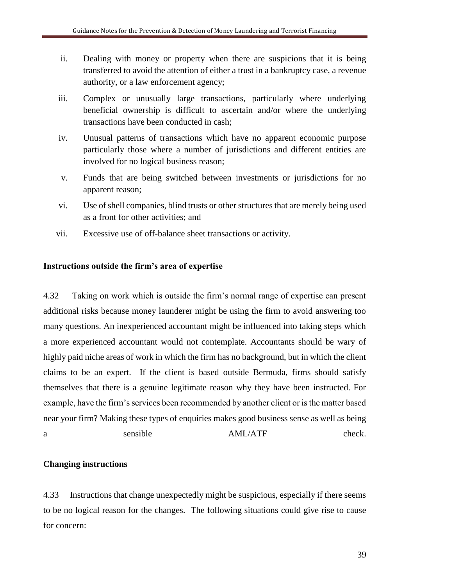- ii. Dealing with money or property when there are suspicions that it is being transferred to avoid the attention of either a trust in a bankruptcy case, a revenue authority, or a law enforcement agency;
- iii. Complex or unusually large transactions, particularly where underlying beneficial ownership is difficult to ascertain and/or where the underlying transactions have been conducted in cash;
- iv. Unusual patterns of transactions which have no apparent economic purpose particularly those where a number of jurisdictions and different entities are involved for no logical business reason;
- v. Funds that are being switched between investments or jurisdictions for no apparent reason;
- vi. Use of shell companies, blind trusts or other structures that are merely being used as a front for other activities; and
- vii. Excessive use of off-balance sheet transactions or activity.

# **Instructions outside the firm's area of expertise**

4.32 Taking on work which is outside the firm's normal range of expertise can present additional risks because money launderer might be using the firm to avoid answering too many questions. An inexperienced accountant might be influenced into taking steps which a more experienced accountant would not contemplate. Accountants should be wary of highly paid niche areas of work in which the firm has no background, but in which the client claims to be an expert. If the client is based outside Bermuda, firms should satisfy themselves that there is a genuine legitimate reason why they have been instructed. For example, have the firm's services been recommended by another client or is the matter based near your firm? Making these types of enquiries makes good business sense as well as being a sensible AML/ATF check.

## **Changing instructions**

4.33 Instructions that change unexpectedly might be suspicious, especially if there seems to be no logical reason for the changes. The following situations could give rise to cause for concern: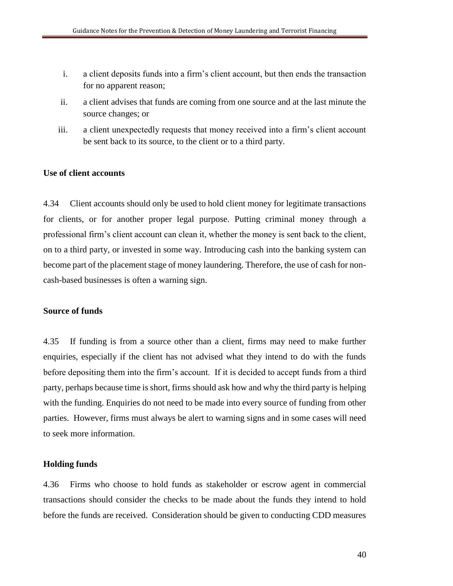- i. a client deposits funds into a firm's client account, but then ends the transaction for no apparent reason;
- ii. a client advises that funds are coming from one source and at the last minute the source changes; or
- iii. a client unexpectedly requests that money received into a firm's client account be sent back to its source, to the client or to a third party.

#### **Use of client accounts**

4.34 Client accounts should only be used to hold client money for legitimate transactions for clients, or for another proper legal purpose. Putting criminal money through a professional firm's client account can clean it, whether the money is sent back to the client, on to a third party, or invested in some way. Introducing cash into the banking system can become part of the placement stage of money laundering. Therefore, the use of cash for noncash-based businesses is often a warning sign.

#### **Source of funds**

4.35 If funding is from a source other than a client, firms may need to make further enquiries, especially if the client has not advised what they intend to do with the funds before depositing them into the firm's account. If it is decided to accept funds from a third party, perhaps because time is short, firms should ask how and why the third party is helping with the funding. Enquiries do not need to be made into every source of funding from other parties. However, firms must always be alert to warning signs and in some cases will need to seek more information.

#### **Holding funds**

4.36 Firms who choose to hold funds as stakeholder or escrow agent in commercial transactions should consider the checks to be made about the funds they intend to hold before the funds are received. Consideration should be given to conducting CDD measures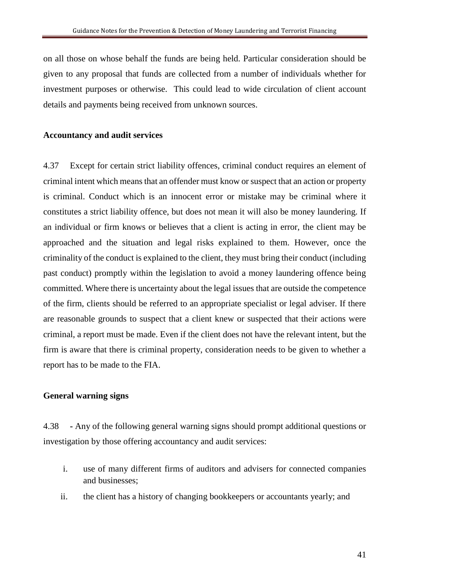on all those on whose behalf the funds are being held. Particular consideration should be given to any proposal that funds are collected from a number of individuals whether for investment purposes or otherwise. This could lead to wide circulation of client account details and payments being received from unknown sources.

#### **Accountancy and audit services**

4.37 Except for certain strict liability offences, criminal conduct requires an element of criminal intent which means that an offender must know or suspect that an action or property is criminal. Conduct which is an innocent error or mistake may be criminal where it constitutes a strict liability offence, but does not mean it will also be money laundering. If an individual or firm knows or believes that a client is acting in error, the client may be approached and the situation and legal risks explained to them. However, once the criminality of the conduct is explained to the client, they must bring their conduct (including past conduct) promptly within the legislation to avoid a money laundering offence being committed. Where there is uncertainty about the legal issues that are outside the competence of the firm, clients should be referred to an appropriate specialist or legal adviser. If there are reasonable grounds to suspect that a client knew or suspected that their actions were criminal, a report must be made. Even if the client does not have the relevant intent, but the firm is aware that there is criminal property, consideration needs to be given to whether a report has to be made to the FIA.

#### **General warning signs**

4.38 **-** Any of the following general warning signs should prompt additional questions or investigation by those offering accountancy and audit services:

- i. use of many different firms of auditors and advisers for connected companies and businesses;
- ii. the client has a history of changing bookkeepers or accountants yearly; and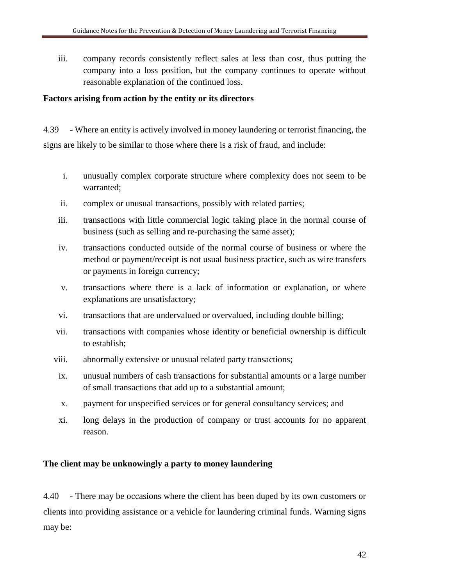iii. company records consistently reflect sales at less than cost, thus putting the company into a loss position, but the company continues to operate without reasonable explanation of the continued loss.

## **Factors arising from action by the entity or its directors**

4.39 - Where an entity is actively involved in money laundering or terrorist financing, the signs are likely to be similar to those where there is a risk of fraud, and include:

- i. unusually complex corporate structure where complexity does not seem to be warranted;
- ii. complex or unusual transactions, possibly with related parties;
- iii. transactions with little commercial logic taking place in the normal course of business (such as selling and re-purchasing the same asset);
- iv. transactions conducted outside of the normal course of business or where the method or payment/receipt is not usual business practice, such as wire transfers or payments in foreign currency;
- v. transactions where there is a lack of information or explanation, or where explanations are unsatisfactory;
- vi. transactions that are undervalued or overvalued, including double billing;
- vii. transactions with companies whose identity or beneficial ownership is difficult to establish;
- viii. abnormally extensive or unusual related party transactions;
- ix. unusual numbers of cash transactions for substantial amounts or a large number of small transactions that add up to a substantial amount;
- x. payment for unspecified services or for general consultancy services; and
- xi. long delays in the production of company or trust accounts for no apparent reason.

# **The client may be unknowingly a party to money laundering**

4.40 - There may be occasions where the client has been duped by its own customers or clients into providing assistance or a vehicle for laundering criminal funds. Warning signs may be: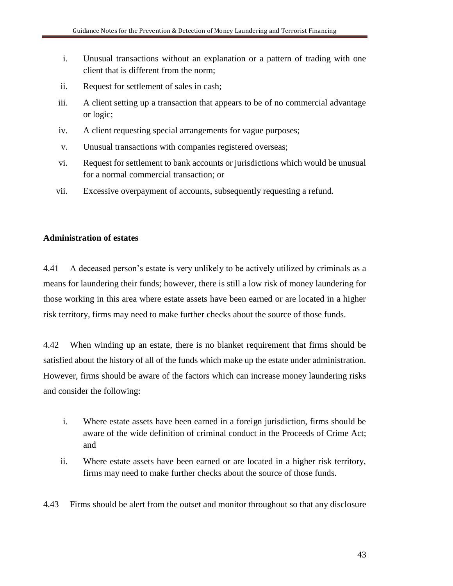- i. Unusual transactions without an explanation or a pattern of trading with one client that is different from the norm;
- ii. Request for settlement of sales in cash;
- iii. A client setting up a transaction that appears to be of no commercial advantage or logic;
- iv. A client requesting special arrangements for vague purposes;
- v. Unusual transactions with companies registered overseas;
- vi. Request for settlement to bank accounts or jurisdictions which would be unusual for a normal commercial transaction; or
- vii. Excessive overpayment of accounts, subsequently requesting a refund.

# **Administration of estates**

4.41 A deceased person's estate is very unlikely to be actively utilized by criminals as a means for laundering their funds; however, there is still a low risk of money laundering for those working in this area where estate assets have been earned or are located in a higher risk territory, firms may need to make further checks about the source of those funds.

4.42 When winding up an estate, there is no blanket requirement that firms should be satisfied about the history of all of the funds which make up the estate under administration. However, firms should be aware of the factors which can increase money laundering risks and consider the following:

- i. Where estate assets have been earned in a foreign jurisdiction, firms should be aware of the wide definition of criminal conduct in the Proceeds of Crime Act; and
- ii. Where estate assets have been earned or are located in a higher risk territory, firms may need to make further checks about the source of those funds.
- 4.43 Firms should be alert from the outset and monitor throughout so that any disclosure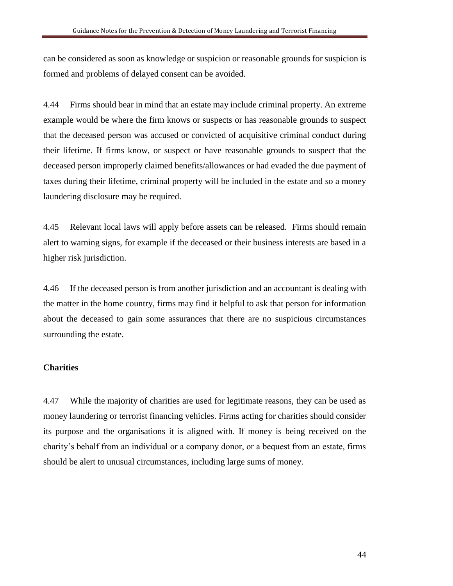can be considered as soon as knowledge or suspicion or reasonable grounds for suspicion is formed and problems of delayed consent can be avoided.

4.44 Firms should bear in mind that an estate may include criminal property. An extreme example would be where the firm knows or suspects or has reasonable grounds to suspect that the deceased person was accused or convicted of acquisitive criminal conduct during their lifetime. If firms know, or suspect or have reasonable grounds to suspect that the deceased person improperly claimed benefits/allowances or had evaded the due payment of taxes during their lifetime, criminal property will be included in the estate and so a money laundering disclosure may be required.

4.45 Relevant local laws will apply before assets can be released. Firms should remain alert to warning signs, for example if the deceased or their business interests are based in a higher risk jurisdiction.

4.46 If the deceased person is from another jurisdiction and an accountant is dealing with the matter in the home country, firms may find it helpful to ask that person for information about the deceased to gain some assurances that there are no suspicious circumstances surrounding the estate.

#### **Charities**

4.47 While the majority of charities are used for legitimate reasons, they can be used as money laundering or terrorist financing vehicles. Firms acting for charities should consider its purpose and the organisations it is aligned with. If money is being received on the charity's behalf from an individual or a company donor, or a bequest from an estate, firms should be alert to unusual circumstances, including large sums of money.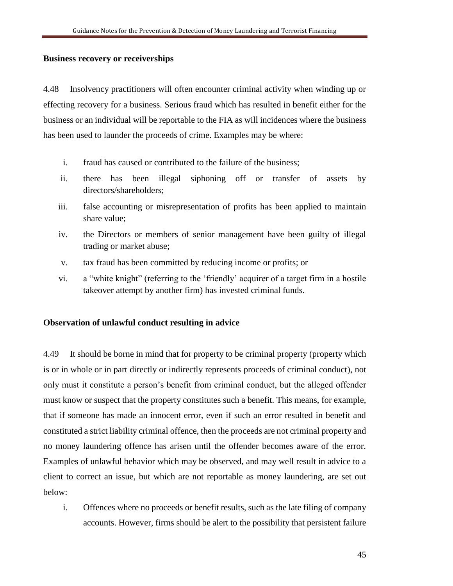#### **Business recovery or receiverships**

4.48 Insolvency practitioners will often encounter criminal activity when winding up or effecting recovery for a business. Serious fraud which has resulted in benefit either for the business or an individual will be reportable to the FIA as will incidences where the business has been used to launder the proceeds of crime. Examples may be where:

- i. fraud has caused or contributed to the failure of the business;
- ii. there has been illegal siphoning off or transfer of assets by directors/shareholders;
- iii. false accounting or misrepresentation of profits has been applied to maintain share value;
- iv. the Directors or members of senior management have been guilty of illegal trading or market abuse;
- v. tax fraud has been committed by reducing income or profits; or
- vi. a "white knight" (referring to the 'friendly' acquirer of a target firm in a hostile takeover attempt by another firm) has invested criminal funds.

## **Observation of unlawful conduct resulting in advice**

4.49 It should be borne in mind that for property to be criminal property (property which is or in whole or in part directly or indirectly represents proceeds of criminal conduct), not only must it constitute a person's benefit from criminal conduct, but the alleged offender must know or suspect that the property constitutes such a benefit. This means, for example, that if someone has made an innocent error, even if such an error resulted in benefit and constituted a strict liability criminal offence, then the proceeds are not criminal property and no money laundering offence has arisen until the offender becomes aware of the error. Examples of unlawful behavior which may be observed, and may well result in advice to a client to correct an issue, but which are not reportable as money laundering, are set out below:

i. Offences where no proceeds or benefit results, such as the late filing of company accounts. However, firms should be alert to the possibility that persistent failure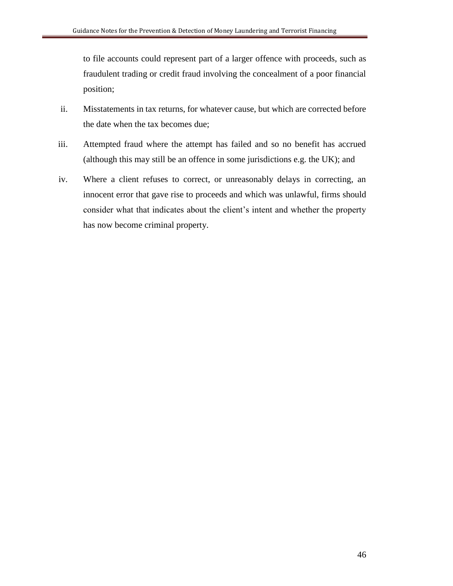to file accounts could represent part of a larger offence with proceeds, such as fraudulent trading or credit fraud involving the concealment of a poor financial position;

- ii. Misstatements in tax returns, for whatever cause, but which are corrected before the date when the tax becomes due;
- iii. Attempted fraud where the attempt has failed and so no benefit has accrued (although this may still be an offence in some jurisdictions e.g. the UK); and
- iv. Where a client refuses to correct, or unreasonably delays in correcting, an innocent error that gave rise to proceeds and which was unlawful, firms should consider what that indicates about the client's intent and whether the property has now become criminal property.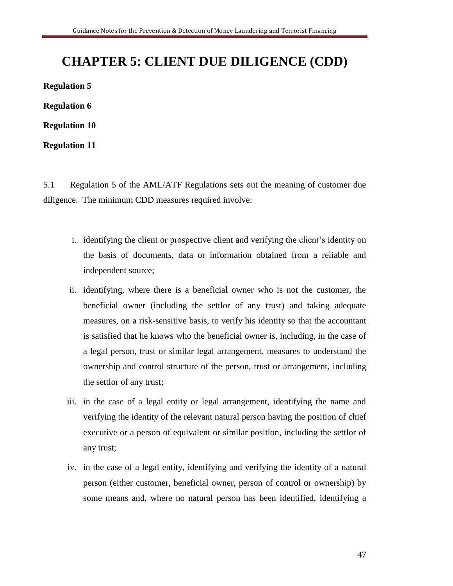# **CHAPTER 5: CLIENT DUE DILIGENCE (CDD)**

**Regulation 5 Regulation 6**

**Regulation 10**

**Regulation 11**

5.1 Regulation 5 of the AML/ATF Regulations sets out the meaning of customer due diligence. The minimum CDD measures required involve:

- i. identifying the client or prospective client and verifying the client's identity on the basis of documents, data or information obtained from a reliable and independent source;
- ii. identifying, where there is a beneficial owner who is not the customer, the beneficial owner (including the settlor of any trust) and taking adequate measures, on a risk-sensitive basis, to verify his identity so that the accountant is satisfied that he knows who the beneficial owner is, including, in the case of a legal person, trust or similar legal arrangement, measures to understand the ownership and control structure of the person, trust or arrangement, including the settlor of any trust;
- iii. in the case of a legal entity or legal arrangement, identifying the name and verifying the identity of the relevant natural person having the position of chief executive or a person of equivalent or similar position, including the settlor of any trust;
- iv. in the case of a legal entity, identifying and verifying the identity of a natural person (either customer, beneficial owner, person of control or ownership) by some means and, where no natural person has been identified, identifying a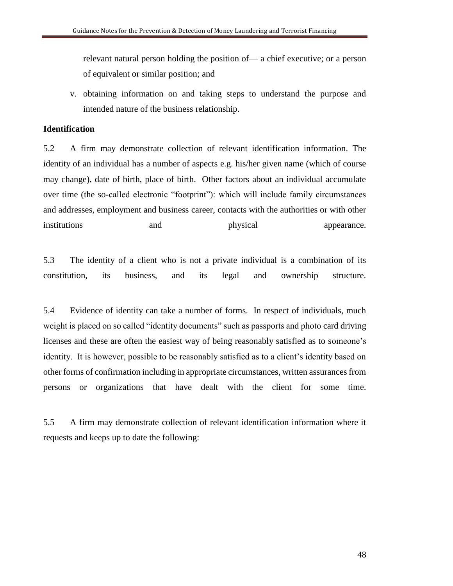relevant natural person holding the position of— a chief executive; or a person of equivalent or similar position; and

v. obtaining information on and taking steps to understand the purpose and intended nature of the business relationship.

# **Identification**

5.2 A firm may demonstrate collection of relevant identification information. The identity of an individual has a number of aspects e.g. his/her given name (which of course may change), date of birth, place of birth. Other factors about an individual accumulate over time (the so-called electronic "footprint"): which will include family circumstances and addresses, employment and business career, contacts with the authorities or with other institutions and physical appearance.

5.3 The identity of a client who is not a private individual is a combination of its constitution, its business, and its legal and ownership structure.

5.4 Evidence of identity can take a number of forms. In respect of individuals, much weight is placed on so called "identity documents" such as passports and photo card driving licenses and these are often the easiest way of being reasonably satisfied as to someone's identity. It is however, possible to be reasonably satisfied as to a client's identity based on other forms of confirmation including in appropriate circumstances, written assurances from persons or organizations that have dealt with the client for some time.

5.5 A firm may demonstrate collection of relevant identification information where it requests and keeps up to date the following: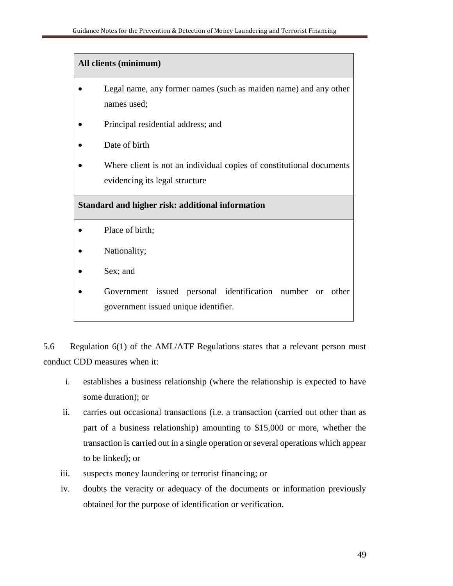# **All clients (minimum)**

- Legal name, any former names (such as maiden name) and any other names used;
- Principal residential address; and
- Date of birth
- Where client is not an individual copies of constitutional documents evidencing its legal structure

# **Standard and higher risk: additional information**

- Place of birth;
- Nationality;
- Sex; and
- Government issued personal identification number or other government issued unique identifier.

5.6 Regulation 6(1) of the AML/ATF Regulations states that a relevant person must conduct CDD measures when it:

- i. establishes a business relationship (where the relationship is expected to have some duration); or
- ii. carries out occasional transactions (i.e. a transaction (carried out other than as part of a business relationship) amounting to \$15,000 or more, whether the transaction is carried out in a single operation or several operations which appear to be linked); or
- iii. suspects money laundering or terrorist financing; or
- iv. doubts the veracity or adequacy of the documents or information previously obtained for the purpose of identification or verification.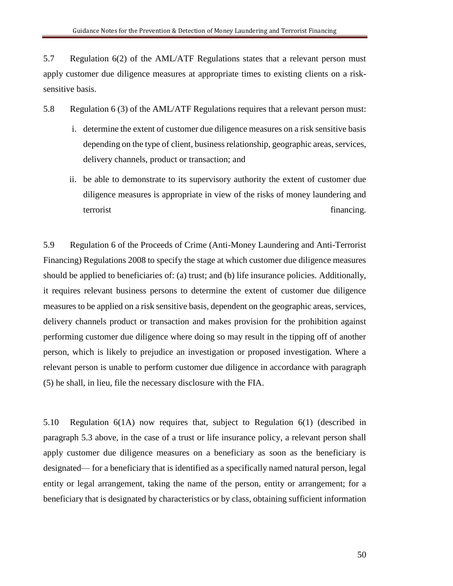5.7 Regulation 6(2) of the AML/ATF Regulations states that a relevant person must apply customer due diligence measures at appropriate times to existing clients on a risksensitive basis.

5.8 Regulation 6 (3) of the AML/ATF Regulations requires that a relevant person must:

- i. determine the extent of customer due diligence measures on a risk sensitive basis depending on the type of client, business relationship, geographic areas, services, delivery channels, product or transaction; and
- ii. be able to demonstrate to its supervisory authority the extent of customer due diligence measures is appropriate in view of the risks of money laundering and terrorist financing.

5.9 Regulation 6 of the Proceeds of Crime (Anti-Money Laundering and Anti-Terrorist Financing) Regulations 2008 to specify the stage at which customer due diligence measures should be applied to beneficiaries of: (a) trust; and (b) life insurance policies. Additionally, it requires relevant business persons to determine the extent of customer due diligence measures to be applied on a risk sensitive basis, dependent on the geographic areas, services, delivery channels product or transaction and makes provision for the prohibition against performing customer due diligence where doing so may result in the tipping off of another person, which is likely to prejudice an investigation or proposed investigation. Where a relevant person is unable to perform customer due diligence in accordance with paragraph (5) he shall, in lieu, file the necessary disclosure with the FIA.

5.10 Regulation 6(1A) now requires that, subject to Regulation 6(1) (described in paragraph 5.3 above, in the case of a trust or life insurance policy, a relevant person shall apply customer due diligence measures on a beneficiary as soon as the beneficiary is designated— for a beneficiary that is identified as a specifically named natural person, legal entity or legal arrangement, taking the name of the person, entity or arrangement; for a beneficiary that is designated by characteristics or by class, obtaining sufficient information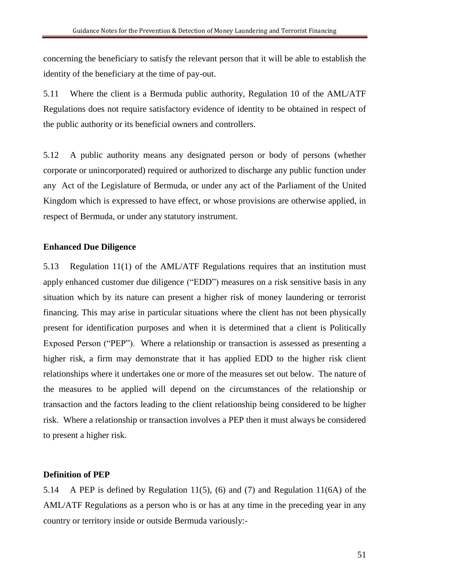concerning the beneficiary to satisfy the relevant person that it will be able to establish the identity of the beneficiary at the time of pay-out.

5.11 Where the client is a Bermuda public authority, Regulation 10 of the AML/ATF Regulations does not require satisfactory evidence of identity to be obtained in respect of the public authority or its beneficial owners and controllers.

5.12 A public authority means any designated person or body of persons (whether corporate or unincorporated) required or authorized to discharge any public function under any Act of the Legislature of Bermuda, or under any act of the Parliament of the United Kingdom which is expressed to have effect, or whose provisions are otherwise applied, in respect of Bermuda, or under any statutory instrument.

#### **Enhanced Due Diligence**

5.13 Regulation 11(1) of the AML/ATF Regulations requires that an institution must apply enhanced customer due diligence ("EDD") measures on a risk sensitive basis in any situation which by its nature can present a higher risk of money laundering or terrorist financing. This may arise in particular situations where the client has not been physically present for identification purposes and when it is determined that a client is Politically Exposed Person ("PEP"). Where a relationship or transaction is assessed as presenting a higher risk, a firm may demonstrate that it has applied EDD to the higher risk client relationships where it undertakes one or more of the measures set out below. The nature of the measures to be applied will depend on the circumstances of the relationship or transaction and the factors leading to the client relationship being considered to be higher risk. Where a relationship or transaction involves a PEP then it must always be considered to present a higher risk.

#### **Definition of PEP**

5.14 A PEP is defined by Regulation 11(5), (6) and (7) and Regulation 11(6A) of the AML/ATF Regulations as a person who is or has at any time in the preceding year in any country or territory inside or outside Bermuda variously:-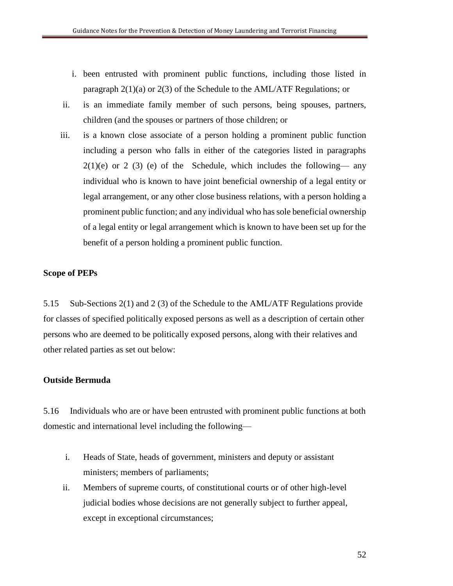- i. been entrusted with prominent public functions, including those listed in paragraph 2(1)(a) or 2(3) of the Schedule to the AML/ATF Regulations; or
- ii. is an immediate family member of such persons, being spouses, partners, children (and the spouses or partners of those children; or
- iii. is a known close associate of a person holding a prominent public function including a person who falls in either of the categories listed in paragraphs  $2(1)(e)$  or 2 (3) (e) of the Schedule, which includes the following— any individual who is known to have joint beneficial ownership of a legal entity or legal arrangement, or any other close business relations, with a person holding a prominent public function; and any individual who has sole beneficial ownership of a legal entity or legal arrangement which is known to have been set up for the benefit of a person holding a prominent public function.

## **Scope of PEPs**

5.15 Sub-Sections 2(1) and 2 (3) of the Schedule to the AML/ATF Regulations provide for classes of specified politically exposed persons as well as a description of certain other persons who are deemed to be politically exposed persons, along with their relatives and other related parties as set out below:

## **Outside Bermuda**

5.16 Individuals who are or have been entrusted with prominent public functions at both domestic and international level including the following—

- i. Heads of State, heads of government, ministers and deputy or assistant ministers; members of parliaments;
- ii. Members of supreme courts, of constitutional courts or of other high-level judicial bodies whose decisions are not generally subject to further appeal, except in exceptional circumstances;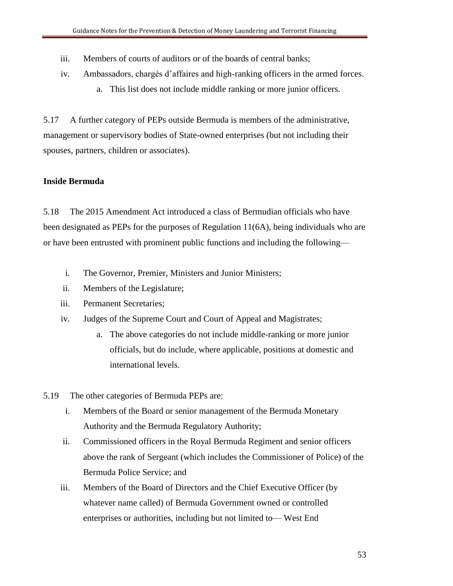- iii. Members of courts of auditors or of the boards of central banks;
- iv. Ambassadors, chargés d'affaires and high-ranking officers in the armed forces.
	- a. This list does not include middle ranking or more junior officers.

5.17 A further category of PEPs outside Bermuda is members of the administrative, management or supervisory bodies of State-owned enterprises (but not including their spouses, partners, children or associates).

# **Inside Bermuda**

5.18 The 2015 Amendment Act introduced a class of Bermudian officials who have been designated as PEPs for the purposes of Regulation 11(6A), being individuals who are or have been entrusted with prominent public functions and including the following—

- i. The Governor, Premier, Ministers and Junior Ministers;
- ii. Members of the Legislature;
- iii. Permanent Secretaries;
- iv. Judges of the Supreme Court and Court of Appeal and Magistrates;
	- a. The above categories do not include middle-ranking or more junior officials, but do include, where applicable, positions at domestic and international levels.
- 5.19 The other categories of Bermuda PEPs are:
	- i. Members of the Board or senior management of the Bermuda Monetary Authority and the Bermuda Regulatory Authority;
	- ii. Commissioned officers in the Royal Bermuda Regiment and senior officers above the rank of Sergeant (which includes the Commissioner of Police) of the Bermuda Police Service; and
	- iii. Members of the Board of Directors and the Chief Executive Officer (by whatever name called) of Bermuda Government owned or controlled enterprises or authorities, including but not limited to— West End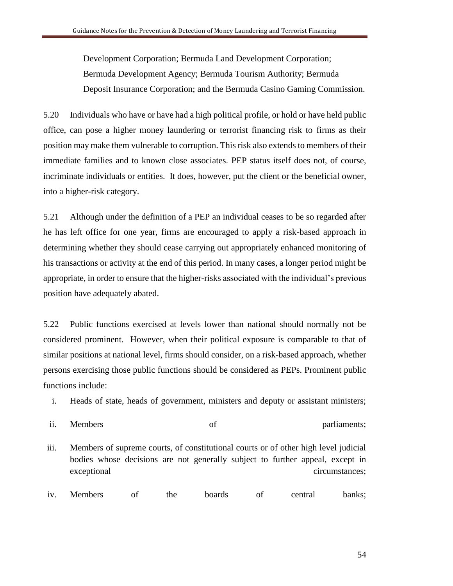Development Corporation; Bermuda Land Development Corporation; Bermuda Development Agency; Bermuda Tourism Authority; Bermuda Deposit Insurance Corporation; and the Bermuda Casino Gaming Commission.

5.20 Individuals who have or have had a high political profile, or hold or have held public office, can pose a higher money laundering or terrorist financing risk to firms as their position may make them vulnerable to corruption. This risk also extends to members of their immediate families and to known close associates. PEP status itself does not, of course, incriminate individuals or entities. It does, however, put the client or the beneficial owner, into a higher-risk category.

5.21 Although under the definition of a PEP an individual ceases to be so regarded after he has left office for one year, firms are encouraged to apply a risk-based approach in determining whether they should cease carrying out appropriately enhanced monitoring of his transactions or activity at the end of this period. In many cases, a longer period might be appropriate, in order to ensure that the higher-risks associated with the individual's previous position have adequately abated.

5.22 Public functions exercised at levels lower than national should normally not be considered prominent. However, when their political exposure is comparable to that of similar positions at national level, firms should consider, on a risk-based approach, whether persons exercising those public functions should be considered as PEPs. Prominent public functions include:

i. Heads of state, heads of government, ministers and deputy or assistant ministers;

ii. Members of parliaments;

- iii. Members of supreme courts, of constitutional courts or of other high level judicial bodies whose decisions are not generally subject to further appeal, except in exceptional circumstances;
- iv. Members of the boards of central banks;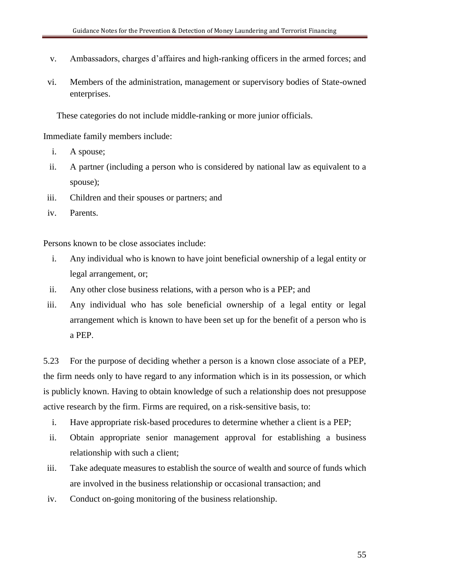- v. Ambassadors, charges d'affaires and high-ranking officers in the armed forces; and
- vi. Members of the administration, management or supervisory bodies of State-owned enterprises.

These categories do not include middle-ranking or more junior officials.

Immediate family members include:

- i. A spouse;
- ii. A partner (including a person who is considered by national law as equivalent to a spouse);
- iii. Children and their spouses or partners; and
- iv. Parents.

Persons known to be close associates include:

- i. Any individual who is known to have joint beneficial ownership of a legal entity or legal arrangement, or;
- ii. Any other close business relations, with a person who is a PEP; and
- iii. Any individual who has sole beneficial ownership of a legal entity or legal arrangement which is known to have been set up for the benefit of a person who is a PEP.

5.23 For the purpose of deciding whether a person is a known close associate of a PEP, the firm needs only to have regard to any information which is in its possession, or which is publicly known. Having to obtain knowledge of such a relationship does not presuppose active research by the firm. Firms are required, on a risk-sensitive basis, to:

- i. Have appropriate risk-based procedures to determine whether a client is a PEP;
- ii. Obtain appropriate senior management approval for establishing a business relationship with such a client;
- iii. Take adequate measures to establish the source of wealth and source of funds which are involved in the business relationship or occasional transaction; and
- iv. Conduct on-going monitoring of the business relationship.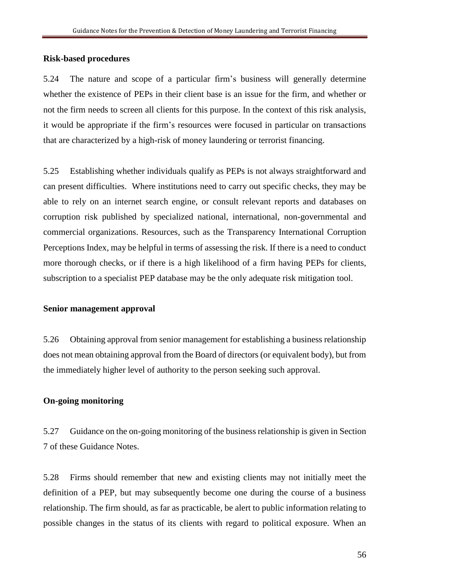#### **Risk-based procedures**

5.24 The nature and scope of a particular firm's business will generally determine whether the existence of PEPs in their client base is an issue for the firm, and whether or not the firm needs to screen all clients for this purpose. In the context of this risk analysis, it would be appropriate if the firm's resources were focused in particular on transactions that are characterized by a high-risk of money laundering or terrorist financing.

5.25 Establishing whether individuals qualify as PEPs is not always straightforward and can present difficulties. Where institutions need to carry out specific checks, they may be able to rely on an internet search engine, or consult relevant reports and databases on corruption risk published by specialized national, international, non-governmental and commercial organizations. Resources, such as the Transparency International Corruption Perceptions Index, may be helpful in terms of assessing the risk. If there is a need to conduct more thorough checks, or if there is a high likelihood of a firm having PEPs for clients, subscription to a specialist PEP database may be the only adequate risk mitigation tool.

#### **Senior management approval**

5.26 Obtaining approval from senior management for establishing a business relationship does not mean obtaining approval from the Board of directors (or equivalent body), but from the immediately higher level of authority to the person seeking such approval.

#### **On-going monitoring**

5.27 Guidance on the on-going monitoring of the business relationship is given in Section 7 of these Guidance Notes.

5.28 Firms should remember that new and existing clients may not initially meet the definition of a PEP, but may subsequently become one during the course of a business relationship. The firm should, as far as practicable, be alert to public information relating to possible changes in the status of its clients with regard to political exposure. When an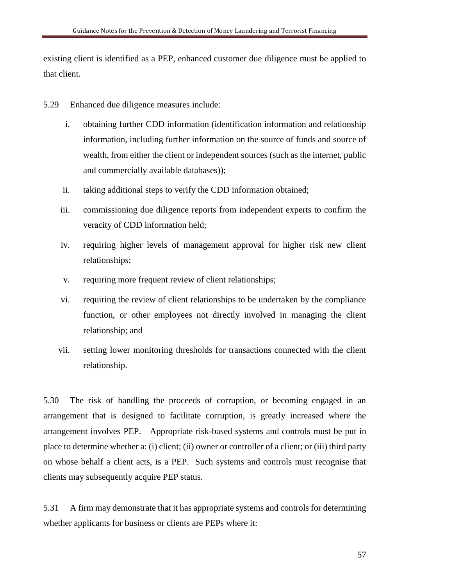existing client is identified as a PEP, enhanced customer due diligence must be applied to that client.

- 5.29 Enhanced due diligence measures include:
	- i. obtaining further CDD information (identification information and relationship information, including further information on the source of funds and source of wealth, from either the client or independent sources (such as the internet, public and commercially available databases));
	- ii. taking additional steps to verify the CDD information obtained;
	- iii. commissioning due diligence reports from independent experts to confirm the veracity of CDD information held;
	- iv. requiring higher levels of management approval for higher risk new client relationships;
	- v. requiring more frequent review of client relationships;
	- vi. requiring the review of client relationships to be undertaken by the compliance function, or other employees not directly involved in managing the client relationship; and
	- vii. setting lower monitoring thresholds for transactions connected with the client relationship.

5.30 The risk of handling the proceeds of corruption, or becoming engaged in an arrangement that is designed to facilitate corruption, is greatly increased where the arrangement involves PEP. Appropriate risk-based systems and controls must be put in place to determine whether a: (i) client; (ii) owner or controller of a client; or (iii) third party on whose behalf a client acts, is a PEP. Such systems and controls must recognise that clients may subsequently acquire PEP status.

5.31 A firm may demonstrate that it has appropriate systems and controls for determining whether applicants for business or clients are PEPs where it: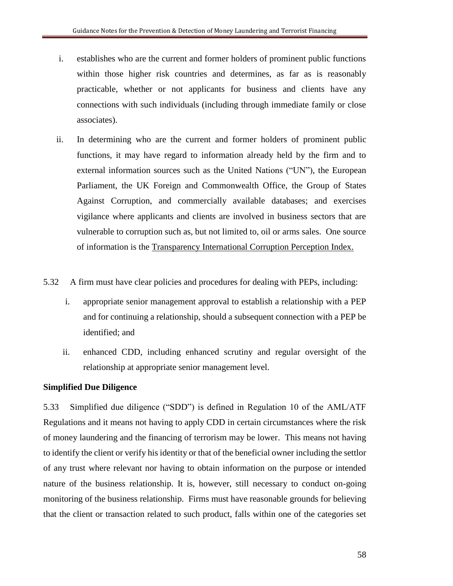- i. establishes who are the current and former holders of prominent public functions within those higher risk countries and determines, as far as is reasonably practicable, whether or not applicants for business and clients have any connections with such individuals (including through immediate family or close associates).
- ii. In determining who are the current and former holders of prominent public functions, it may have regard to information already held by the firm and to external information sources such as the United Nations ("UN"), the European Parliament, the UK Foreign and Commonwealth Office, the Group of States Against Corruption, and commercially available databases; and exercises vigilance where applicants and clients are involved in business sectors that are vulnerable to corruption such as, but not limited to, oil or arms sales. One source of information is the Transparency International Corruption Perception Index.
- 5.32 A firm must have clear policies and procedures for dealing with PEPs, including:
	- i. appropriate senior management approval to establish a relationship with a PEP and for continuing a relationship, should a subsequent connection with a PEP be identified; and
	- ii. enhanced CDD, including enhanced scrutiny and regular oversight of the relationship at appropriate senior management level.

# **Simplified Due Diligence**

5.33 Simplified due diligence ("SDD") is defined in Regulation 10 of the AML/ATF Regulations and it means not having to apply CDD in certain circumstances where the risk of money laundering and the financing of terrorism may be lower. This means not having to identify the client or verify his identity or that of the beneficial owner including the settlor of any trust where relevant nor having to obtain information on the purpose or intended nature of the business relationship. It is, however, still necessary to conduct on-going monitoring of the business relationship. Firms must have reasonable grounds for believing that the client or transaction related to such product, falls within one of the categories set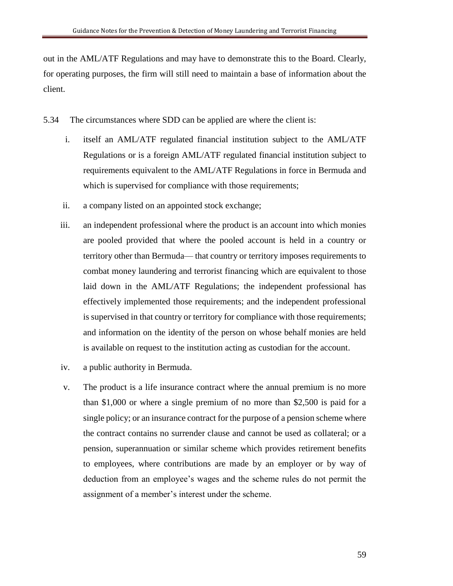out in the AML/ATF Regulations and may have to demonstrate this to the Board. Clearly, for operating purposes, the firm will still need to maintain a base of information about the client.

- 5.34 The circumstances where SDD can be applied are where the client is:
	- i. itself an AML/ATF regulated financial institution subject to the AML/ATF Regulations or is a foreign AML/ATF regulated financial institution subject to requirements equivalent to the AML/ATF Regulations in force in Bermuda and which is supervised for compliance with those requirements;
	- ii. a company listed on an appointed stock exchange;
	- iii. an independent professional where the product is an account into which monies are pooled provided that where the pooled account is held in a country or territory other than Bermuda— that country or territory imposes requirements to combat money laundering and terrorist financing which are equivalent to those laid down in the AML/ATF Regulations; the independent professional has effectively implemented those requirements; and the independent professional is supervised in that country or territory for compliance with those requirements; and information on the identity of the person on whose behalf monies are held is available on request to the institution acting as custodian for the account.
	- iv. a public authority in Bermuda.
	- v. The product is a life insurance contract where the annual premium is no more than \$1,000 or where a single premium of no more than \$2,500 is paid for a single policy; or an insurance contract for the purpose of a pension scheme where the contract contains no surrender clause and cannot be used as collateral; or a pension, superannuation or similar scheme which provides retirement benefits to employees, where contributions are made by an employer or by way of deduction from an employee's wages and the scheme rules do not permit the assignment of a member's interest under the scheme.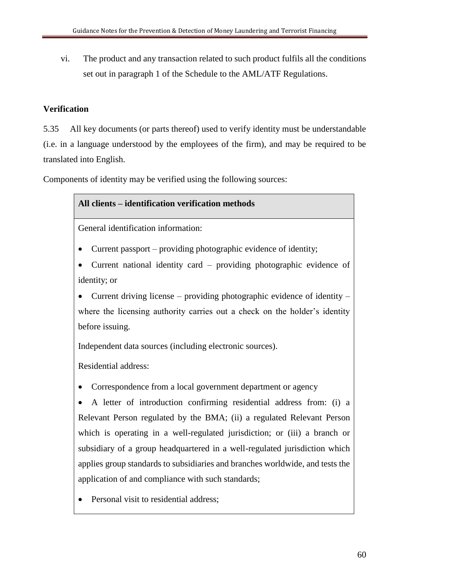vi. The product and any transaction related to such product fulfils all the conditions set out in paragraph 1 of the Schedule to the AML/ATF Regulations.

# **Verification**

5.35 All key documents (or parts thereof) used to verify identity must be understandable (i.e. in a language understood by the employees of the firm), and may be required to be translated into English.

Components of identity may be verified using the following sources:

# **All clients – identification verification methods**

General identification information:

- Current passport providing photographic evidence of identity;
- Current national identity card providing photographic evidence of identity; or
- Current driving license providing photographic evidence of identity where the licensing authority carries out a check on the holder's identity before issuing.

Independent data sources (including electronic sources).

Residential address:

• Correspondence from a local government department or agency

• A letter of introduction confirming residential address from: (i) a Relevant Person regulated by the BMA; (ii) a regulated Relevant Person which is operating in a well-regulated jurisdiction; or (iii) a branch or subsidiary of a group headquartered in a well-regulated jurisdiction which applies group standards to subsidiaries and branches worldwide, and tests the application of and compliance with such standards;

• Personal visit to residential address;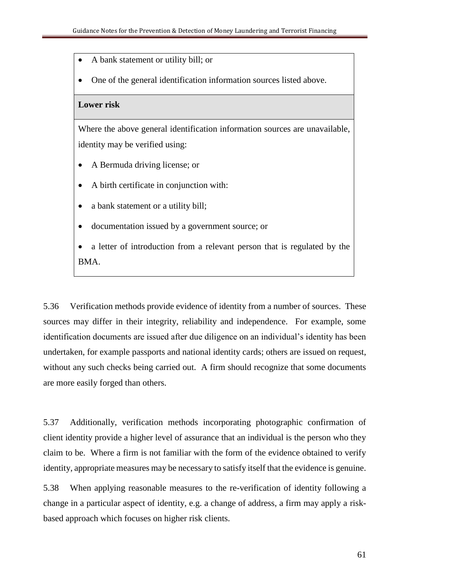- A bank statement or utility bill; or
- One of the general identification information sources listed above.

#### **Lower risk**

Where the above general identification information sources are unavailable, identity may be verified using:

- A Bermuda driving license; or
- A birth certificate in conjunction with:
- a bank statement or a utility bill;
- documentation issued by a government source; or
- a letter of introduction from a relevant person that is regulated by the BMA.

5.36 Verification methods provide evidence of identity from a number of sources. These sources may differ in their integrity, reliability and independence. For example, some identification documents are issued after due diligence on an individual's identity has been undertaken, for example passports and national identity cards; others are issued on request, without any such checks being carried out. A firm should recognize that some documents are more easily forged than others.

5.37 Additionally, verification methods incorporating photographic confirmation of client identity provide a higher level of assurance that an individual is the person who they claim to be. Where a firm is not familiar with the form of the evidence obtained to verify identity, appropriate measures may be necessary to satisfy itself that the evidence is genuine.

5.38 When applying reasonable measures to the re-verification of identity following a change in a particular aspect of identity, e.g. a change of address, a firm may apply a riskbased approach which focuses on higher risk clients.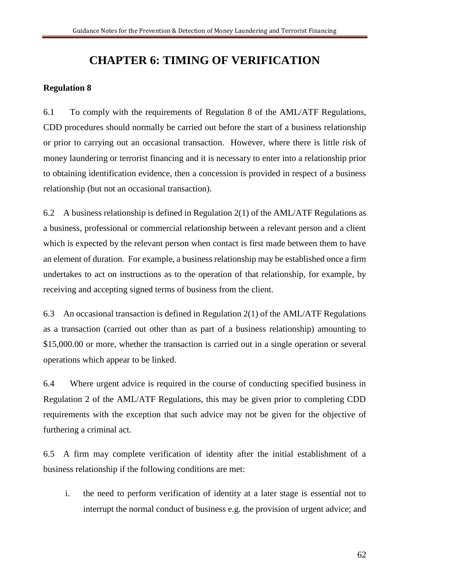# **CHAPTER 6: TIMING OF VERIFICATION**

## **Regulation 8**

6.1 To comply with the requirements of Regulation 8 of the AML/ATF Regulations, CDD procedures should normally be carried out before the start of a business relationship or prior to carrying out an occasional transaction. However, where there is little risk of money laundering or terrorist financing and it is necessary to enter into a relationship prior to obtaining identification evidence, then a concession is provided in respect of a business relationship (but not an occasional transaction).

6.2 A business relationship is defined in Regulation 2(1) of the AML/ATF Regulations as a business, professional or commercial relationship between a relevant person and a client which is expected by the relevant person when contact is first made between them to have an element of duration. For example, a business relationship may be established once a firm undertakes to act on instructions as to the operation of that relationship, for example, by receiving and accepting signed terms of business from the client.

6.3 An occasional transaction is defined in Regulation 2(1) of the AML/ATF Regulations as a transaction (carried out other than as part of a business relationship) amounting to \$15,000.00 or more, whether the transaction is carried out in a single operation or several operations which appear to be linked.

6.4 Where urgent advice is required in the course of conducting specified business in Regulation 2 of the AML/ATF Regulations, this may be given prior to completing CDD requirements with the exception that such advice may not be given for the objective of furthering a criminal act.

6.5 A firm may complete verification of identity after the initial establishment of a business relationship if the following conditions are met:

i. the need to perform verification of identity at a later stage is essential not to interrupt the normal conduct of business e.g. the provision of urgent advice; and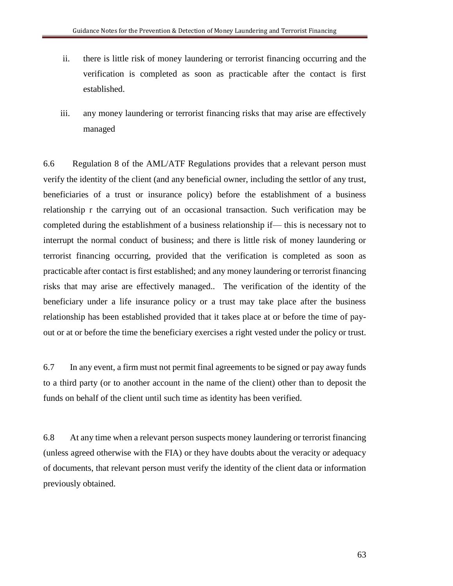- ii. there is little risk of money laundering or terrorist financing occurring and the verification is completed as soon as practicable after the contact is first established.
- iii. any money laundering or terrorist financing risks that may arise are effectively managed

6.6 Regulation 8 of the AML/ATF Regulations provides that a relevant person must verify the identity of the client (and any beneficial owner, including the settlor of any trust, beneficiaries of a trust or insurance policy) before the establishment of a business relationship r the carrying out of an occasional transaction. Such verification may be completed during the establishment of a business relationship if— this is necessary not to interrupt the normal conduct of business; and there is little risk of money laundering or terrorist financing occurring, provided that the verification is completed as soon as practicable after contact is first established; and any money laundering or terrorist financing risks that may arise are effectively managed.. The verification of the identity of the beneficiary under a life insurance policy or a trust may take place after the business relationship has been established provided that it takes place at or before the time of payout or at or before the time the beneficiary exercises a right vested under the policy or trust.

6.7 In any event, a firm must not permit final agreements to be signed or pay away funds to a third party (or to another account in the name of the client) other than to deposit the funds on behalf of the client until such time as identity has been verified.

6.8 At any time when a relevant person suspects money laundering or terrorist financing (unless agreed otherwise with the FIA) or they have doubts about the veracity or adequacy of documents, that relevant person must verify the identity of the client data or information previously obtained.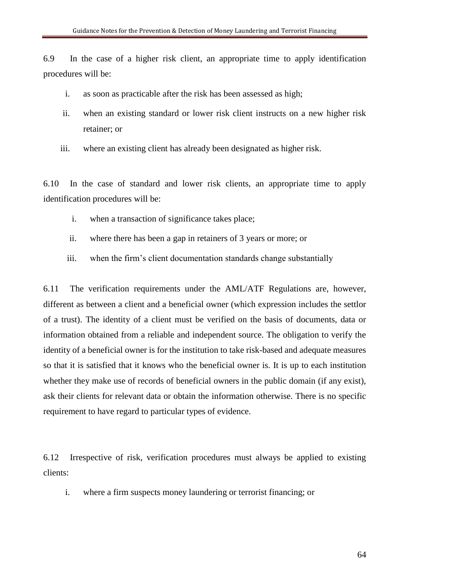6.9 In the case of a higher risk client, an appropriate time to apply identification procedures will be:

- i. as soon as practicable after the risk has been assessed as high;
- ii. when an existing standard or lower risk client instructs on a new higher risk retainer; or
- iii. where an existing client has already been designated as higher risk.

6.10 In the case of standard and lower risk clients, an appropriate time to apply identification procedures will be:

- i. when a transaction of significance takes place;
- ii. where there has been a gap in retainers of 3 years or more; or
- iii. when the firm's client documentation standards change substantially

6.11 The verification requirements under the AML/ATF Regulations are, however, different as between a client and a beneficial owner (which expression includes the settlor of a trust). The identity of a client must be verified on the basis of documents, data or information obtained from a reliable and independent source. The obligation to verify the identity of a beneficial owner is for the institution to take risk-based and adequate measures so that it is satisfied that it knows who the beneficial owner is. It is up to each institution whether they make use of records of beneficial owners in the public domain (if any exist), ask their clients for relevant data or obtain the information otherwise. There is no specific requirement to have regard to particular types of evidence.

6.12 Irrespective of risk, verification procedures must always be applied to existing clients:

i. where a firm suspects money laundering or terrorist financing; or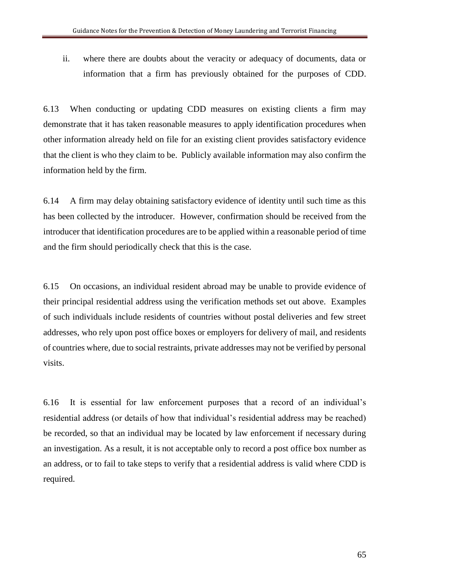ii. where there are doubts about the veracity or adequacy of documents, data or information that a firm has previously obtained for the purposes of CDD.

6.13 When conducting or updating CDD measures on existing clients a firm may demonstrate that it has taken reasonable measures to apply identification procedures when other information already held on file for an existing client provides satisfactory evidence that the client is who they claim to be. Publicly available information may also confirm the information held by the firm.

6.14 A firm may delay obtaining satisfactory evidence of identity until such time as this has been collected by the introducer. However, confirmation should be received from the introducer that identification procedures are to be applied within a reasonable period of time and the firm should periodically check that this is the case.

6.15 On occasions, an individual resident abroad may be unable to provide evidence of their principal residential address using the verification methods set out above. Examples of such individuals include residents of countries without postal deliveries and few street addresses, who rely upon post office boxes or employers for delivery of mail, and residents of countries where, due to social restraints, private addresses may not be verified by personal visits.

6.16 It is essential for law enforcement purposes that a record of an individual's residential address (or details of how that individual's residential address may be reached) be recorded, so that an individual may be located by law enforcement if necessary during an investigation. As a result, it is not acceptable only to record a post office box number as an address, or to fail to take steps to verify that a residential address is valid where CDD is required.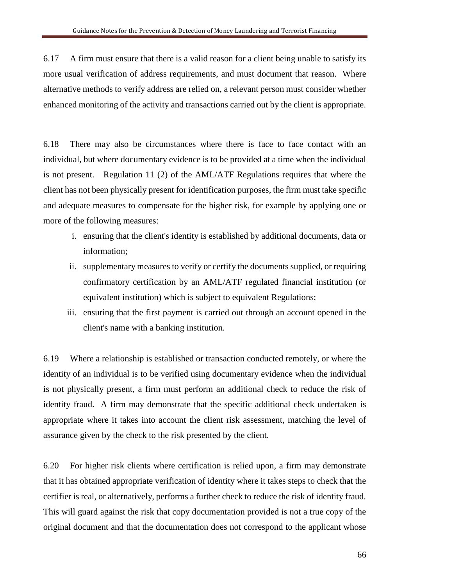6.17 A firm must ensure that there is a valid reason for a client being unable to satisfy its more usual verification of address requirements, and must document that reason. Where alternative methods to verify address are relied on, a relevant person must consider whether enhanced monitoring of the activity and transactions carried out by the client is appropriate.

6.18 There may also be circumstances where there is face to face contact with an individual, but where documentary evidence is to be provided at a time when the individual is not present. Regulation 11 (2) of the AML/ATF Regulations requires that where the client has not been physically present for identification purposes, the firm must take specific and adequate measures to compensate for the higher risk, for example by applying one or more of the following measures:

- i. ensuring that the client's identity is established by additional documents, data or information;
- ii. supplementary measures to verify or certify the documents supplied, or requiring confirmatory certification by an AML/ATF regulated financial institution (or equivalent institution) which is subject to equivalent Regulations;
- iii. ensuring that the first payment is carried out through an account opened in the client's name with a banking institution.

6.19 Where a relationship is established or transaction conducted remotely, or where the identity of an individual is to be verified using documentary evidence when the individual is not physically present, a firm must perform an additional check to reduce the risk of identity fraud. A firm may demonstrate that the specific additional check undertaken is appropriate where it takes into account the client risk assessment, matching the level of assurance given by the check to the risk presented by the client.

6.20 For higher risk clients where certification is relied upon, a firm may demonstrate that it has obtained appropriate verification of identity where it takes steps to check that the certifier is real, or alternatively, performs a further check to reduce the risk of identity fraud. This will guard against the risk that copy documentation provided is not a true copy of the original document and that the documentation does not correspond to the applicant whose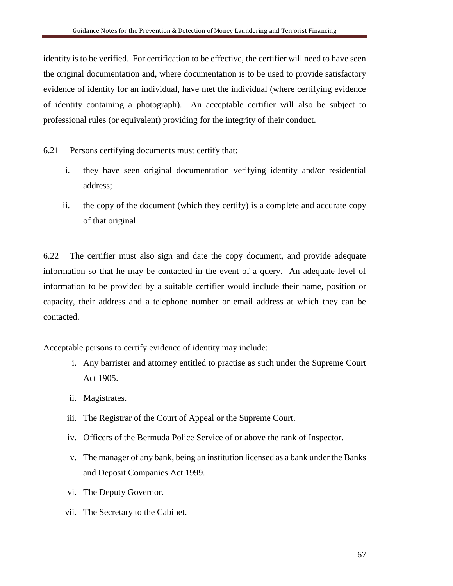identity is to be verified. For certification to be effective, the certifier will need to have seen the original documentation and, where documentation is to be used to provide satisfactory evidence of identity for an individual, have met the individual (where certifying evidence of identity containing a photograph). An acceptable certifier will also be subject to professional rules (or equivalent) providing for the integrity of their conduct.

- 6.21 Persons certifying documents must certify that:
	- i. they have seen original documentation verifying identity and/or residential address;
	- ii. the copy of the document (which they certify) is a complete and accurate copy of that original.

6.22 The certifier must also sign and date the copy document, and provide adequate information so that he may be contacted in the event of a query. An adequate level of information to be provided by a suitable certifier would include their name, position or capacity, their address and a telephone number or email address at which they can be contacted.

Acceptable persons to certify evidence of identity may include:

- i. Any barrister and attorney entitled to practise as such under the Supreme Court Act 1905.
- ii. Magistrates.
- iii. The Registrar of the Court of Appeal or the Supreme Court.
- iv. Officers of the Bermuda Police Service of or above the rank of Inspector.
- v. The manager of any bank, being an institution licensed as a bank under the Banks and Deposit Companies Act 1999.
- vi. The Deputy Governor.
- vii. The Secretary to the Cabinet.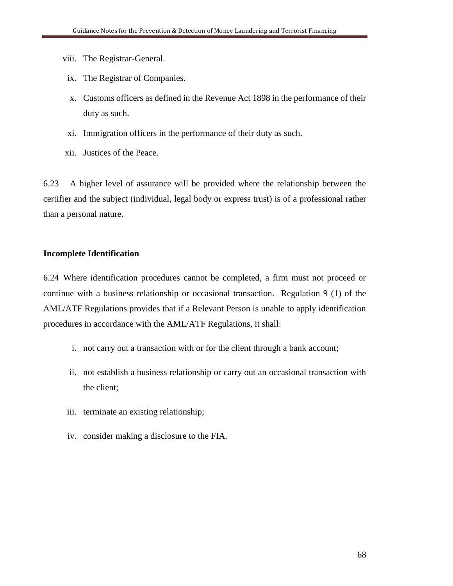- viii. The Registrar-General.
- ix. The Registrar of Companies.
- x. Customs officers as defined in the Revenue Act 1898 in the performance of their duty as such.
- xi. Immigration officers in the performance of their duty as such.
- xii. Justices of the Peace.

6.23 A higher level of assurance will be provided where the relationship between the certifier and the subject (individual, legal body or express trust) is of a professional rather than a personal nature.

# **Incomplete Identification**

6.24 Where identification procedures cannot be completed, a firm must not proceed or continue with a business relationship or occasional transaction. Regulation 9 (1) of the AML/ATF Regulations provides that if a Relevant Person is unable to apply identification procedures in accordance with the AML/ATF Regulations, it shall:

- i. not carry out a transaction with or for the client through a bank account;
- ii. not establish a business relationship or carry out an occasional transaction with the client;
- iii. terminate an existing relationship;
- iv. consider making a disclosure to the FIA.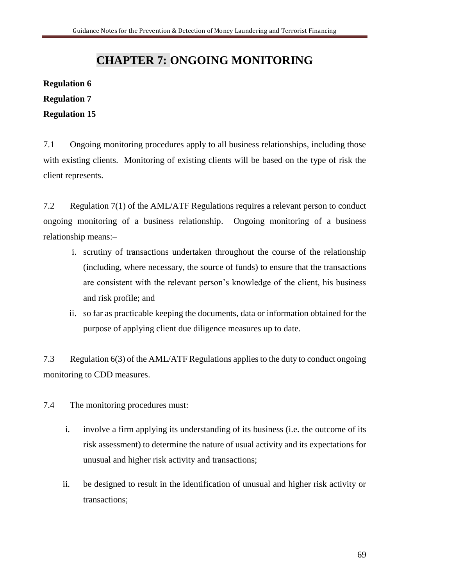# **CHAPTER 7: ONGOING MONITORING**

# **Regulation 6**

# **Regulation 7**

# **Regulation 15**

7.1 Ongoing monitoring procedures apply to all business relationships, including those with existing clients. Monitoring of existing clients will be based on the type of risk the client represents.

7.2 Regulation 7(1) of the AML/ATF Regulations requires a relevant person to conduct ongoing monitoring of a business relationship. Ongoing monitoring of a business relationship means:–

- i. scrutiny of transactions undertaken throughout the course of the relationship (including, where necessary, the source of funds) to ensure that the transactions are consistent with the relevant person's knowledge of the client, his business and risk profile; and
- ii. so far as practicable keeping the documents, data or information obtained for the purpose of applying client due diligence measures up to date.

7.3 Regulation 6(3) of the AML/ATF Regulations applies to the duty to conduct ongoing monitoring to CDD measures.

7.4 The monitoring procedures must:

- i. involve a firm applying its understanding of its business (i.e. the outcome of its risk assessment) to determine the nature of usual activity and its expectations for unusual and higher risk activity and transactions;
- ii. be designed to result in the identification of unusual and higher risk activity or transactions;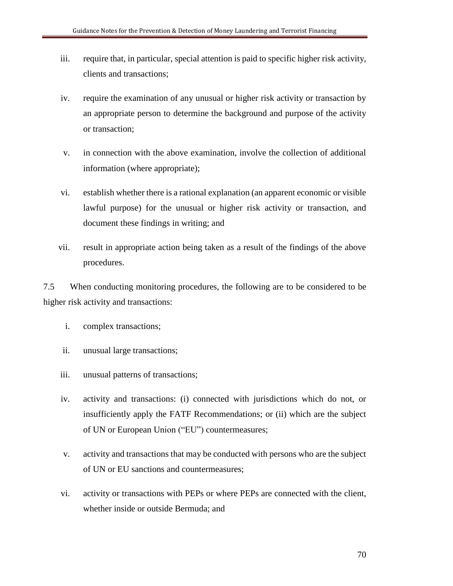- iii. require that, in particular, special attention is paid to specific higher risk activity, clients and transactions;
- iv. require the examination of any unusual or higher risk activity or transaction by an appropriate person to determine the background and purpose of the activity or transaction;
- v. in connection with the above examination, involve the collection of additional information (where appropriate);
- vi. establish whether there is a rational explanation (an apparent economic or visible lawful purpose) for the unusual or higher risk activity or transaction, and document these findings in writing; and
- vii. result in appropriate action being taken as a result of the findings of the above procedures.

7.5 When conducting monitoring procedures, the following are to be considered to be higher risk activity and transactions:

- i. complex transactions;
- ii. unusual large transactions;
- iii. unusual patterns of transactions;
- iv. activity and transactions: (i) connected with jurisdictions which do not, or insufficiently apply the FATF Recommendations; or (ii) which are the subject of UN or European Union ("EU") countermeasures;
- v. activity and transactions that may be conducted with persons who are the subject of UN or EU sanctions and countermeasures;
- vi. activity or transactions with PEPs or where PEPs are connected with the client, whether inside or outside Bermuda; and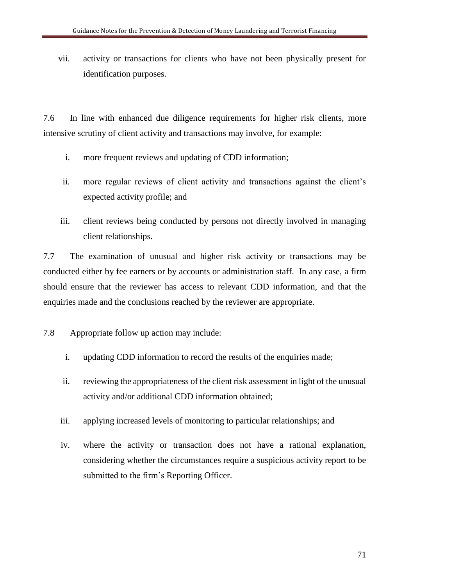vii. activity or transactions for clients who have not been physically present for identification purposes.

7.6 In line with enhanced due diligence requirements for higher risk clients, more intensive scrutiny of client activity and transactions may involve, for example:

- i. more frequent reviews and updating of CDD information;
- ii. more regular reviews of client activity and transactions against the client's expected activity profile; and
- iii. client reviews being conducted by persons not directly involved in managing client relationships.

7.7 The examination of unusual and higher risk activity or transactions may be conducted either by fee earners or by accounts or administration staff. In any case, a firm should ensure that the reviewer has access to relevant CDD information, and that the enquiries made and the conclusions reached by the reviewer are appropriate.

7.8 Appropriate follow up action may include:

- i. updating CDD information to record the results of the enquiries made;
- ii. reviewing the appropriateness of the client risk assessment in light of the unusual activity and/or additional CDD information obtained;
- iii. applying increased levels of monitoring to particular relationships; and
- iv. where the activity or transaction does not have a rational explanation, considering whether the circumstances require a suspicious activity report to be submitted to the firm's Reporting Officer.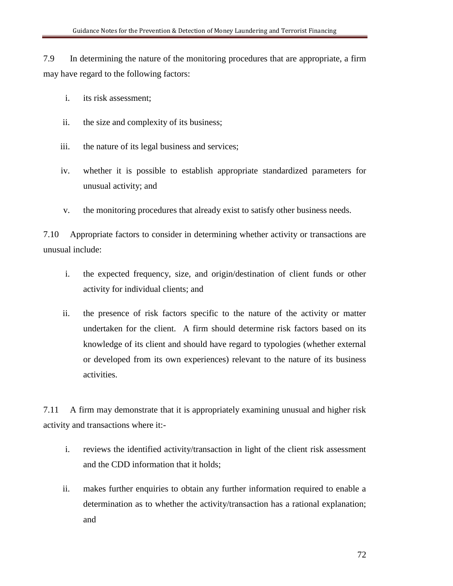7.9 In determining the nature of the monitoring procedures that are appropriate, a firm may have regard to the following factors:

- i. its risk assessment;
- ii. the size and complexity of its business;
- iii. the nature of its legal business and services;
- iv. whether it is possible to establish appropriate standardized parameters for unusual activity; and
- v. the monitoring procedures that already exist to satisfy other business needs.

7.10 Appropriate factors to consider in determining whether activity or transactions are unusual include:

- i. the expected frequency, size, and origin/destination of client funds or other activity for individual clients; and
- ii. the presence of risk factors specific to the nature of the activity or matter undertaken for the client. A firm should determine risk factors based on its knowledge of its client and should have regard to typologies (whether external or developed from its own experiences) relevant to the nature of its business activities.

7.11 A firm may demonstrate that it is appropriately examining unusual and higher risk activity and transactions where it:-

- i. reviews the identified activity/transaction in light of the client risk assessment and the CDD information that it holds;
- ii. makes further enquiries to obtain any further information required to enable a determination as to whether the activity/transaction has a rational explanation; and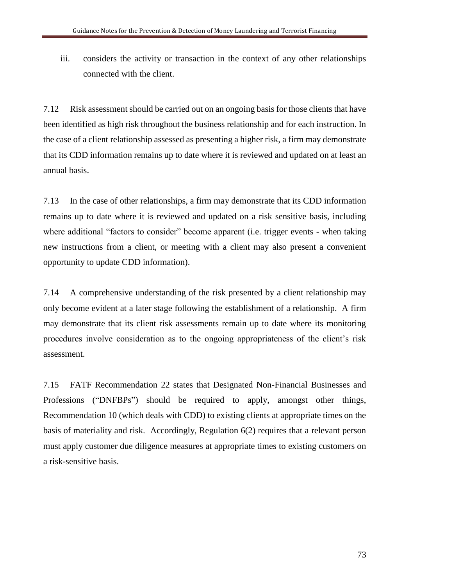iii. considers the activity or transaction in the context of any other relationships connected with the client.

7.12 Risk assessment should be carried out on an ongoing basis for those clients that have been identified as high risk throughout the business relationship and for each instruction. In the case of a client relationship assessed as presenting a higher risk, a firm may demonstrate that its CDD information remains up to date where it is reviewed and updated on at least an annual basis.

7.13 In the case of other relationships, a firm may demonstrate that its CDD information remains up to date where it is reviewed and updated on a risk sensitive basis, including where additional "factors to consider" become apparent (i.e. trigger events - when taking new instructions from a client, or meeting with a client may also present a convenient opportunity to update CDD information).

7.14 A comprehensive understanding of the risk presented by a client relationship may only become evident at a later stage following the establishment of a relationship. A firm may demonstrate that its client risk assessments remain up to date where its monitoring procedures involve consideration as to the ongoing appropriateness of the client's risk assessment.

7.15 FATF Recommendation 22 states that Designated Non-Financial Businesses and Professions ("DNFBPs") should be required to apply, amongst other things, Recommendation 10 (which deals with CDD) to existing clients at appropriate times on the basis of materiality and risk. Accordingly, Regulation 6(2) requires that a relevant person must apply customer due diligence measures at appropriate times to existing customers on a risk-sensitive basis.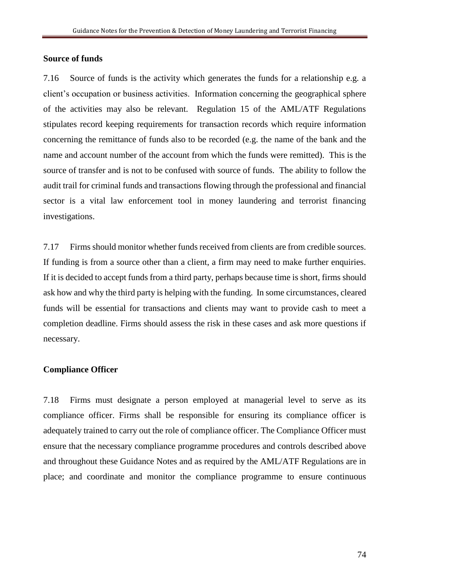#### **Source of funds**

7.16 Source of funds is the activity which generates the funds for a relationship e.g. a client's occupation or business activities. Information concerning the geographical sphere of the activities may also be relevant. Regulation 15 of the AML/ATF Regulations stipulates record keeping requirements for transaction records which require information concerning the remittance of funds also to be recorded (e.g. the name of the bank and the name and account number of the account from which the funds were remitted). This is the source of transfer and is not to be confused with source of funds. The ability to follow the audit trail for criminal funds and transactions flowing through the professional and financial sector is a vital law enforcement tool in money laundering and terrorist financing investigations.

7.17 Firms should monitor whether funds received from clients are from credible sources. If funding is from a source other than a client, a firm may need to make further enquiries. If it is decided to accept funds from a third party, perhaps because time is short, firms should ask how and why the third party is helping with the funding. In some circumstances, cleared funds will be essential for transactions and clients may want to provide cash to meet a completion deadline. Firms should assess the risk in these cases and ask more questions if necessary.

#### **Compliance Officer**

7.18 Firms must designate a person employed at managerial level to serve as its compliance officer. Firms shall be responsible for ensuring its compliance officer is adequately trained to carry out the role of compliance officer. The Compliance Officer must ensure that the necessary compliance programme procedures and controls described above and throughout these Guidance Notes and as required by the AML/ATF Regulations are in place; and coordinate and monitor the compliance programme to ensure continuous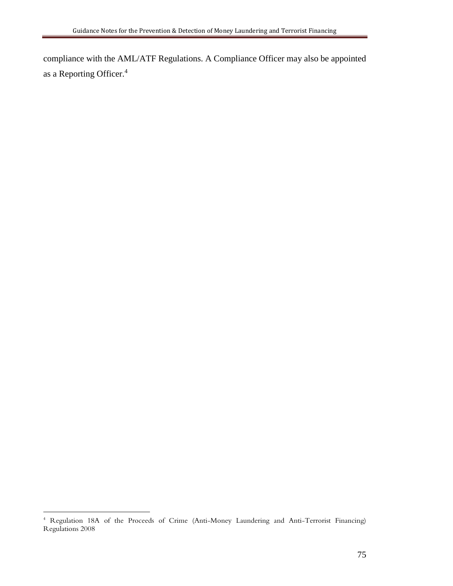compliance with the AML/ATF Regulations. A Compliance Officer may also be appointed as a Reporting Officer.<sup>4</sup>

 $\overline{a}$ <sup>4</sup> Regulation 18A of the Proceeds of Crime (Anti-Money Laundering and Anti-Terrorist Financing) Regulations 2008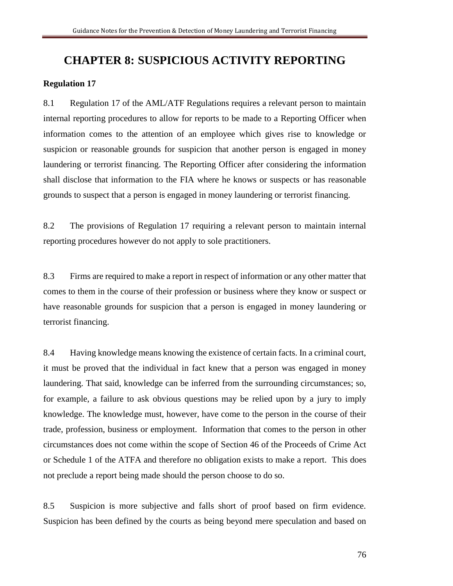## **CHAPTER 8: SUSPICIOUS ACTIVITY REPORTING**

#### **Regulation 17**

8.1 Regulation 17 of the AML/ATF Regulations requires a relevant person to maintain internal reporting procedures to allow for reports to be made to a Reporting Officer when information comes to the attention of an employee which gives rise to knowledge or suspicion or reasonable grounds for suspicion that another person is engaged in money laundering or terrorist financing. The Reporting Officer after considering the information shall disclose that information to the FIA where he knows or suspects or has reasonable grounds to suspect that a person is engaged in money laundering or terrorist financing.

8.2 The provisions of Regulation 17 requiring a relevant person to maintain internal reporting procedures however do not apply to sole practitioners.

8.3 Firms are required to make a report in respect of information or any other matter that comes to them in the course of their profession or business where they know or suspect or have reasonable grounds for suspicion that a person is engaged in money laundering or terrorist financing.

8.4 Having knowledge means knowing the existence of certain facts. In a criminal court, it must be proved that the individual in fact knew that a person was engaged in money laundering. That said, knowledge can be inferred from the surrounding circumstances; so, for example, a failure to ask obvious questions may be relied upon by a jury to imply knowledge. The knowledge must, however, have come to the person in the course of their trade, profession, business or employment. Information that comes to the person in other circumstances does not come within the scope of Section 46 of the Proceeds of Crime Act or Schedule 1 of the ATFA and therefore no obligation exists to make a report. This does not preclude a report being made should the person choose to do so.

8.5 Suspicion is more subjective and falls short of proof based on firm evidence. Suspicion has been defined by the courts as being beyond mere speculation and based on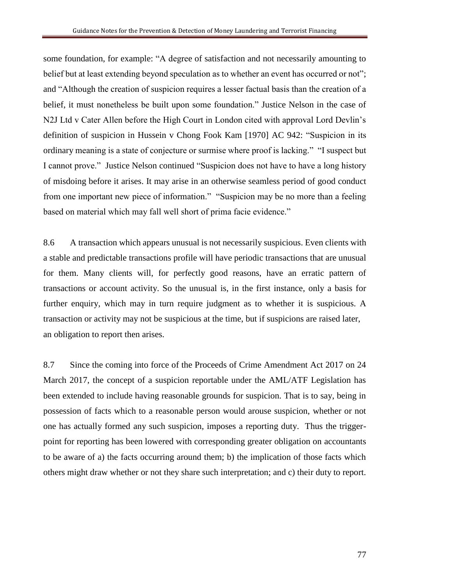some foundation, for example: "A degree of satisfaction and not necessarily amounting to belief but at least extending beyond speculation as to whether an event has occurred or not"; and "Although the creation of suspicion requires a lesser factual basis than the creation of a belief, it must nonetheless be built upon some foundation." Justice Nelson in the case of N2J Ltd v Cater Allen before the High Court in London cited with approval Lord Devlin's definition of suspicion in Hussein v Chong Fook Kam [1970] AC 942: "Suspicion in its ordinary meaning is a state of conjecture or surmise where proof is lacking." "I suspect but I cannot prove." Justice Nelson continued "Suspicion does not have to have a long history of misdoing before it arises. It may arise in an otherwise seamless period of good conduct from one important new piece of information." "Suspicion may be no more than a feeling based on material which may fall well short of prima facie evidence."

8.6 A transaction which appears unusual is not necessarily suspicious. Even clients with a stable and predictable transactions profile will have periodic transactions that are unusual for them. Many clients will, for perfectly good reasons, have an erratic pattern of transactions or account activity. So the unusual is, in the first instance, only a basis for further enquiry, which may in turn require judgment as to whether it is suspicious. A transaction or activity may not be suspicious at the time, but if suspicions are raised later, an obligation to report then arises.

8.7 Since the coming into force of the Proceeds of Crime Amendment Act 2017 on 24 March 2017, the concept of a suspicion reportable under the AML/ATF Legislation has been extended to include having reasonable grounds for suspicion. That is to say, being in possession of facts which to a reasonable person would arouse suspicion, whether or not one has actually formed any such suspicion, imposes a reporting duty. Thus the triggerpoint for reporting has been lowered with corresponding greater obligation on accountants to be aware of a) the facts occurring around them; b) the implication of those facts which others might draw whether or not they share such interpretation; and c) their duty to report.

77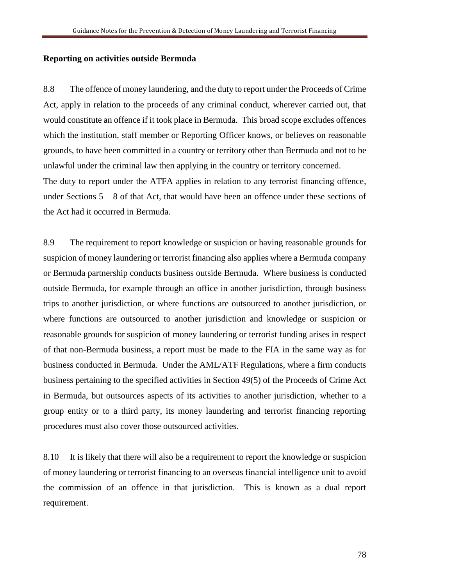#### **Reporting on activities outside Bermuda**

8.8 The offence of money laundering, and the duty to report under the Proceeds of Crime Act, apply in relation to the proceeds of any criminal conduct, wherever carried out, that would constitute an offence if it took place in Bermuda. This broad scope excludes offences which the institution, staff member or Reporting Officer knows, or believes on reasonable grounds, to have been committed in a country or territory other than Bermuda and not to be unlawful under the criminal law then applying in the country or territory concerned. The duty to report under the ATFA applies in relation to any terrorist financing offence, under Sections  $5 - 8$  of that Act, that would have been an offence under these sections of the Act had it occurred in Bermuda.

8.9 The requirement to report knowledge or suspicion or having reasonable grounds for suspicion of money laundering or terrorist financing also applies where a Bermuda company or Bermuda partnership conducts business outside Bermuda. Where business is conducted outside Bermuda, for example through an office in another jurisdiction, through business trips to another jurisdiction, or where functions are outsourced to another jurisdiction, or where functions are outsourced to another jurisdiction and knowledge or suspicion or reasonable grounds for suspicion of money laundering or terrorist funding arises in respect of that non-Bermuda business, a report must be made to the FIA in the same way as for business conducted in Bermuda. Under the AML/ATF Regulations, where a firm conducts business pertaining to the specified activities in Section 49(5) of the Proceeds of Crime Act in Bermuda, but outsources aspects of its activities to another jurisdiction, whether to a group entity or to a third party, its money laundering and terrorist financing reporting procedures must also cover those outsourced activities.

8.10 It is likely that there will also be a requirement to report the knowledge or suspicion of money laundering or terrorist financing to an overseas financial intelligence unit to avoid the commission of an offence in that jurisdiction. This is known as a dual report requirement.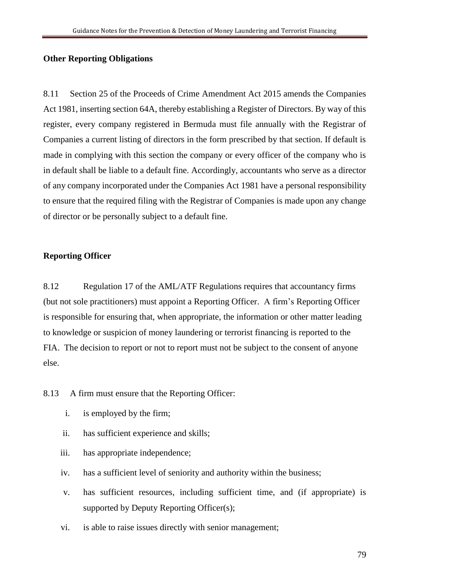## **Other Reporting Obligations**

8.11 Section 25 of the Proceeds of Crime Amendment Act 2015 amends the Companies Act 1981, inserting section 64A, thereby establishing a Register of Directors. By way of this register, every company registered in Bermuda must file annually with the Registrar of Companies a current listing of directors in the form prescribed by that section. If default is made in complying with this section the company or every officer of the company who is in default shall be liable to a default fine. Accordingly, accountants who serve as a director of any company incorporated under the Companies Act 1981 have a personal responsibility to ensure that the required filing with the Registrar of Companies is made upon any change of director or be personally subject to a default fine.

## **Reporting Officer**

8.12 Regulation 17 of the AML/ATF Regulations requires that accountancy firms (but not sole practitioners) must appoint a Reporting Officer. A firm's Reporting Officer is responsible for ensuring that, when appropriate, the information or other matter leading to knowledge or suspicion of money laundering or terrorist financing is reported to the FIA. The decision to report or not to report must not be subject to the consent of anyone else.

8.13 A firm must ensure that the Reporting Officer:

- i. is employed by the firm;
- ii. has sufficient experience and skills;
- iii. has appropriate independence;
- iv. has a sufficient level of seniority and authority within the business;
- v. has sufficient resources, including sufficient time, and (if appropriate) is supported by Deputy Reporting Officer(s);
- vi. is able to raise issues directly with senior management;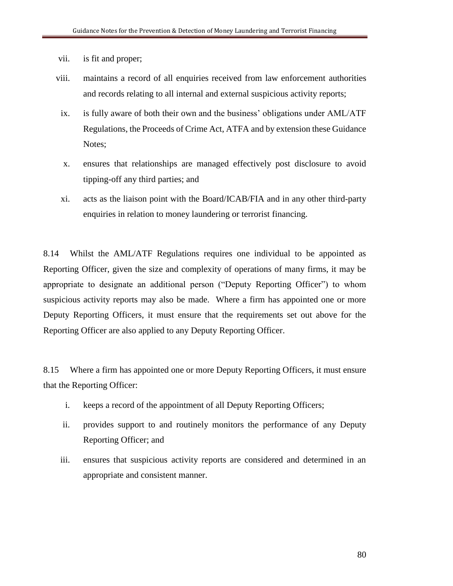vii. is fit and proper;

- viii. maintains a record of all enquiries received from law enforcement authorities and records relating to all internal and external suspicious activity reports;
- ix. is fully aware of both their own and the business' obligations under AML/ATF Regulations, the Proceeds of Crime Act, ATFA and by extension these Guidance Notes;
- x. ensures that relationships are managed effectively post disclosure to avoid tipping-off any third parties; and
- xi. acts as the liaison point with the Board/ICAB/FIA and in any other third-party enquiries in relation to money laundering or terrorist financing.

8.14 Whilst the AML/ATF Regulations requires one individual to be appointed as Reporting Officer, given the size and complexity of operations of many firms, it may be appropriate to designate an additional person ("Deputy Reporting Officer") to whom suspicious activity reports may also be made. Where a firm has appointed one or more Deputy Reporting Officers, it must ensure that the requirements set out above for the Reporting Officer are also applied to any Deputy Reporting Officer.

8.15 Where a firm has appointed one or more Deputy Reporting Officers, it must ensure that the Reporting Officer:

- i. keeps a record of the appointment of all Deputy Reporting Officers;
- ii. provides support to and routinely monitors the performance of any Deputy Reporting Officer; and
- iii. ensures that suspicious activity reports are considered and determined in an appropriate and consistent manner.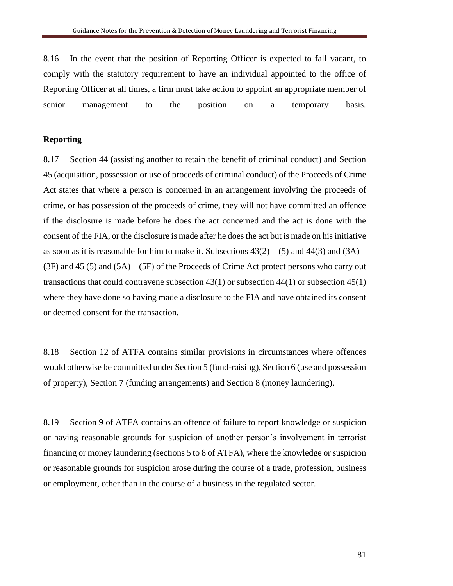8.16 In the event that the position of Reporting Officer is expected to fall vacant, to comply with the statutory requirement to have an individual appointed to the office of Reporting Officer at all times, a firm must take action to appoint an appropriate member of senior management to the position on a temporary basis.

#### **Reporting**

8.17 Section 44 (assisting another to retain the benefit of criminal conduct) and Section 45 (acquisition, possession or use of proceeds of criminal conduct) of the Proceeds of Crime Act states that where a person is concerned in an arrangement involving the proceeds of crime, or has possession of the proceeds of crime, they will not have committed an offence if the disclosure is made before he does the act concerned and the act is done with the consent of the FIA, or the disclosure is made after he does the act but is made on his initiative as soon as it is reasonable for him to make it. Subsections  $43(2) - (5)$  and  $44(3)$  and  $(3A) (3F)$  and  $45$  (5) and  $(5A) - (5F)$  of the Proceeds of Crime Act protect persons who carry out transactions that could contravene subsection  $43(1)$  or subsection  $44(1)$  or subsection  $45(1)$ where they have done so having made a disclosure to the FIA and have obtained its consent or deemed consent for the transaction.

8.18 Section 12 of ATFA contains similar provisions in circumstances where offences would otherwise be committed under Section 5 (fund-raising), Section 6 (use and possession of property), Section 7 (funding arrangements) and Section 8 (money laundering).

8.19 Section 9 of ATFA contains an offence of failure to report knowledge or suspicion or having reasonable grounds for suspicion of another person's involvement in terrorist financing or money laundering (sections 5 to 8 of ATFA), where the knowledge or suspicion or reasonable grounds for suspicion arose during the course of a trade, profession, business or employment, other than in the course of a business in the regulated sector.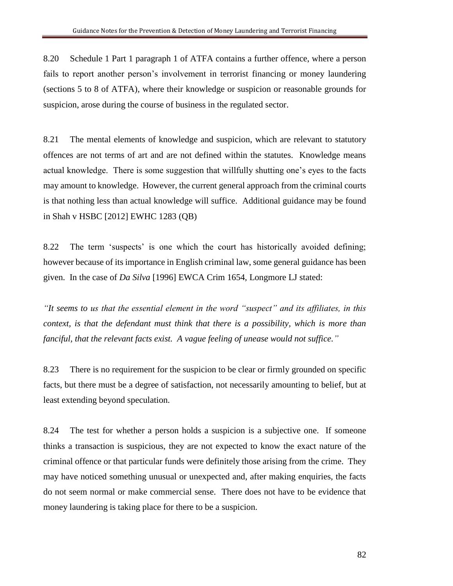8.20 Schedule 1 Part 1 paragraph 1 of ATFA contains a further offence, where a person fails to report another person's involvement in terrorist financing or money laundering (sections 5 to 8 of ATFA), where their knowledge or suspicion or reasonable grounds for suspicion, arose during the course of business in the regulated sector.

8.21 The mental elements of knowledge and suspicion, which are relevant to statutory offences are not terms of art and are not defined within the statutes. Knowledge means actual knowledge. There is some suggestion that willfully shutting one's eyes to the facts may amount to knowledge. However, the current general approach from the criminal courts is that nothing less than actual knowledge will suffice. Additional guidance may be found in Shah v HSBC [2012] EWHC 1283 (QB)

8.22 The term 'suspects' is one which the court has historically avoided defining; however because of its importance in English criminal law, some general guidance has been given. In the case of *Da Silva* [1996] EWCA Crim 1654, Longmore LJ stated:

*"It seems to us that the essential element in the word "suspect" and its affiliates, in this context, is that the defendant must think that there is a possibility, which is more than fanciful, that the relevant facts exist. A vague feeling of unease would not suffice."*

8.23 There is no requirement for the suspicion to be clear or firmly grounded on specific facts, but there must be a degree of satisfaction, not necessarily amounting to belief, but at least extending beyond speculation.

8.24 The test for whether a person holds a suspicion is a subjective one. If someone thinks a transaction is suspicious, they are not expected to know the exact nature of the criminal offence or that particular funds were definitely those arising from the crime. They may have noticed something unusual or unexpected and, after making enquiries, the facts do not seem normal or make commercial sense. There does not have to be evidence that money laundering is taking place for there to be a suspicion.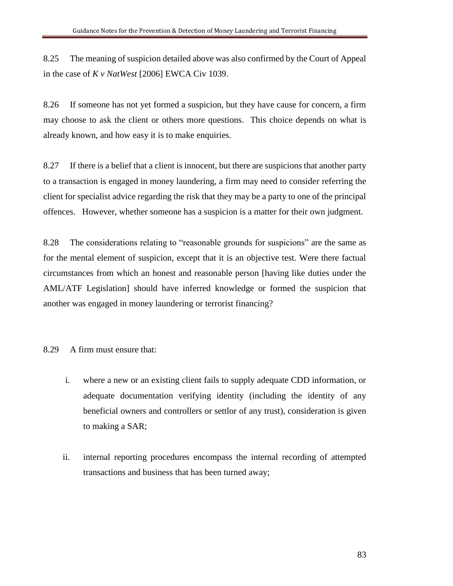8.25 The meaning of suspicion detailed above was also confirmed by the Court of Appeal in the case of *K v NatWest* [2006] EWCA Civ 1039.

8.26 If someone has not yet formed a suspicion, but they have cause for concern, a firm may choose to ask the client or others more questions. This choice depends on what is already known, and how easy it is to make enquiries.

8.27 If there is a belief that a client is innocent, but there are suspicions that another party to a transaction is engaged in money laundering, a firm may need to consider referring the client for specialist advice regarding the risk that they may be a party to one of the principal offences. However, whether someone has a suspicion is a matter for their own judgment.

8.28 The considerations relating to "reasonable grounds for suspicions" are the same as for the mental element of suspicion, except that it is an objective test. Were there factual circumstances from which an honest and reasonable person [having like duties under the AML/ATF Legislation] should have inferred knowledge or formed the suspicion that another was engaged in money laundering or terrorist financing?

## 8.29 A firm must ensure that:

- i. where a new or an existing client fails to supply adequate CDD information, or adequate documentation verifying identity (including the identity of any beneficial owners and controllers or settlor of any trust), consideration is given to making a SAR;
- ii. internal reporting procedures encompass the internal recording of attempted transactions and business that has been turned away;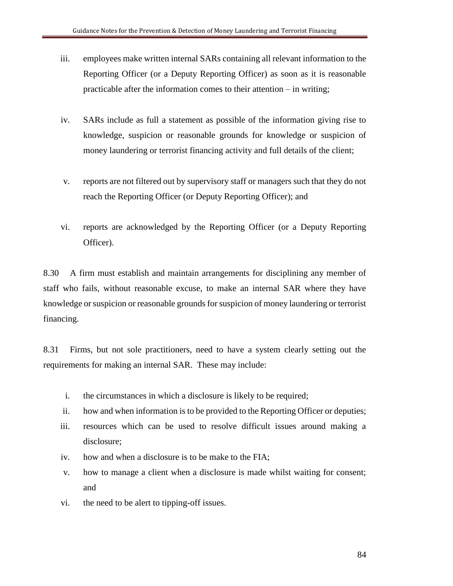- iii. employees make written internal SARs containing all relevant information to the Reporting Officer (or a Deputy Reporting Officer) as soon as it is reasonable practicable after the information comes to their attention – in writing;
- iv. SARs include as full a statement as possible of the information giving rise to knowledge, suspicion or reasonable grounds for knowledge or suspicion of money laundering or terrorist financing activity and full details of the client;
- v. reports are not filtered out by supervisory staff or managers such that they do not reach the Reporting Officer (or Deputy Reporting Officer); and
- vi. reports are acknowledged by the Reporting Officer (or a Deputy Reporting Officer).

8.30 A firm must establish and maintain arrangements for disciplining any member of staff who fails, without reasonable excuse, to make an internal SAR where they have knowledge orsuspicion or reasonable grounds for suspicion of money laundering or terrorist financing.

8.31 Firms, but not sole practitioners, need to have a system clearly setting out the requirements for making an internal SAR. These may include:

- i. the circumstances in which a disclosure is likely to be required;
- ii. how and when information is to be provided to the Reporting Officer or deputies;
- iii. resources which can be used to resolve difficult issues around making a disclosure;
- iv. how and when a disclosure is to be make to the FIA;
- v. how to manage a client when a disclosure is made whilst waiting for consent; and
- vi. the need to be alert to tipping-off issues.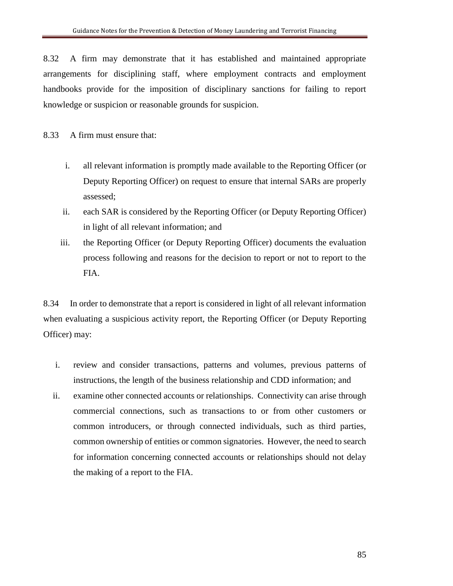8.32 A firm may demonstrate that it has established and maintained appropriate arrangements for disciplining staff, where employment contracts and employment handbooks provide for the imposition of disciplinary sanctions for failing to report knowledge or suspicion or reasonable grounds for suspicion.

8.33 A firm must ensure that:

- i. all relevant information is promptly made available to the Reporting Officer (or Deputy Reporting Officer) on request to ensure that internal SARs are properly assessed;
- ii. each SAR is considered by the Reporting Officer (or Deputy Reporting Officer) in light of all relevant information; and
- iii. the Reporting Officer (or Deputy Reporting Officer) documents the evaluation process following and reasons for the decision to report or not to report to the FIA.

8.34 In order to demonstrate that a report is considered in light of all relevant information when evaluating a suspicious activity report, the Reporting Officer (or Deputy Reporting Officer) may:

- i. review and consider transactions, patterns and volumes, previous patterns of instructions, the length of the business relationship and CDD information; and
- ii. examine other connected accounts or relationships. Connectivity can arise through commercial connections, such as transactions to or from other customers or common introducers, or through connected individuals, such as third parties, common ownership of entities or common signatories. However, the need to search for information concerning connected accounts or relationships should not delay the making of a report to the FIA.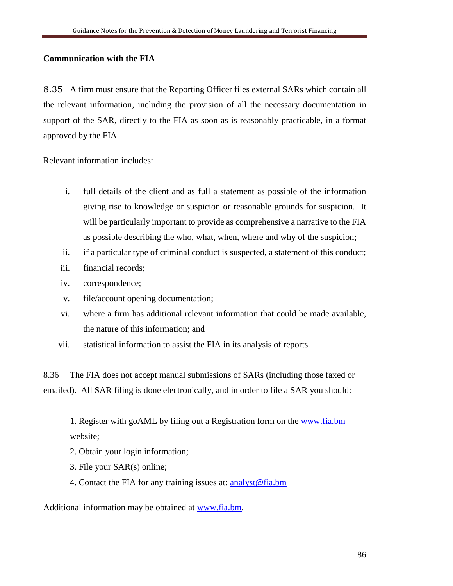## **Communication with the FIA**

8.35 A firm must ensure that the Reporting Officer files external SARs which contain all the relevant information, including the provision of all the necessary documentation in support of the SAR, directly to the FIA as soon as is reasonably practicable, in a format approved by the FIA.

Relevant information includes:

- i. full details of the client and as full a statement as possible of the information giving rise to knowledge or suspicion or reasonable grounds for suspicion. It will be particularly important to provide as comprehensive a narrative to the FIA as possible describing the who, what, when, where and why of the suspicion;
- ii. if a particular type of criminal conduct is suspected, a statement of this conduct;
- iii. financial records;
- iv. correspondence;
- v. file/account opening documentation;
- vi. where a firm has additional relevant information that could be made available, the nature of this information; and
- vii. statistical information to assist the FIA in its analysis of reports.

8.36 The FIA does not accept manual submissions of SARs (including those faxed or emailed). All SAR filing is done electronically, and in order to file a SAR you should:

1. Register with goAML by filing out a Registration form on the [www.fia.bm](http://www.fia.bm/) website;

- 2. Obtain your login information;
- 3. File your SAR(s) online;
- 4. Contact the FIA for any training issues at: [analyst@fia.bm](mailto:analyst@fia.bm)

Additional information may be obtained at [www.fia.bm.](http://www.fia.bm/)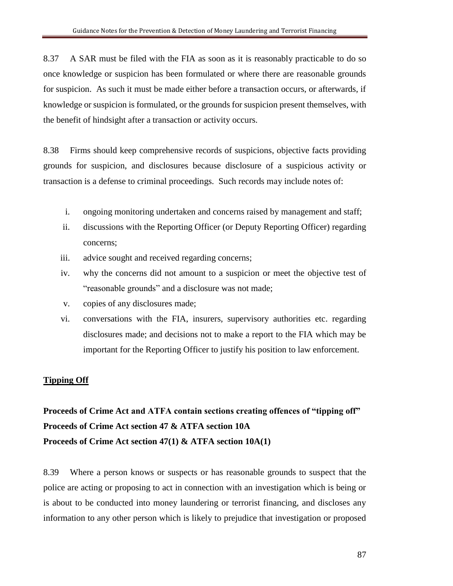8.37 A SAR must be filed with the FIA as soon as it is reasonably practicable to do so once knowledge or suspicion has been formulated or where there are reasonable grounds for suspicion. As such it must be made either before a transaction occurs, or afterwards, if knowledge or suspicion is formulated, or the grounds for suspicion present themselves, with the benefit of hindsight after a transaction or activity occurs.

8.38 Firms should keep comprehensive records of suspicions, objective facts providing grounds for suspicion, and disclosures because disclosure of a suspicious activity or transaction is a defense to criminal proceedings. Such records may include notes of:

- i. ongoing monitoring undertaken and concerns raised by management and staff;
- ii. discussions with the Reporting Officer (or Deputy Reporting Officer) regarding concerns;
- iii. advice sought and received regarding concerns;
- iv. why the concerns did not amount to a suspicion or meet the objective test of "reasonable grounds" and a disclosure was not made;
- v. copies of any disclosures made;
- vi. conversations with the FIA, insurers, supervisory authorities etc. regarding disclosures made; and decisions not to make a report to the FIA which may be important for the Reporting Officer to justify his position to law enforcement.

## **Tipping Off**

# **Proceeds of Crime Act and ATFA contain sections creating offences of "tipping off" Proceeds of Crime Act section 47 & ATFA section 10A Proceeds of Crime Act section 47(1) & ATFA section 10A(1)**

8.39 Where a person knows or suspects or has reasonable grounds to suspect that the police are acting or proposing to act in connection with an investigation which is being or is about to be conducted into money laundering or terrorist financing, and discloses any information to any other person which is likely to prejudice that investigation or proposed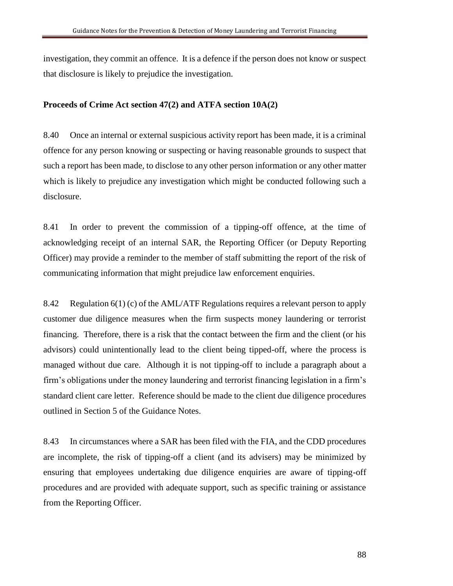investigation, they commit an offence. It is a defence if the person does not know or suspect that disclosure is likely to prejudice the investigation.

#### **Proceeds of Crime Act section 47(2) and ATFA section 10A(2)**

8.40 Once an internal or external suspicious activity report has been made, it is a criminal offence for any person knowing or suspecting or having reasonable grounds to suspect that such a report has been made, to disclose to any other person information or any other matter which is likely to prejudice any investigation which might be conducted following such a disclosure.

8.41 In order to prevent the commission of a tipping-off offence, at the time of acknowledging receipt of an internal SAR, the Reporting Officer (or Deputy Reporting Officer) may provide a reminder to the member of staff submitting the report of the risk of communicating information that might prejudice law enforcement enquiries.

8.42 Regulation 6(1) (c) of the AML/ATF Regulations requires a relevant person to apply customer due diligence measures when the firm suspects money laundering or terrorist financing. Therefore, there is a risk that the contact between the firm and the client (or his advisors) could unintentionally lead to the client being tipped-off, where the process is managed without due care. Although it is not tipping-off to include a paragraph about a firm's obligations under the money laundering and terrorist financing legislation in a firm's standard client care letter. Reference should be made to the client due diligence procedures outlined in Section 5 of the Guidance Notes.

8.43 In circumstances where a SAR has been filed with the FIA, and the CDD procedures are incomplete, the risk of tipping-off a client (and its advisers) may be minimized by ensuring that employees undertaking due diligence enquiries are aware of tipping-off procedures and are provided with adequate support, such as specific training or assistance from the Reporting Officer.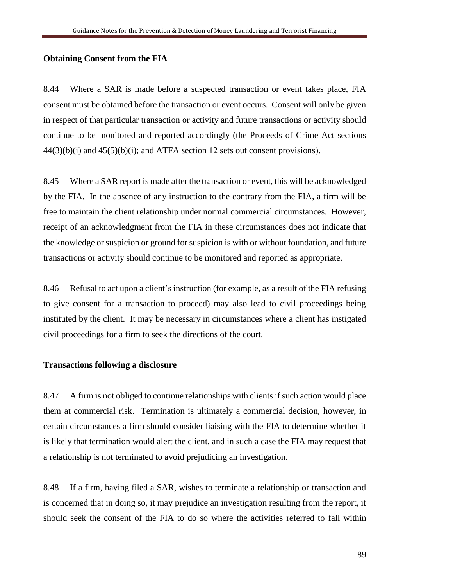#### **Obtaining Consent from the FIA**

8.44 Where a SAR is made before a suspected transaction or event takes place, FIA consent must be obtained before the transaction or event occurs. Consent will only be given in respect of that particular transaction or activity and future transactions or activity should continue to be monitored and reported accordingly (the Proceeds of Crime Act sections  $44(3)(b)(i)$  and  $45(5)(b)(i)$ ; and ATFA section 12 sets out consent provisions).

8.45 Where a SAR report is made after the transaction or event, this will be acknowledged by the FIA. In the absence of any instruction to the contrary from the FIA, a firm will be free to maintain the client relationship under normal commercial circumstances. However, receipt of an acknowledgment from the FIA in these circumstances does not indicate that the knowledge or suspicion or ground for suspicion is with or without foundation, and future transactions or activity should continue to be monitored and reported as appropriate.

8.46 Refusal to act upon a client's instruction (for example, as a result of the FIA refusing to give consent for a transaction to proceed) may also lead to civil proceedings being instituted by the client. It may be necessary in circumstances where a client has instigated civil proceedings for a firm to seek the directions of the court.

#### **Transactions following a disclosure**

8.47 A firm is not obliged to continue relationships with clients if such action would place them at commercial risk. Termination is ultimately a commercial decision, however, in certain circumstances a firm should consider liaising with the FIA to determine whether it is likely that termination would alert the client, and in such a case the FIA may request that a relationship is not terminated to avoid prejudicing an investigation.

8.48 If a firm, having filed a SAR, wishes to terminate a relationship or transaction and is concerned that in doing so, it may prejudice an investigation resulting from the report, it should seek the consent of the FIA to do so where the activities referred to fall within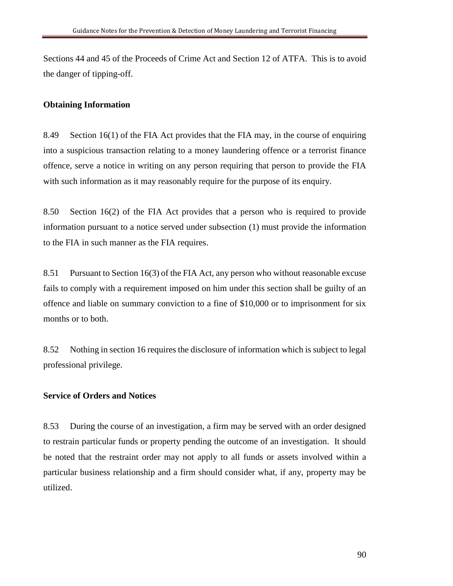Sections 44 and 45 of the Proceeds of Crime Act and Section 12 of ATFA. This is to avoid the danger of tipping-off.

## **Obtaining Information**

8.49 Section 16(1) of the FIA Act provides that the FIA may, in the course of enquiring into a suspicious transaction relating to a money laundering offence or a terrorist finance offence, serve a notice in writing on any person requiring that person to provide the FIA with such information as it may reasonably require for the purpose of its enquiry.

8.50 Section 16(2) of the FIA Act provides that a person who is required to provide information pursuant to a notice served under subsection (1) must provide the information to the FIA in such manner as the FIA requires.

8.51 Pursuant to Section 16(3) of the FIA Act, any person who without reasonable excuse fails to comply with a requirement imposed on him under this section shall be guilty of an offence and liable on summary conviction to a fine of \$10,000 or to imprisonment for six months or to both.

8.52 Nothing in section 16 requires the disclosure of information which is subject to legal professional privilege.

#### **Service of Orders and Notices**

8.53 During the course of an investigation, a firm may be served with an order designed to restrain particular funds or property pending the outcome of an investigation. It should be noted that the restraint order may not apply to all funds or assets involved within a particular business relationship and a firm should consider what, if any, property may be utilized.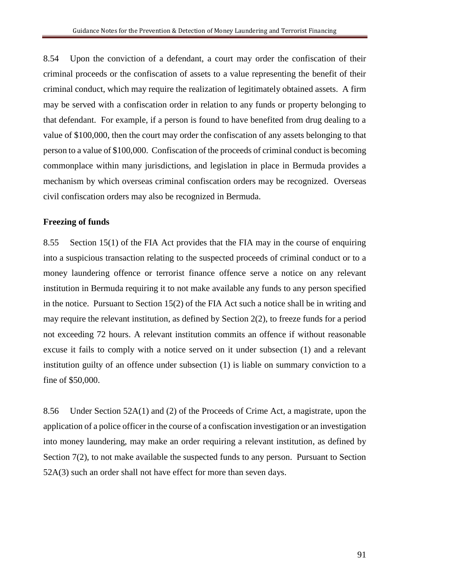8.54 Upon the conviction of a defendant, a court may order the confiscation of their criminal proceeds or the confiscation of assets to a value representing the benefit of their criminal conduct, which may require the realization of legitimately obtained assets. A firm may be served with a confiscation order in relation to any funds or property belonging to that defendant. For example, if a person is found to have benefited from drug dealing to a value of \$100,000, then the court may order the confiscation of any assets belonging to that person to a value of \$100,000. Confiscation of the proceeds of criminal conduct is becoming commonplace within many jurisdictions, and legislation in place in Bermuda provides a mechanism by which overseas criminal confiscation orders may be recognized. Overseas civil confiscation orders may also be recognized in Bermuda.

#### **Freezing of funds**

8.55 Section 15(1) of the FIA Act provides that the FIA may in the course of enquiring into a suspicious transaction relating to the suspected proceeds of criminal conduct or to a money laundering offence or terrorist finance offence serve a notice on any relevant institution in Bermuda requiring it to not make available any funds to any person specified in the notice. Pursuant to Section 15(2) of the FIA Act such a notice shall be in writing and may require the relevant institution, as defined by Section 2(2), to freeze funds for a period not exceeding 72 hours. A relevant institution commits an offence if without reasonable excuse it fails to comply with a notice served on it under subsection (1) and a relevant institution guilty of an offence under subsection (1) is liable on summary conviction to a fine of \$50,000.

8.56 Under Section 52A(1) and (2) of the Proceeds of Crime Act, a magistrate, upon the application of a police officer in the course of a confiscation investigation or an investigation into money laundering, may make an order requiring a relevant institution, as defined by Section 7(2), to not make available the suspected funds to any person. Pursuant to Section 52A(3) such an order shall not have effect for more than seven days.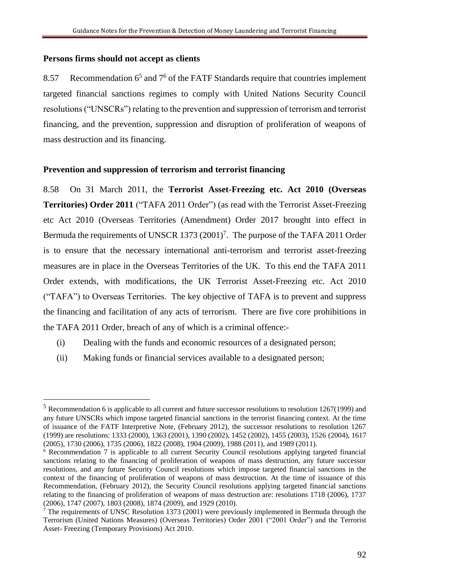#### **Persons firms should not accept as clients**

 $\overline{a}$ 

8.57 Recommendation  $6<sup>5</sup>$  and  $7<sup>6</sup>$  of the FATF Standards require that countries implement targeted financial sanctions regimes to comply with United Nations Security Council resolutions ("UNSCRs") relating to the prevention and suppression of terrorism and terrorist financing, and the prevention, suppression and disruption of proliferation of weapons of mass destruction and its financing.

#### **Prevention and suppression of terrorism and terrorist financing**

8.58 On 31 March 2011, the **Terrorist Asset-Freezing etc. Act 2010 (Overseas Territories) Order 2011** ("TAFA 2011 Order") (as read with the Terrorist Asset-Freezing etc Act 2010 (Overseas Territories (Amendment) Order 2017 brought into effect in Bermuda the requirements of UNSCR  $1373 (2001)^7$ . The purpose of the TAFA 2011 Order is to ensure that the necessary international anti-terrorism and terrorist asset-freezing measures are in place in the Overseas Territories of the UK. To this end the TAFA 2011 Order extends, with modifications, the UK Terrorist Asset-Freezing etc. Act 2010 ("TAFA") to Overseas Territories. The key objective of TAFA is to prevent and suppress the financing and facilitation of any acts of terrorism. There are five core prohibitions in the TAFA 2011 Order, breach of any of which is a criminal offence:-

- (i) Dealing with the funds and economic resources of a designated person;
- (ii) Making funds or financial services available to a designated person;

<sup>5</sup> Recommendation 6 is applicable to all current and future successor resolutions to resolution 1267(1999) and any future UNSCRs which impose targeted financial sanctions in the terrorist financing context. At the time of issuance of the FATF Interpretive Note, (February 2012), the successor resolutions to resolution 1267 (1999) are resolutions: 1333 (2000), 1363 (2001), 1390 (2002), 1452 (2002), 1455 (2003), 1526 (2004), 1617 (2005), 1730 (2006), 1735 (2006), 1822 (2008), 1904 (2009), 1988 (2011), and 1989 (2011).

<sup>6</sup> Recommendation 7 is applicable to all current Security Council resolutions applying targeted financial sanctions relating to the financing of proliferation of weapons of mass destruction, any future successor resolutions, and any future Security Council resolutions which impose targeted financial sanctions in the context of the financing of proliferation of weapons of mass destruction. At the time of issuance of this Recommendation, (February 2012), the Security Council resolutions applying targeted financial sanctions relating to the financing of proliferation of weapons of mass destruction are: resolutions 1718 (2006), 1737 (2006), 1747 (2007), 1803 (2008), 1874 (2009), and 1929 (2010).

 $7$  The requirements of UNSC Resolution 1373 (2001) were previously implemented in Bermuda through the Terrorism (United Nations Measures) (Overseas Territories) Order 2001 ("2001 Order") and the Terrorist Asset- Freezing (Temporary Provisions) Act 2010.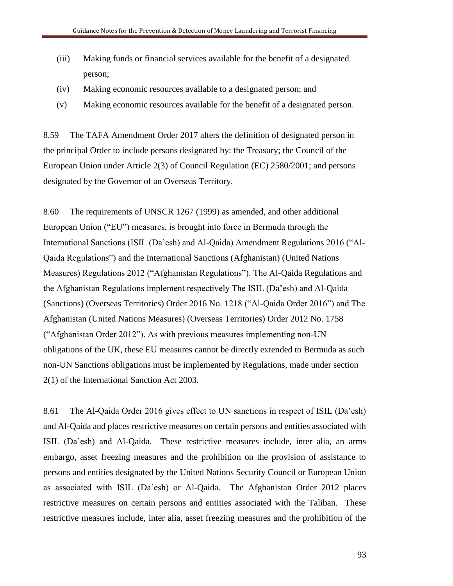- (iii) Making funds or financial services available for the benefit of a designated person;
- (iv) Making economic resources available to a designated person; and
- (v) Making economic resources available for the benefit of a designated person.

8.59 The TAFA Amendment Order 2017 alters the definition of designated person in the principal Order to include persons designated by: the Treasury; the Council of the European Union under Article 2(3) of Council Regulation (EC) 2580/2001; and persons designated by the Governor of an Overseas Territory.

8.60 The requirements of UNSCR 1267 (1999) as amended, and other additional European Union ("EU") measures, is brought into force in Bermuda through the International Sanctions (ISIL (Da'esh) and Al-Qaida) Amendment Regulations 2016 ("Al-Qaida Regulations") and the International Sanctions (Afghanistan) (United Nations Measures) Regulations 2012 ("Afghanistan Regulations"). The Al-Qaida Regulations and the Afghanistan Regulations implement respectively The ISIL (Da'esh) and Al-Qaida (Sanctions) (Overseas Territories) Order 2016 No. 1218 ("Al-Qaida Order 2016") and The Afghanistan (United Nations Measures) (Overseas Territories) Order 2012 No. 1758 ("Afghanistan Order 2012"). As with previous measures implementing non-UN obligations of the UK, these EU measures cannot be directly extended to Bermuda as such non-UN Sanctions obligations must be implemented by Regulations, made under section 2(1) of the International Sanction Act 2003.

8.61 The Al-Qaida Order 2016 gives effect to UN sanctions in respect of ISIL (Da'esh) and Al-Qaida and places restrictive measures on certain persons and entities associated with ISIL (Da'esh) and Al-Qaida. These restrictive measures include, inter alia, an arms embargo, asset freezing measures and the prohibition on the provision of assistance to persons and entities designated by the United Nations Security Council or European Union as associated with ISIL (Da'esh) or Al-Qaida. The Afghanistan Order 2012 places restrictive measures on certain persons and entities associated with the Taliban. These restrictive measures include, inter alia, asset freezing measures and the prohibition of the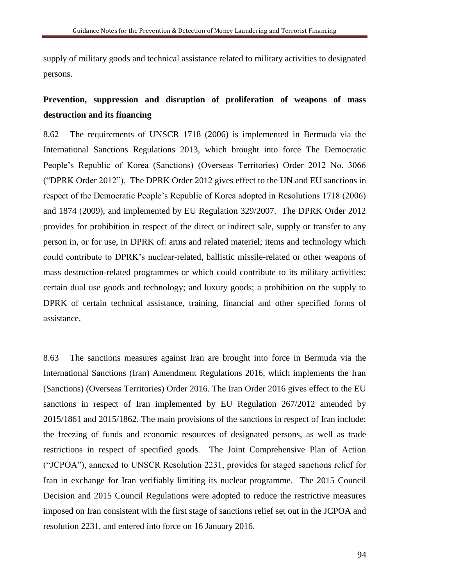supply of military goods and technical assistance related to military activities to designated persons.

## **Prevention, suppression and disruption of proliferation of weapons of mass destruction and its financing**

8.62 The requirements of UNSCR 1718 (2006) is implemented in Bermuda via the International Sanctions Regulations 2013, which brought into force The Democratic People's Republic of Korea (Sanctions) (Overseas Territories) Order 2012 No. 3066 ("DPRK Order 2012"). The DPRK Order 2012 gives effect to the UN and EU sanctions in respect of the Democratic People's Republic of Korea adopted in Resolutions 1718 (2006) and 1874 (2009), and implemented by EU Regulation 329/2007. The DPRK Order 2012 provides for prohibition in respect of the direct or indirect sale, supply or transfer to any person in, or for use, in DPRK of: arms and related materiel; items and technology which could contribute to DPRK's nuclear-related, ballistic missile-related or other weapons of mass destruction-related programmes or which could contribute to its military activities; certain dual use goods and technology; and luxury goods; a prohibition on the supply to DPRK of certain technical assistance, training, financial and other specified forms of assistance.

8.63 The sanctions measures against Iran are brought into force in Bermuda via the International Sanctions (Iran) Amendment Regulations 2016, which implements the Iran (Sanctions) (Overseas Territories) Order 2016. The Iran Order 2016 gives effect to the EU sanctions in respect of Iran implemented by EU Regulation 267/2012 amended by 2015/1861 and 2015/1862. The main provisions of the sanctions in respect of Iran include: the freezing of funds and economic resources of designated persons, as well as trade restrictions in respect of specified goods. The Joint Comprehensive Plan of Action ("JCPOA"), annexed to UNSCR Resolution 2231, provides for staged sanctions relief for Iran in exchange for Iran verifiably limiting its nuclear programme. The 2015 Council Decision and 2015 Council Regulations were adopted to reduce the restrictive measures imposed on Iran consistent with the first stage of sanctions relief set out in the JCPOA and resolution 2231, and entered into force on 16 January 2016.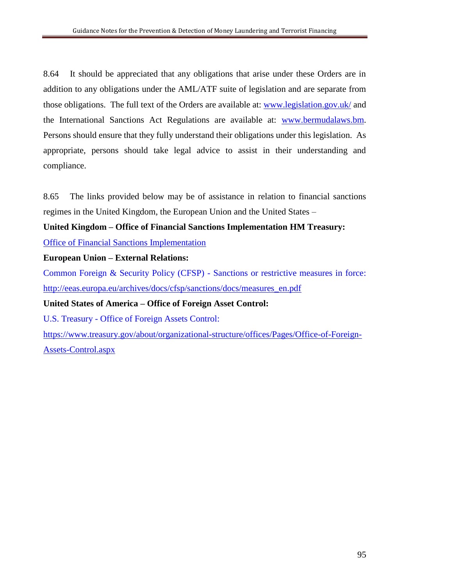8.64 It should be appreciated that any obligations that arise under these Orders are in addition to any obligations under the AML/ATF suite of legislation and are separate from those obligations. The full text of the Orders are available at: [www.legislation.gov.uk/](http://www.legislation.gov.uk/) and the International Sanctions Act Regulations are available at: [www.bermudalaws.bm.](http://www.bermudalaws.bm/) Persons should ensure that they fully understand their obligations under this legislation. As appropriate, persons should take legal advice to assist in their understanding and compliance.

8.65 The links provided below may be of assistance in relation to financial sanctions regimes in the United Kingdom, the European Union and the United States –

**United Kingdom – Office of Financial Sanctions Implementation HM Treasury:**

[Office of Financial Sanctions Implementation](https://www.gov.uk/government/organisations/office-of-financial-sanctions-implementation)

## **European Union – External Relations:**

Common Foreign & Security Policy (CFSP) - Sanctions or restrictive measures in force: [http://eeas.europa.eu/archives/docs/cfsp/sanctions/docs/measures\\_en.pdf](http://eeas.europa.eu/archives/docs/cfsp/sanctions/docs/measures_en.pdf)

**United States of America – Office of Foreign Asset Control:**

U.S. Treasury - Office of Foreign Assets Control:

[https://www.treasury.gov/about/organizational-structure/offices/Pages/Office-of-Foreign-](https://www.treasury.gov/about/organizational-structure/offices/Pages/Office-of-Foreign-Assets-Control.aspx)[Assets-Control.aspx](https://www.treasury.gov/about/organizational-structure/offices/Pages/Office-of-Foreign-Assets-Control.aspx)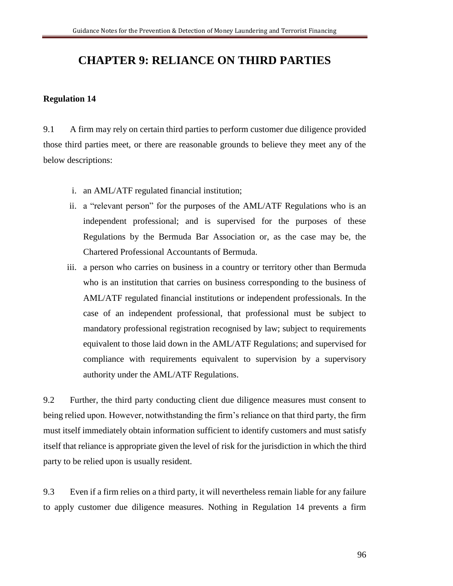# **CHAPTER 9: RELIANCE ON THIRD PARTIES**

#### **Regulation 14**

9.1 A firm may rely on certain third parties to perform customer due diligence provided those third parties meet, or there are reasonable grounds to believe they meet any of the below descriptions:

- i. an AML/ATF regulated financial institution;
- ii. a "relevant person" for the purposes of the AML/ATF Regulations who is an independent professional; and is supervised for the purposes of these Regulations by the Bermuda Bar Association or, as the case may be, the Chartered Professional Accountants of Bermuda.
- iii. a person who carries on business in a country or territory other than Bermuda who is an institution that carries on business corresponding to the business of AML/ATF regulated financial institutions or independent professionals. In the case of an independent professional, that professional must be subject to mandatory professional registration recognised by law; subject to requirements equivalent to those laid down in the AML/ATF Regulations; and supervised for compliance with requirements equivalent to supervision by a supervisory authority under the AML/ATF Regulations.

9.2 Further, the third party conducting client due diligence measures must consent to being relied upon. However, notwithstanding the firm's reliance on that third party, the firm must itself immediately obtain information sufficient to identify customers and must satisfy itself that reliance is appropriate given the level of risk for the jurisdiction in which the third party to be relied upon is usually resident.

9.3 Even if a firm relies on a third party, it will nevertheless remain liable for any failure to apply customer due diligence measures. Nothing in Regulation 14 prevents a firm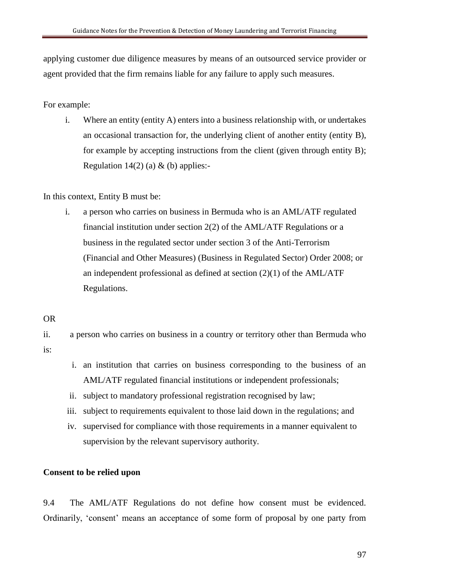applying customer due diligence measures by means of an outsourced service provider or agent provided that the firm remains liable for any failure to apply such measures.

For example:

i. Where an entity (entity A) enters into a business relationship with, or undertakes an occasional transaction for, the underlying client of another entity (entity B), for example by accepting instructions from the client (given through entity B); Regulation 14(2) (a)  $\&$  (b) applies:-

In this context, Entity B must be:

- i. a person who carries on business in Bermuda who is an AML/ATF regulated financial institution under section 2(2) of the AML/ATF Regulations or a business in the regulated sector under section 3 of the Anti-Terrorism (Financial and Other Measures) (Business in Regulated Sector) Order 2008; or an independent professional as defined at section  $(2)(1)$  of the AML/ATF Regulations.
- OR

ii. a person who carries on business in a country or territory other than Bermuda who is:

- i. an institution that carries on business corresponding to the business of an AML/ATF regulated financial institutions or independent professionals;
- ii. subject to mandatory professional registration recognised by law;
- iii. subject to requirements equivalent to those laid down in the regulations; and
- iv. supervised for compliance with those requirements in a manner equivalent to supervision by the relevant supervisory authority.

## **Consent to be relied upon**

9.4 The AML/ATF Regulations do not define how consent must be evidenced. Ordinarily, 'consent' means an acceptance of some form of proposal by one party from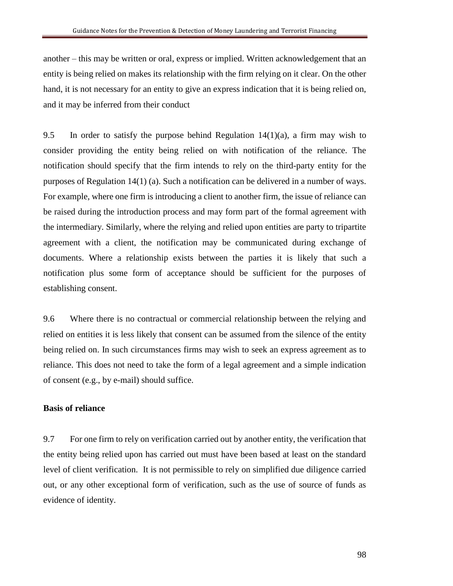another – this may be written or oral, express or implied. Written acknowledgement that an entity is being relied on makes its relationship with the firm relying on it clear. On the other hand, it is not necessary for an entity to give an express indication that it is being relied on, and it may be inferred from their conduct

9.5 In order to satisfy the purpose behind Regulation  $14(1)(a)$ , a firm may wish to consider providing the entity being relied on with notification of the reliance. The notification should specify that the firm intends to rely on the third-party entity for the purposes of Regulation 14(1) (a). Such a notification can be delivered in a number of ways. For example, where one firm is introducing a client to another firm, the issue of reliance can be raised during the introduction process and may form part of the formal agreement with the intermediary. Similarly, where the relying and relied upon entities are party to tripartite agreement with a client, the notification may be communicated during exchange of documents. Where a relationship exists between the parties it is likely that such a notification plus some form of acceptance should be sufficient for the purposes of establishing consent.

9.6 Where there is no contractual or commercial relationship between the relying and relied on entities it is less likely that consent can be assumed from the silence of the entity being relied on. In such circumstances firms may wish to seek an express agreement as to reliance. This does not need to take the form of a legal agreement and a simple indication of consent (e.g., by e-mail) should suffice.

#### **Basis of reliance**

9.7 For one firm to rely on verification carried out by another entity, the verification that the entity being relied upon has carried out must have been based at least on the standard level of client verification. It is not permissible to rely on simplified due diligence carried out, or any other exceptional form of verification, such as the use of source of funds as evidence of identity.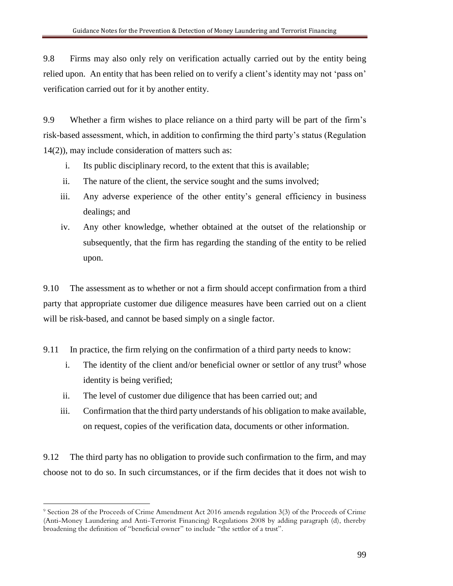9.8 Firms may also only rely on verification actually carried out by the entity being relied upon. An entity that has been relied on to verify a client's identity may not 'pass on' verification carried out for it by another entity.

9.9 Whether a firm wishes to place reliance on a third party will be part of the firm's risk-based assessment, which, in addition to confirming the third party's status (Regulation 14(2)), may include consideration of matters such as:

- i. Its public disciplinary record, to the extent that this is available;
- ii. The nature of the client, the service sought and the sums involved;
- iii. Any adverse experience of the other entity's general efficiency in business dealings; and
- iv. Any other knowledge, whether obtained at the outset of the relationship or subsequently, that the firm has regarding the standing of the entity to be relied upon.

9.10 The assessment as to whether or not a firm should accept confirmation from a third party that appropriate customer due diligence measures have been carried out on a client will be risk-based, and cannot be based simply on a single factor.

- 9.11 In practice, the firm relying on the confirmation of a third party needs to know:
	- i. The identity of the client and/or beneficial owner or settlor of any trust<sup>9</sup> whose identity is being verified;
	- ii. The level of customer due diligence that has been carried out; and
	- iii. Confirmation that the third party understands of his obligation to make available, on request, copies of the verification data, documents or other information.

9.12 The third party has no obligation to provide such confirmation to the firm, and may choose not to do so. In such circumstances, or if the firm decides that it does not wish to

 $\overline{a}$ 

<sup>9</sup> Section 28 of the Proceeds of Crime Amendment Act 2016 amends regulation 3(3) of the Proceeds of Crime (Anti-Money Laundering and Anti-Terrorist Financing) Regulations 2008 by adding paragraph (d), thereby broadening the definition of "beneficial owner" to include "the settlor of a trust".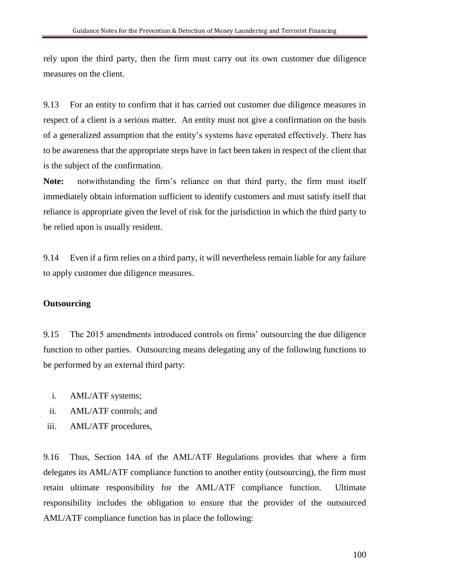rely upon the third party, then the firm must carry out its own customer due diligence measures on the client.

9.13 For an entity to confirm that it has carried out customer due diligence measures in respect of a client is a serious matter. An entity must not give a confirmation on the basis of a generalized assumption that the entity's systems have operated effectively. There has to be awareness that the appropriate steps have in fact been taken in respect of the client that is the subject of the confirmation.

**Note:** notwithstanding the firm's reliance on that third party, the firm must itself immediately obtain information sufficient to identify customers and must satisfy itself that reliance is appropriate given the level of risk for the jurisdiction in which the third party to be relied upon is usually resident.

9.14 Even if a firm relies on a third party, it will nevertheless remain liable for any failure to apply customer due diligence measures.

#### **Outsourcing**

9.15 The 2015 amendments introduced controls on firms' outsourcing the due diligence function to other parties. Outsourcing means delegating any of the following functions to be performed by an external third party:

- i. AML/ATF systems;
- ii. AML/ATF controls; and
- iii. AML/ATF procedures,

9.16 Thus, Section 14A of the AML/ATF Regulations provides that where a firm delegates its AML/ATF compliance function to another entity (outsourcing), the firm must retain ultimate responsibility for the AML/ATF compliance function. Ultimate responsibility includes the obligation to ensure that the provider of the outsourced AML/ATF compliance function has in place the following: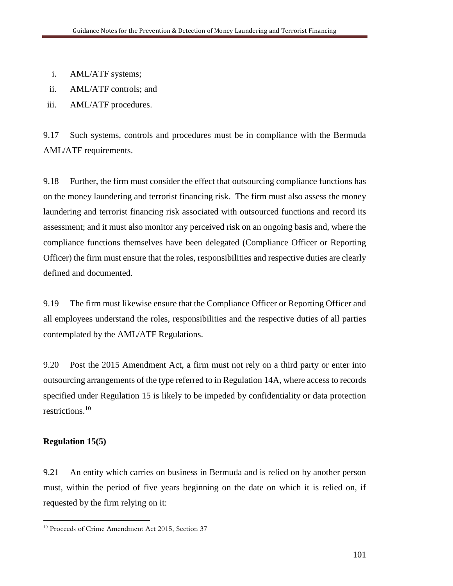- i. AML/ATF systems;
- ii. AML/ATF controls; and
- iii. AML/ATF procedures.

9.17 Such systems, controls and procedures must be in compliance with the Bermuda AML/ATF requirements.

9.18 Further, the firm must consider the effect that outsourcing compliance functions has on the money laundering and terrorist financing risk. The firm must also assess the money laundering and terrorist financing risk associated with outsourced functions and record its assessment; and it must also monitor any perceived risk on an ongoing basis and, where the compliance functions themselves have been delegated (Compliance Officer or Reporting Officer) the firm must ensure that the roles, responsibilities and respective duties are clearly defined and documented.

9.19 The firm must likewise ensure that the Compliance Officer or Reporting Officer and all employees understand the roles, responsibilities and the respective duties of all parties contemplated by the AML/ATF Regulations.

9.20 Post the 2015 Amendment Act, a firm must not rely on a third party or enter into outsourcing arrangements of the type referred to in Regulation 14A, where access to records specified under Regulation 15 is likely to be impeded by confidentiality or data protection restrictions.<sup>10</sup>

## **Regulation 15(5)**

 $\overline{a}$ 

9.21 An entity which carries on business in Bermuda and is relied on by another person must, within the period of five years beginning on the date on which it is relied on, if requested by the firm relying on it:

<sup>&</sup>lt;sup>10</sup> Proceeds of Crime Amendment Act 2015, Section 37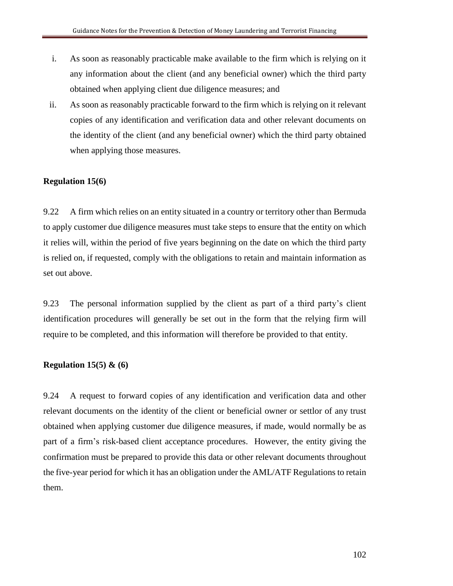- i. As soon as reasonably practicable make available to the firm which is relying on it any information about the client (and any beneficial owner) which the third party obtained when applying client due diligence measures; and
- ii. As soon as reasonably practicable forward to the firm which is relying on it relevant copies of any identification and verification data and other relevant documents on the identity of the client (and any beneficial owner) which the third party obtained when applying those measures.

## **Regulation 15(6)**

9.22 A firm which relies on an entity situated in a country or territory other than Bermuda to apply customer due diligence measures must take steps to ensure that the entity on which it relies will, within the period of five years beginning on the date on which the third party is relied on, if requested, comply with the obligations to retain and maintain information as set out above.

9.23 The personal information supplied by the client as part of a third party's client identification procedures will generally be set out in the form that the relying firm will require to be completed, and this information will therefore be provided to that entity.

## **Regulation 15(5) & (6)**

9.24 A request to forward copies of any identification and verification data and other relevant documents on the identity of the client or beneficial owner or settlor of any trust obtained when applying customer due diligence measures, if made, would normally be as part of a firm's risk-based client acceptance procedures. However, the entity giving the confirmation must be prepared to provide this data or other relevant documents throughout the five-year period for which it has an obligation under the AML/ATF Regulations to retain them.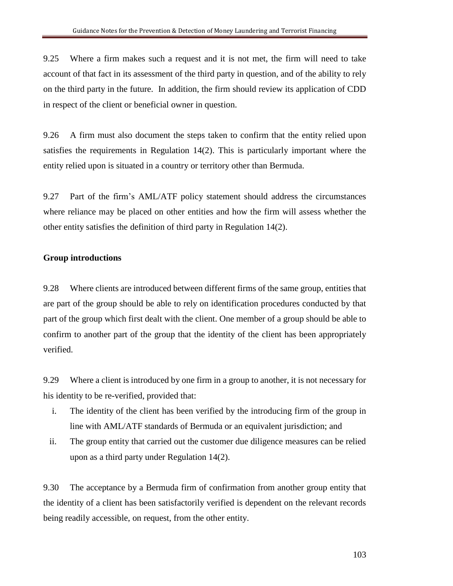9.25 Where a firm makes such a request and it is not met, the firm will need to take account of that fact in its assessment of the third party in question, and of the ability to rely on the third party in the future. In addition, the firm should review its application of CDD in respect of the client or beneficial owner in question.

9.26 A firm must also document the steps taken to confirm that the entity relied upon satisfies the requirements in Regulation 14(2). This is particularly important where the entity relied upon is situated in a country or territory other than Bermuda.

9.27 Part of the firm's AML/ATF policy statement should address the circumstances where reliance may be placed on other entities and how the firm will assess whether the other entity satisfies the definition of third party in Regulation 14(2).

## **Group introductions**

9.28 Where clients are introduced between different firms of the same group, entities that are part of the group should be able to rely on identification procedures conducted by that part of the group which first dealt with the client. One member of a group should be able to confirm to another part of the group that the identity of the client has been appropriately verified.

9.29 Where a client is introduced by one firm in a group to another, it is not necessary for his identity to be re-verified, provided that:

- i. The identity of the client has been verified by the introducing firm of the group in line with AML/ATF standards of Bermuda or an equivalent jurisdiction; and
- ii. The group entity that carried out the customer due diligence measures can be relied upon as a third party under Regulation 14(2).

9.30 The acceptance by a Bermuda firm of confirmation from another group entity that the identity of a client has been satisfactorily verified is dependent on the relevant records being readily accessible, on request, from the other entity.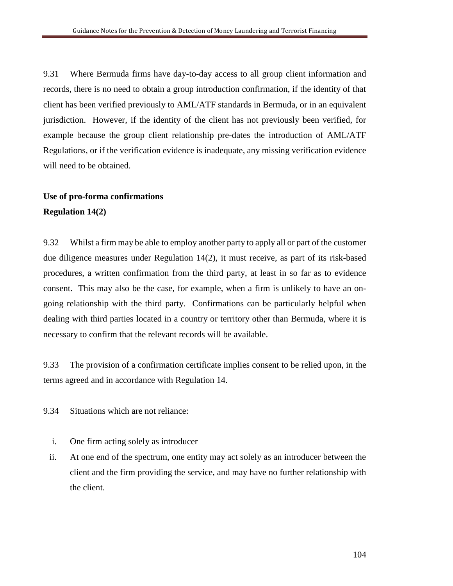9.31 Where Bermuda firms have day-to-day access to all group client information and records, there is no need to obtain a group introduction confirmation, if the identity of that client has been verified previously to AML/ATF standards in Bermuda, or in an equivalent jurisdiction. However, if the identity of the client has not previously been verified, for example because the group client relationship pre-dates the introduction of AML/ATF Regulations, or if the verification evidence is inadequate, any missing verification evidence will need to be obtained.

## **Use of pro-forma confirmations Regulation 14(2)**

9.32 Whilst a firm may be able to employ another party to apply all or part of the customer due diligence measures under Regulation 14(2), it must receive, as part of its risk-based procedures, a written confirmation from the third party, at least in so far as to evidence consent. This may also be the case, for example, when a firm is unlikely to have an ongoing relationship with the third party. Confirmations can be particularly helpful when dealing with third parties located in a country or territory other than Bermuda, where it is necessary to confirm that the relevant records will be available.

9.33 The provision of a confirmation certificate implies consent to be relied upon, in the terms agreed and in accordance with Regulation 14.

9.34 Situations which are not reliance:

- i. One firm acting solely as introducer
- ii. At one end of the spectrum, one entity may act solely as an introducer between the client and the firm providing the service, and may have no further relationship with the client.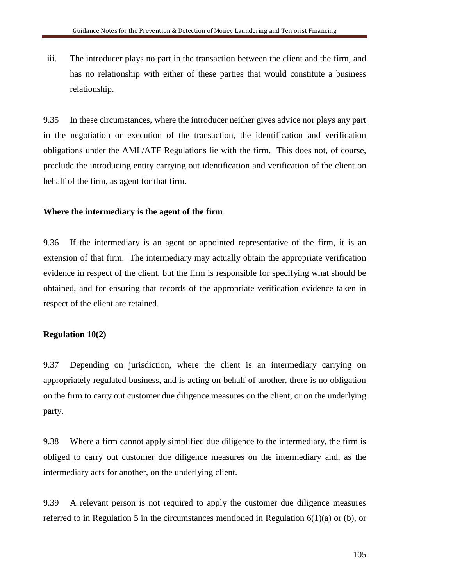iii. The introducer plays no part in the transaction between the client and the firm, and has no relationship with either of these parties that would constitute a business relationship.

9.35 In these circumstances, where the introducer neither gives advice nor plays any part in the negotiation or execution of the transaction, the identification and verification obligations under the AML/ATF Regulations lie with the firm. This does not, of course, preclude the introducing entity carrying out identification and verification of the client on behalf of the firm, as agent for that firm.

#### **Where the intermediary is the agent of the firm**

9.36 If the intermediary is an agent or appointed representative of the firm, it is an extension of that firm. The intermediary may actually obtain the appropriate verification evidence in respect of the client, but the firm is responsible for specifying what should be obtained, and for ensuring that records of the appropriate verification evidence taken in respect of the client are retained.

#### **Regulation 10(2)**

9.37 Depending on jurisdiction, where the client is an intermediary carrying on appropriately regulated business, and is acting on behalf of another, there is no obligation on the firm to carry out customer due diligence measures on the client, or on the underlying party.

9.38 Where a firm cannot apply simplified due diligence to the intermediary, the firm is obliged to carry out customer due diligence measures on the intermediary and, as the intermediary acts for another, on the underlying client.

9.39 A relevant person is not required to apply the customer due diligence measures referred to in Regulation 5 in the circumstances mentioned in Regulation 6(1)(a) or (b), or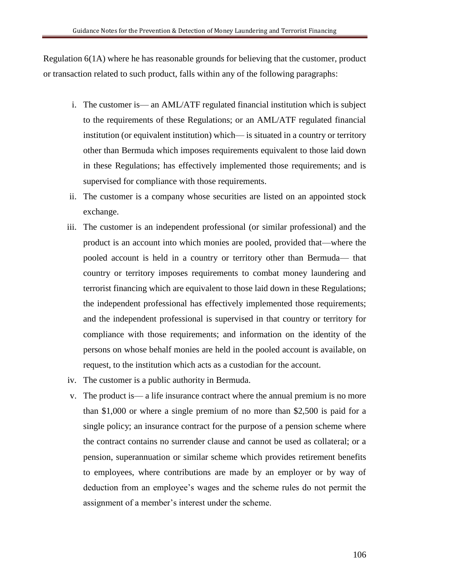Regulation 6(1A) where he has reasonable grounds for believing that the customer, product or transaction related to such product, falls within any of the following paragraphs:

- i. The customer is— an AML/ATF regulated financial institution which is subject to the requirements of these Regulations; or an AML/ATF regulated financial institution (or equivalent institution) which— is situated in a country or territory other than Bermuda which imposes requirements equivalent to those laid down in these Regulations; has effectively implemented those requirements; and is supervised for compliance with those requirements.
- ii. The customer is a company whose securities are listed on an appointed stock exchange.
- iii. The customer is an independent professional (or similar professional) and the product is an account into which monies are pooled, provided that—where the pooled account is held in a country or territory other than Bermuda— that country or territory imposes requirements to combat money laundering and terrorist financing which are equivalent to those laid down in these Regulations; the independent professional has effectively implemented those requirements; and the independent professional is supervised in that country or territory for compliance with those requirements; and information on the identity of the persons on whose behalf monies are held in the pooled account is available, on request, to the institution which acts as a custodian for the account.
- iv. The customer is a public authority in Bermuda.
- v. The product is— a life insurance contract where the annual premium is no more than \$1,000 or where a single premium of no more than \$2,500 is paid for a single policy; an insurance contract for the purpose of a pension scheme where the contract contains no surrender clause and cannot be used as collateral; or a pension, superannuation or similar scheme which provides retirement benefits to employees, where contributions are made by an employer or by way of deduction from an employee's wages and the scheme rules do not permit the assignment of a member's interest under the scheme.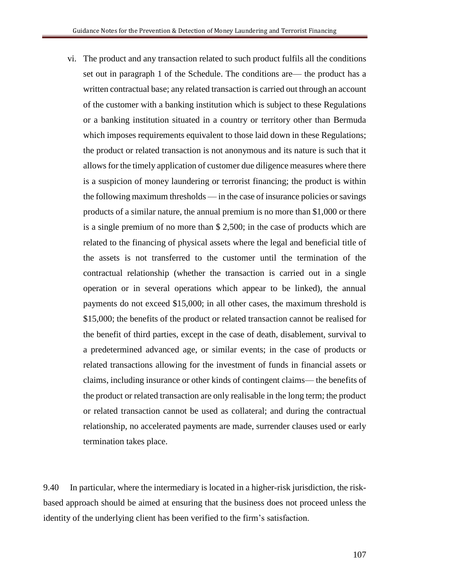vi. The product and any transaction related to such product fulfils all the conditions set out in paragraph 1 of the Schedule. The conditions are— the product has a written contractual base; any related transaction is carried out through an account of the customer with a banking institution which is subject to these Regulations or a banking institution situated in a country or territory other than Bermuda which imposes requirements equivalent to those laid down in these Regulations; the product or related transaction is not anonymous and its nature is such that it allows for the timely application of customer due diligence measures where there is a suspicion of money laundering or terrorist financing; the product is within the following maximum thresholds — in the case of insurance policies or savings products of a similar nature, the annual premium is no more than \$1,000 or there is a single premium of no more than \$ 2,500; in the case of products which are related to the financing of physical assets where the legal and beneficial title of the assets is not transferred to the customer until the termination of the contractual relationship (whether the transaction is carried out in a single operation or in several operations which appear to be linked), the annual payments do not exceed \$15,000; in all other cases, the maximum threshold is \$15,000; the benefits of the product or related transaction cannot be realised for the benefit of third parties, except in the case of death, disablement, survival to a predetermined advanced age, or similar events; in the case of products or related transactions allowing for the investment of funds in financial assets or claims, including insurance or other kinds of contingent claims— the benefits of the product or related transaction are only realisable in the long term; the product or related transaction cannot be used as collateral; and during the contractual relationship, no accelerated payments are made, surrender clauses used or early termination takes place.

9.40 In particular, where the intermediary is located in a higher-risk jurisdiction, the riskbased approach should be aimed at ensuring that the business does not proceed unless the identity of the underlying client has been verified to the firm's satisfaction.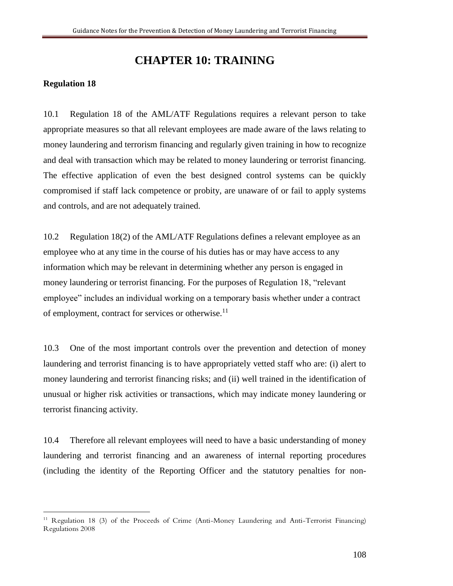# **CHAPTER 10: TRAINING**

## **Regulation 18**

 $\overline{a}$ 

10.1 Regulation 18 of the AML/ATF Regulations requires a relevant person to take appropriate measures so that all relevant employees are made aware of the laws relating to money laundering and terrorism financing and regularly given training in how to recognize and deal with transaction which may be related to money laundering or terrorist financing. The effective application of even the best designed control systems can be quickly compromised if staff lack competence or probity, are unaware of or fail to apply systems and controls, and are not adequately trained.

10.2 Regulation 18(2) of the AML/ATF Regulations defines a relevant employee as an employee who at any time in the course of his duties has or may have access to any information which may be relevant in determining whether any person is engaged in money laundering or terrorist financing. For the purposes of Regulation 18, "relevant employee" includes an individual working on a temporary basis whether under a contract of employment, contract for services or otherwise.<sup>11</sup>

10.3 One of the most important controls over the prevention and detection of money laundering and terrorist financing is to have appropriately vetted staff who are: (i) alert to money laundering and terrorist financing risks; and (ii) well trained in the identification of unusual or higher risk activities or transactions, which may indicate money laundering or terrorist financing activity.

10.4 Therefore all relevant employees will need to have a basic understanding of money laundering and terrorist financing and an awareness of internal reporting procedures (including the identity of the Reporting Officer and the statutory penalties for non-

<sup>11</sup> Regulation 18 (3) of the Proceeds of Crime (Anti-Money Laundering and Anti-Terrorist Financing) Regulations 2008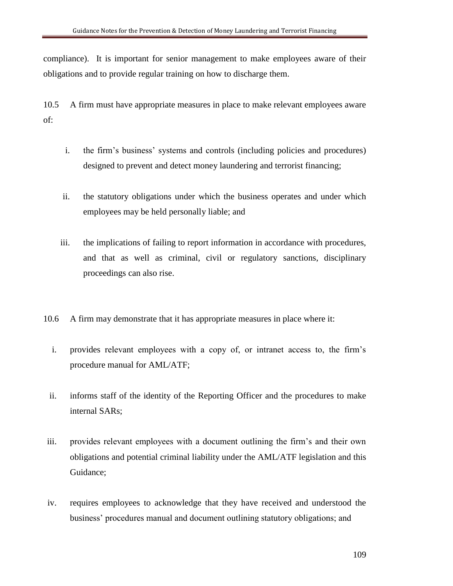compliance). It is important for senior management to make employees aware of their obligations and to provide regular training on how to discharge them.

10.5 A firm must have appropriate measures in place to make relevant employees aware of:

- i. the firm's business' systems and controls (including policies and procedures) designed to prevent and detect money laundering and terrorist financing;
- ii. the statutory obligations under which the business operates and under which employees may be held personally liable; and
- iii. the implications of failing to report information in accordance with procedures, and that as well as criminal, civil or regulatory sanctions, disciplinary proceedings can also rise.
- 10.6 A firm may demonstrate that it has appropriate measures in place where it:
	- i. provides relevant employees with a copy of, or intranet access to, the firm's procedure manual for AML/ATF;
- ii. informs staff of the identity of the Reporting Officer and the procedures to make internal SARs;
- iii. provides relevant employees with a document outlining the firm's and their own obligations and potential criminal liability under the AML/ATF legislation and this Guidance;
- iv. requires employees to acknowledge that they have received and understood the business' procedures manual and document outlining statutory obligations; and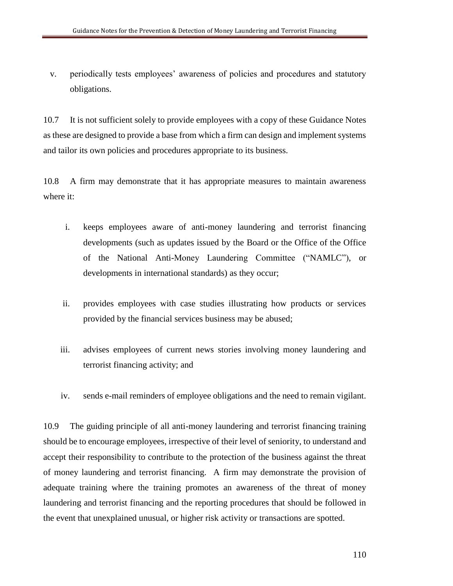v. periodically tests employees' awareness of policies and procedures and statutory obligations.

10.7 It is not sufficient solely to provide employees with a copy of these Guidance Notes as these are designed to provide a base from which a firm can design and implement systems and tailor its own policies and procedures appropriate to its business.

10.8 A firm may demonstrate that it has appropriate measures to maintain awareness where it:

- i. keeps employees aware of anti-money laundering and terrorist financing developments (such as updates issued by the Board or the Office of the Office of the National Anti-Money Laundering Committee ("NAMLC"), or developments in international standards) as they occur;
- ii. provides employees with case studies illustrating how products or services provided by the financial services business may be abused;
- iii. advises employees of current news stories involving money laundering and terrorist financing activity; and
- iv. sends e-mail reminders of employee obligations and the need to remain vigilant.

10.9 The guiding principle of all anti-money laundering and terrorist financing training should be to encourage employees, irrespective of their level of seniority, to understand and accept their responsibility to contribute to the protection of the business against the threat of money laundering and terrorist financing. A firm may demonstrate the provision of adequate training where the training promotes an awareness of the threat of money laundering and terrorist financing and the reporting procedures that should be followed in the event that unexplained unusual, or higher risk activity or transactions are spotted.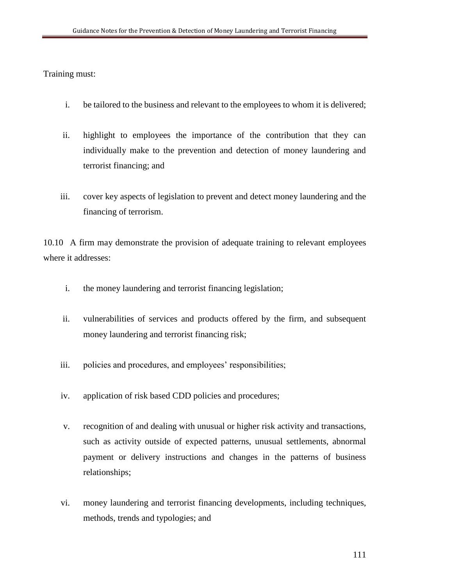Training must:

- i. be tailored to the business and relevant to the employees to whom it is delivered;
- ii. highlight to employees the importance of the contribution that they can individually make to the prevention and detection of money laundering and terrorist financing; and
- iii. cover key aspects of legislation to prevent and detect money laundering and the financing of terrorism.

10.10 A firm may demonstrate the provision of adequate training to relevant employees where it addresses:

- i. the money laundering and terrorist financing legislation;
- ii. vulnerabilities of services and products offered by the firm, and subsequent money laundering and terrorist financing risk;
- iii. policies and procedures, and employees' responsibilities;
- iv. application of risk based CDD policies and procedures;
- v. recognition of and dealing with unusual or higher risk activity and transactions, such as activity outside of expected patterns, unusual settlements, abnormal payment or delivery instructions and changes in the patterns of business relationships;
- vi. money laundering and terrorist financing developments, including techniques, methods, trends and typologies; and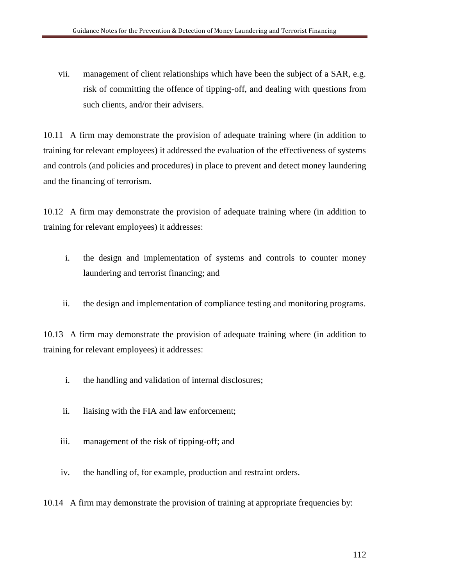vii. management of client relationships which have been the subject of a SAR, e.g. risk of committing the offence of tipping-off, and dealing with questions from such clients, and/or their advisers.

10.11 A firm may demonstrate the provision of adequate training where (in addition to training for relevant employees) it addressed the evaluation of the effectiveness of systems and controls (and policies and procedures) in place to prevent and detect money laundering and the financing of terrorism.

10.12 A firm may demonstrate the provision of adequate training where (in addition to training for relevant employees) it addresses:

- i. the design and implementation of systems and controls to counter money laundering and terrorist financing; and
- ii. the design and implementation of compliance testing and monitoring programs.

10.13 A firm may demonstrate the provision of adequate training where (in addition to training for relevant employees) it addresses:

- i. the handling and validation of internal disclosures;
- ii. liaising with the FIA and law enforcement;
- iii. management of the risk of tipping-off; and
- iv. the handling of, for example, production and restraint orders.

10.14 A firm may demonstrate the provision of training at appropriate frequencies by: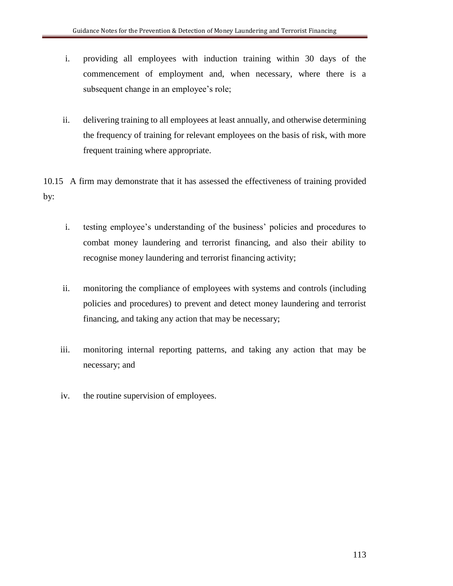- i. providing all employees with induction training within 30 days of the commencement of employment and, when necessary, where there is a subsequent change in an employee's role;
- ii. delivering training to all employees at least annually, and otherwise determining the frequency of training for relevant employees on the basis of risk, with more frequent training where appropriate.

10.15 A firm may demonstrate that it has assessed the effectiveness of training provided by:

- i. testing employee's understanding of the business' policies and procedures to combat money laundering and terrorist financing, and also their ability to recognise money laundering and terrorist financing activity;
- ii. monitoring the compliance of employees with systems and controls (including policies and procedures) to prevent and detect money laundering and terrorist financing, and taking any action that may be necessary;
- iii. monitoring internal reporting patterns, and taking any action that may be necessary; and
- iv. the routine supervision of employees.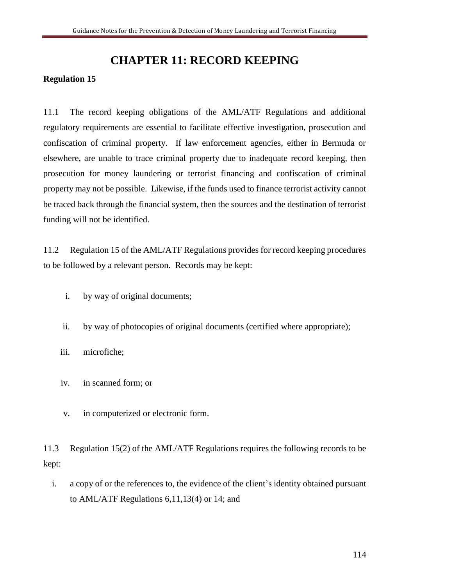## **CHAPTER 11: RECORD KEEPING**

## **Regulation 15**

11.1 The record keeping obligations of the AML/ATF Regulations and additional regulatory requirements are essential to facilitate effective investigation, prosecution and confiscation of criminal property. If law enforcement agencies, either in Bermuda or elsewhere, are unable to trace criminal property due to inadequate record keeping, then prosecution for money laundering or terrorist financing and confiscation of criminal property may not be possible. Likewise, if the funds used to finance terrorist activity cannot be traced back through the financial system, then the sources and the destination of terrorist funding will not be identified.

11.2 Regulation 15 of the AML/ATF Regulations provides for record keeping procedures to be followed by a relevant person. Records may be kept:

- i. by way of original documents;
- ii. by way of photocopies of original documents (certified where appropriate);
- iii. microfiche;
- iv. in scanned form; or
- v. in computerized or electronic form.

11.3 Regulation 15(2) of the AML/ATF Regulations requires the following records to be kept:

i. a copy of or the references to, the evidence of the client's identity obtained pursuant to AML/ATF Regulations 6,11,13(4) or 14; and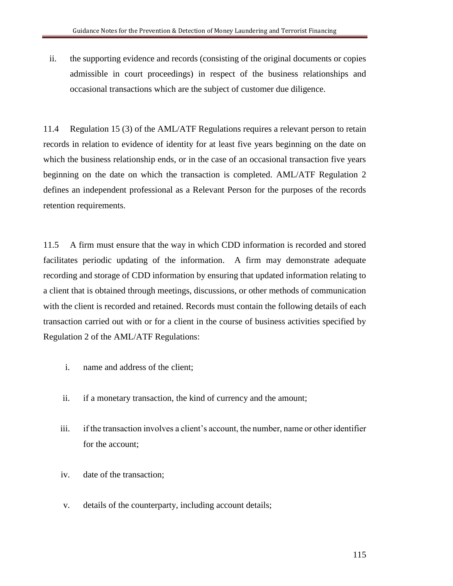ii. the supporting evidence and records (consisting of the original documents or copies admissible in court proceedings) in respect of the business relationships and occasional transactions which are the subject of customer due diligence.

11.4 Regulation 15 (3) of the AML/ATF Regulations requires a relevant person to retain records in relation to evidence of identity for at least five years beginning on the date on which the business relationship ends, or in the case of an occasional transaction five years beginning on the date on which the transaction is completed. AML/ATF Regulation 2 defines an independent professional as a Relevant Person for the purposes of the records retention requirements.

11.5 A firm must ensure that the way in which CDD information is recorded and stored facilitates periodic updating of the information. A firm may demonstrate adequate recording and storage of CDD information by ensuring that updated information relating to a client that is obtained through meetings, discussions, or other methods of communication with the client is recorded and retained. Records must contain the following details of each transaction carried out with or for a client in the course of business activities specified by Regulation 2 of the AML/ATF Regulations:

- i. name and address of the client;
- ii. if a monetary transaction, the kind of currency and the amount;
- iii. if the transaction involves a client's account, the number, name or other identifier for the account;
- iv. date of the transaction;
- v. details of the counterparty, including account details;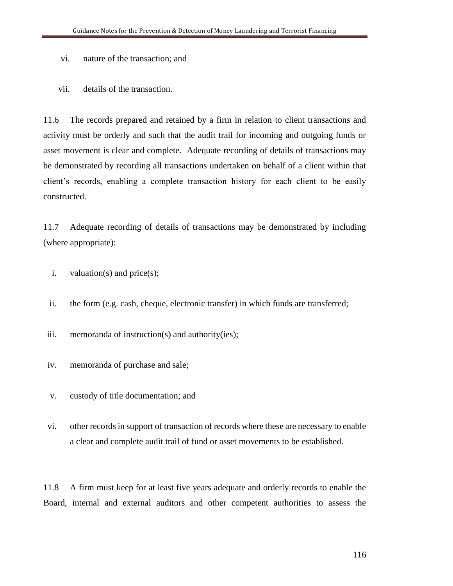- vi. nature of the transaction; and
- vii. details of the transaction.

11.6 The records prepared and retained by a firm in relation to client transactions and activity must be orderly and such that the audit trail for incoming and outgoing funds or asset movement is clear and complete. Adequate recording of details of transactions may be demonstrated by recording all transactions undertaken on behalf of a client within that client's records, enabling a complete transaction history for each client to be easily constructed.

11.7 Adequate recording of details of transactions may be demonstrated by including (where appropriate):

- i. valuation(s) and price(s);
- ii. the form (e.g. cash, cheque, electronic transfer) in which funds are transferred;

iii. memoranda of instruction(s) and authority(ies);

- iv. memoranda of purchase and sale;
- v. custody of title documentation; and
- vi. other records in support of transaction of records where these are necessary to enable a clear and complete audit trail of fund or asset movements to be established.

11.8 A firm must keep for at least five years adequate and orderly records to enable the Board, internal and external auditors and other competent authorities to assess the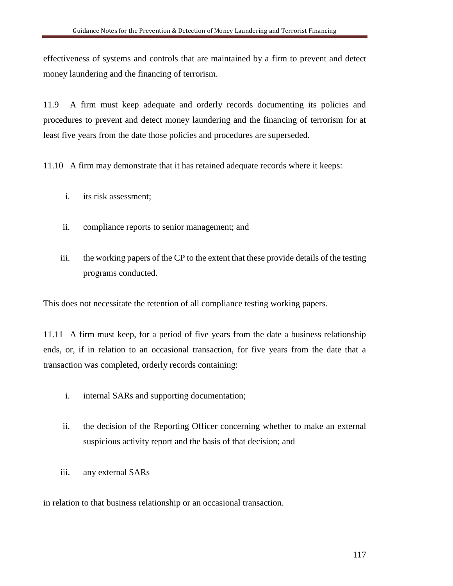effectiveness of systems and controls that are maintained by a firm to prevent and detect money laundering and the financing of terrorism.

11.9 A firm must keep adequate and orderly records documenting its policies and procedures to prevent and detect money laundering and the financing of terrorism for at least five years from the date those policies and procedures are superseded.

11.10 A firm may demonstrate that it has retained adequate records where it keeps:

- i. its risk assessment;
- ii. compliance reports to senior management; and
- iii. the working papers of the CP to the extent that these provide details of the testing programs conducted.

This does not necessitate the retention of all compliance testing working papers.

11.11 A firm must keep, for a period of five years from the date a business relationship ends, or, if in relation to an occasional transaction, for five years from the date that a transaction was completed, orderly records containing:

- i. internal SARs and supporting documentation;
- ii. the decision of the Reporting Officer concerning whether to make an external suspicious activity report and the basis of that decision; and
- iii. any external SARs

in relation to that business relationship or an occasional transaction.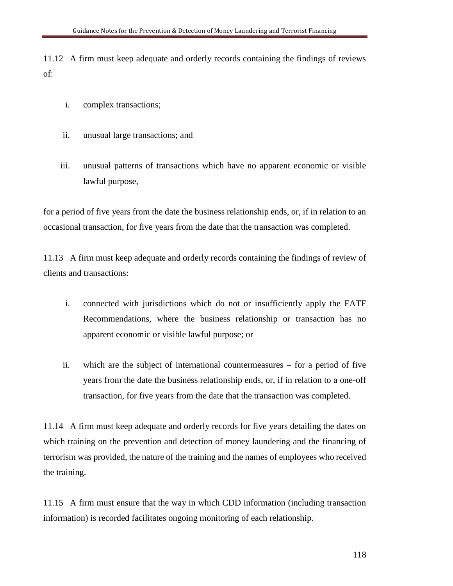11.12 A firm must keep adequate and orderly records containing the findings of reviews of:

- i. complex transactions;
- ii. unusual large transactions; and
- iii. unusual patterns of transactions which have no apparent economic or visible lawful purpose,

for a period of five years from the date the business relationship ends, or, if in relation to an occasional transaction, for five years from the date that the transaction was completed.

11.13 A firm must keep adequate and orderly records containing the findings of review of clients and transactions:

- i. connected with jurisdictions which do not or insufficiently apply the FATF Recommendations, where the business relationship or transaction has no apparent economic or visible lawful purpose; or
- ii. which are the subject of international countermeasures for a period of five years from the date the business relationship ends, or, if in relation to a one-off transaction, for five years from the date that the transaction was completed.

11.14 A firm must keep adequate and orderly records for five years detailing the dates on which training on the prevention and detection of money laundering and the financing of terrorism was provided, the nature of the training and the names of employees who received the training.

11.15 A firm must ensure that the way in which CDD information (including transaction information) is recorded facilitates ongoing monitoring of each relationship.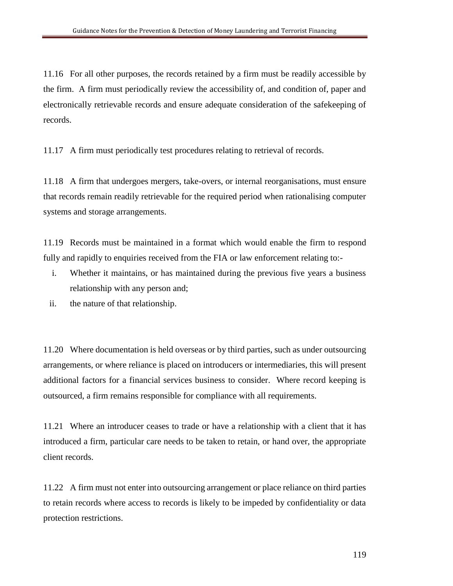11.16 For all other purposes, the records retained by a firm must be readily accessible by the firm. A firm must periodically review the accessibility of, and condition of, paper and electronically retrievable records and ensure adequate consideration of the safekeeping of records.

11.17 A firm must periodically test procedures relating to retrieval of records.

11.18 A firm that undergoes mergers, take-overs, or internal reorganisations, must ensure that records remain readily retrievable for the required period when rationalising computer systems and storage arrangements.

11.19 Records must be maintained in a format which would enable the firm to respond fully and rapidly to enquiries received from the FIA or law enforcement relating to:-

- i. Whether it maintains, or has maintained during the previous five years a business relationship with any person and;
- ii. the nature of that relationship.

11.20 Where documentation is held overseas or by third parties, such as under outsourcing arrangements, or where reliance is placed on introducers or intermediaries, this will present additional factors for a financial services business to consider. Where record keeping is outsourced, a firm remains responsible for compliance with all requirements.

11.21 Where an introducer ceases to trade or have a relationship with a client that it has introduced a firm, particular care needs to be taken to retain, or hand over, the appropriate client records.

11.22 A firm must not enter into outsourcing arrangement or place reliance on third parties to retain records where access to records is likely to be impeded by confidentiality or data protection restrictions.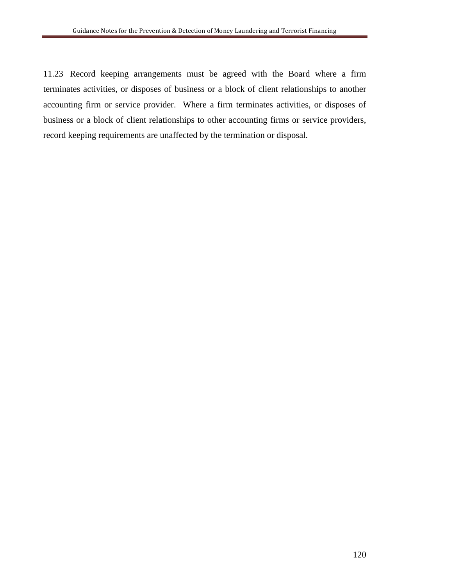11.23 Record keeping arrangements must be agreed with the Board where a firm terminates activities, or disposes of business or a block of client relationships to another accounting firm or service provider. Where a firm terminates activities, or disposes of business or a block of client relationships to other accounting firms or service providers, record keeping requirements are unaffected by the termination or disposal.